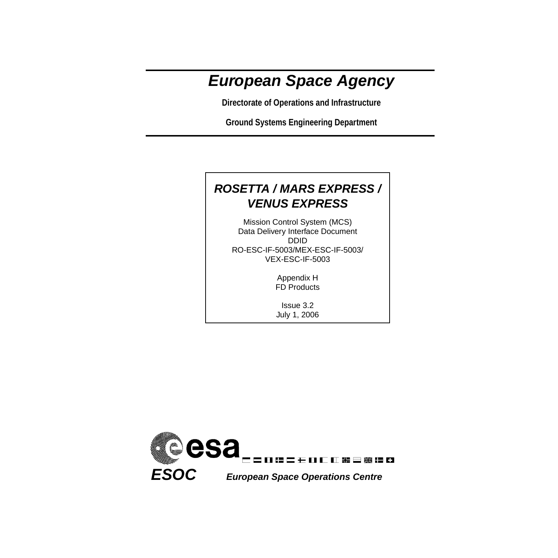# **European Space Agency**

**Directorate of Operations and Infrastructure**

**Ground Systems Engineering Department**

## **ROSETTA / MARS EXPRESS / VENUS EXPRESS**

Mission Control System (MCS) Data Delivery Interface Document DDID RO-ESC-IF-5003/MEX-ESC-IF-5003/ VEX-ESC-IF-5003

> Appendix H FD Products

Issue 3.2 July 1, 2006

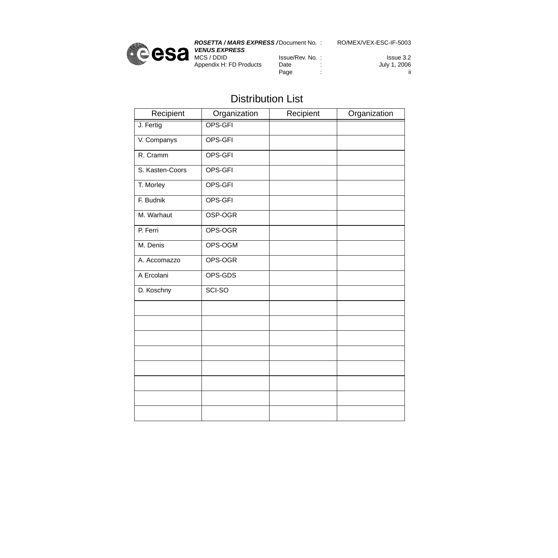**ROSETTA / MARS EXPRESS /** Document No. : RO/MEX/VEX-ESC-IF-5003



**VENUS EXPRESS** MCS / DDID Issue/Rev. No. : Issue 3.2 Appendix H: FD Products Date : July 1, 2006

Page : iii

## Distribution List

| Recipient       | Organization | Recipient | Organization |
|-----------------|--------------|-----------|--------------|
| J. Fertig       | OPS-GFI      |           |              |
| V. Companys     | OPS-GFI      |           |              |
| R. Cramm        | OPS-GFI      |           |              |
| S. Kasten-Coors | OPS-GFI      |           |              |
| T. Morley       | OPS-GFI      |           |              |
| F. Budnik       | OPS-GFI      |           |              |
| M. Warhaut      | OSP-OGR      |           |              |
| P. Ferri        | OPS-OGR      |           |              |
| M. Denis        | OPS-OGM      |           |              |
| A. Accomazzo    | OPS-OGR      |           |              |
| A Ercolani      | OPS-GDS      |           |              |
| D. Koschny      | SCI-SO       |           |              |
|                 |              |           |              |
|                 |              |           |              |
|                 |              |           |              |
|                 |              |           |              |
|                 |              |           |              |
|                 |              |           |              |
|                 |              |           |              |
|                 |              |           |              |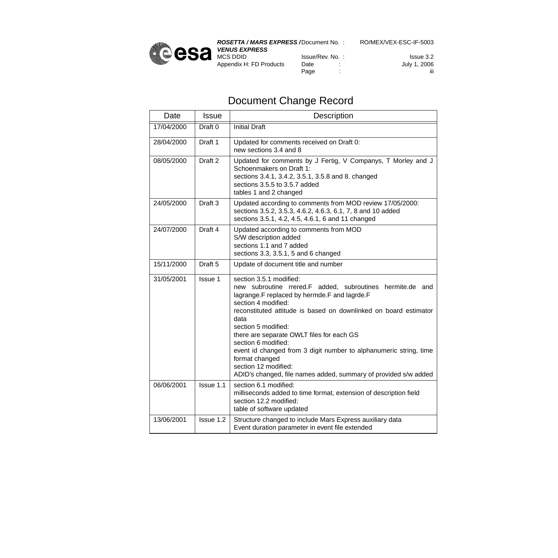**ROSETTA / MARS EXPRESS /**Document No. : RO/MEX/VEX-ESC-IF-5003



**VENUS EXPRESS** MCS DDID Issue/Rev. No. : Issue 3.2 Appendix H: FD Products Date : July 1, 2006

Page : iii

## Document Change Record

| Date       | <b>Issue</b>   | Description                                                                                                                                                                                                                                                                                                                                                                                                                                                                                                          |  |  |
|------------|----------------|----------------------------------------------------------------------------------------------------------------------------------------------------------------------------------------------------------------------------------------------------------------------------------------------------------------------------------------------------------------------------------------------------------------------------------------------------------------------------------------------------------------------|--|--|
| 17/04/2000 | Draft 0        | <b>Initial Draft</b>                                                                                                                                                                                                                                                                                                                                                                                                                                                                                                 |  |  |
| 28/04/2000 | Draft 1        | Updated for comments received on Draft 0:<br>new sections 3.4 and 8                                                                                                                                                                                                                                                                                                                                                                                                                                                  |  |  |
| 08/05/2000 | Draft 2        | Updated for comments by J Fertig, V Companys, T Morley and J<br>Schoenmakers on Draft 1:<br>sections 3.4.1, 3.4.2, 3.5.1, 3.5.8 and 8. changed<br>sections 3.5.5 to 3.5.7 added<br>tables 1 and 2 changed                                                                                                                                                                                                                                                                                                            |  |  |
| 24/05/2000 | Draft 3        | Updated according to comments from MOD review 17/05/2000:<br>sections 3.5.2, 3.5.3, 4.6.2, 4.6.3, 6.1, 7, 8 and 10 added<br>sections 3.5.1, 4.2, 4.5, 4.6.1, 6 and 11 changed                                                                                                                                                                                                                                                                                                                                        |  |  |
| 24/07/2000 | Draft 4        | Updated according to comments from MOD<br>S/W description added<br>sections 1.1 and 7 added<br>sections 3.3, 3.5.1, 5 and 6 changed                                                                                                                                                                                                                                                                                                                                                                                  |  |  |
| 15/11/2000 | Draft 5        | Update of document title and number                                                                                                                                                                                                                                                                                                                                                                                                                                                                                  |  |  |
| 31/05/2001 | <b>Issue 1</b> | section 3.5.1 modified:<br>new subroutine rrered.F added, subroutines hermite.de and<br>lagrange.F replaced by hermde.F and lagrde.F<br>section 4 modified:<br>reconstituted attitude is based on downlinked on board estimator<br>data<br>section 5 modified:<br>there are separate OWLT files for each GS<br>section 6 modified:<br>event id changed from 3 digit number to alphanumeric string, time<br>format changed<br>section 12 modified:<br>ADID's changed, file names added, summary of provided s/w added |  |  |
| 06/06/2001 | Issue 1.1      | section 6.1 modified:<br>milliseconds added to time format, extension of description field<br>section 12.2 modified:<br>table of software updated                                                                                                                                                                                                                                                                                                                                                                    |  |  |
| 13/06/2001 | Issue 1.2      | Structure changed to include Mars Express auxiliary data<br>Event duration parameter in event file extended                                                                                                                                                                                                                                                                                                                                                                                                          |  |  |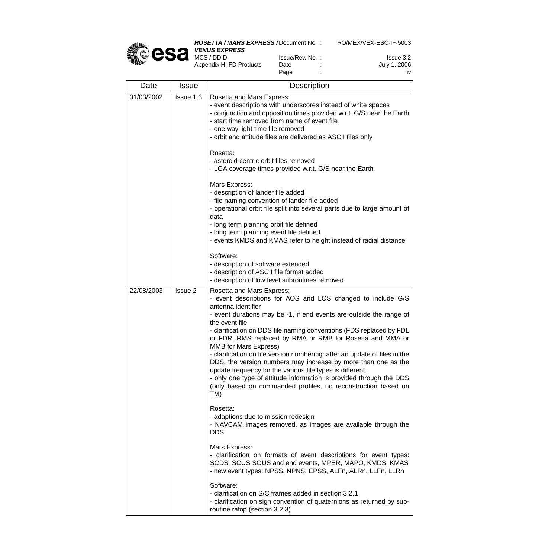

**ROSETTA / MARS EXPRESS /** Document No. : RO/MEX/VEX-ESC-IF-5003

**VENUS EXPRESS** MCS / DDID Issue/Rev. No. : Issue 3.2

Appendix H: FD Products Date : July 1, 2006

Page : iversity is a set of the set of the set of the set of the set of the set of the set of the set of the set of the set of the set of the set of the set of the set of the set of the set of the set of the set of the set

| Date       | <b>Issue</b> | <b>Description</b>                                                                                                                                                                                                                                                                                                                                                                                                                                                                                                                                                                                                                                                                                                                     |  |
|------------|--------------|----------------------------------------------------------------------------------------------------------------------------------------------------------------------------------------------------------------------------------------------------------------------------------------------------------------------------------------------------------------------------------------------------------------------------------------------------------------------------------------------------------------------------------------------------------------------------------------------------------------------------------------------------------------------------------------------------------------------------------------|--|
| 01/03/2002 | Issue 1.3    | Rosetta and Mars Express:<br>- event descriptions with underscores instead of white spaces<br>- conjunction and opposition times provided w.r.t. G/S near the Earth<br>- start time removed from name of event file<br>- one way light time file removed<br>- orbit and attitude files are delivered as ASCII files only                                                                                                                                                                                                                                                                                                                                                                                                               |  |
|            |              | Rosetta:<br>- asteroid centric orbit files removed<br>- LGA coverage times provided w.r.t. G/S near the Earth                                                                                                                                                                                                                                                                                                                                                                                                                                                                                                                                                                                                                          |  |
|            |              | Mars Express:<br>- description of lander file added<br>- file naming convention of lander file added<br>- operational orbit file split into several parts due to large amount of<br>data<br>- long term planning orbit file defined<br>- long term planning event file defined<br>- events KMDS and KMAS refer to height instead of radial distance                                                                                                                                                                                                                                                                                                                                                                                    |  |
|            |              | Software:<br>- description of software extended<br>- description of ASCII file format added<br>- description of low level subroutines removed                                                                                                                                                                                                                                                                                                                                                                                                                                                                                                                                                                                          |  |
| 22/08/2003 | Issue 2      | Rosetta and Mars Express:<br>- event descriptions for AOS and LOS changed to include G/S<br>antenna identifier<br>- event durations may be -1, if end events are outside the range of<br>the event file<br>- clarification on DDS file naming conventions (FDS replaced by FDL<br>or FDR, RMS replaced by RMA or RMB for Rosetta and MMA or<br><b>MMB</b> for Mars Express)<br>- clarification on file version numbering: after an update of files in the<br>DDS, the version numbers may increase by more than one as the<br>update frequency for the various file types is different.<br>- only one type of attitude information is provided through the DDS<br>(only based on commanded profiles, no reconstruction based on<br>TM) |  |
|            |              | Rosetta:<br>- adaptions due to mission redesign<br>- NAVCAM images removed, as images are available through the<br><b>DDS</b>                                                                                                                                                                                                                                                                                                                                                                                                                                                                                                                                                                                                          |  |
|            |              | Mars Express:<br>- clarification on formats of event descriptions for event types:<br>SCDS, SCUS SOUS and end events, MPER, MAPO, KMDS, KMAS<br>- new event types: NPSS, NPNS, EPSS, ALFn, ALRn, LLFn, LLRn                                                                                                                                                                                                                                                                                                                                                                                                                                                                                                                            |  |
|            |              | Software:<br>- clarification on S/C frames added in section 3.2.1<br>- clarification on sign convention of quaternions as returned by sub-<br>routine rafop (section 3.2.3)                                                                                                                                                                                                                                                                                                                                                                                                                                                                                                                                                            |  |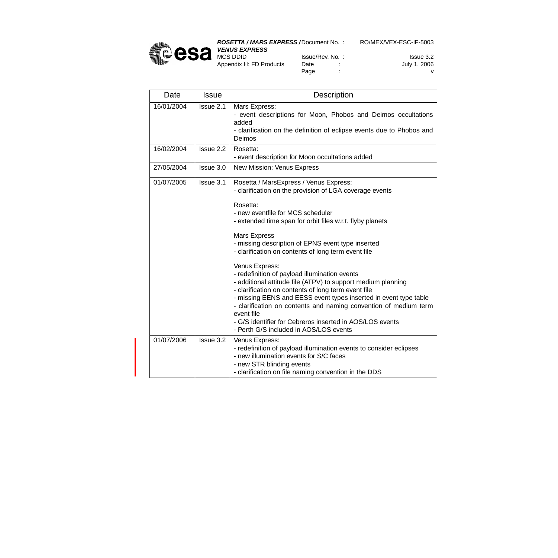**ROSETTA / MARS EXPRESS /**Document No. : RO/MEX/VEX-ESC-IF-5003



**VENUS EXPRESS**

|      |              | Issue 3.2        |
|------|--------------|------------------|
| Date |              | July 1, 2006     |
| Page | ٠<br>$\cdot$ |                  |
|      |              | Issue/Rev. No. : |

| Date       | <b>Issue</b> | Description                                                                                                                                                                                                                                                                                                                                                                                                                                                                                                                                                                                                                                                                                                                                                                                              |  |
|------------|--------------|----------------------------------------------------------------------------------------------------------------------------------------------------------------------------------------------------------------------------------------------------------------------------------------------------------------------------------------------------------------------------------------------------------------------------------------------------------------------------------------------------------------------------------------------------------------------------------------------------------------------------------------------------------------------------------------------------------------------------------------------------------------------------------------------------------|--|
| 16/01/2004 | Issue 2.1    | Mars Express:<br>- event descriptions for Moon, Phobos and Deimos occultations<br>added<br>- clarification on the definition of eclipse events due to Phobos and<br>Deimos                                                                                                                                                                                                                                                                                                                                                                                                                                                                                                                                                                                                                               |  |
| 16/02/2004 | Issue 2.2    | Rosetta:<br>- event description for Moon occultations added                                                                                                                                                                                                                                                                                                                                                                                                                                                                                                                                                                                                                                                                                                                                              |  |
| 27/05/2004 | Issue 3.0    | New Mission: Venus Express                                                                                                                                                                                                                                                                                                                                                                                                                                                                                                                                                                                                                                                                                                                                                                               |  |
| 01/07/2005 | Issue 3.1    | Rosetta / MarsExpress / Venus Express:<br>- clarification on the provision of LGA coverage events<br>Rosetta:<br>- new eventfile for MCS scheduler<br>- extended time span for orbit files w.r.t. flyby planets<br><b>Mars Express</b><br>- missing description of EPNS event type inserted<br>- clarification on contents of long term event file<br>Venus Express:<br>- redefinition of payload illumination events<br>- additional attitude file (ATPV) to support medium planning<br>- clarification on contents of long term event file<br>- missing EENS and EESS event types inserted in event type table<br>- clarification on contents and naming convention of medium term<br>event file<br>- G/S identifier for Cebreros inserted in AOS/LOS events<br>- Perth G/S included in AOS/LOS events |  |
| 01/07/2006 | Issue 3.2    | Venus Express:<br>- redefinition of payload illumination events to consider eclipses<br>- new illumination events for S/C faces<br>- new STR blinding events<br>- clarification on file naming convention in the DDS                                                                                                                                                                                                                                                                                                                                                                                                                                                                                                                                                                                     |  |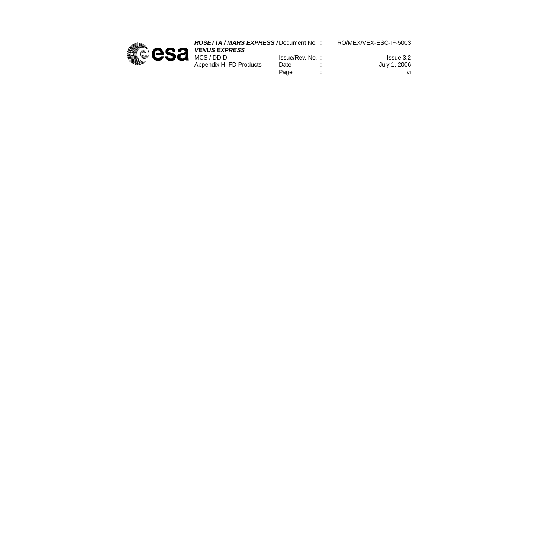**ROSETTA / MARS EXPRESS /** Document No. : RO/MEX/VEX-ESC-IF-5003



**VENUS EXPRESS** MCS / DDID Issue/Rev. No. : Issue 3.2 Appendix H: FD Products Date : July 1, 2006

Page : vi

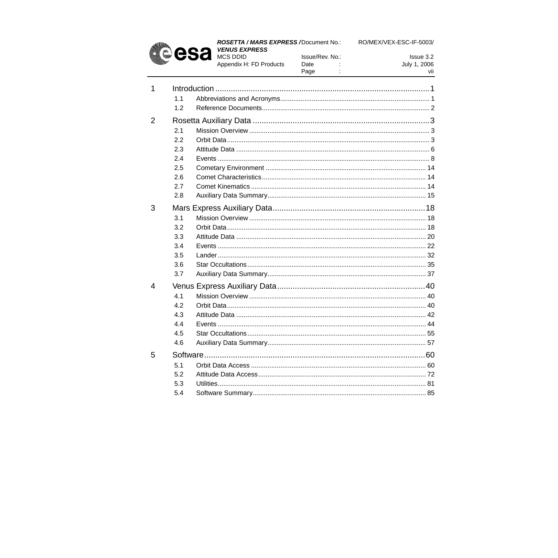ROSETTA / MARS EXPRESS / Document No.:



 $\overline{1}$ 

 $\overline{2}$ 

 $\mathbf{3}$ 

 $\overline{\mathbf{4}}$ 

 $\overline{5}$ 

|     | $\bigcup$ $\bigcirc$ $\bigcirc$ MCS DDID<br>Appendix H: FD Products | Issue/Rev. No.:<br>Date<br>Page | Issue 3.2<br>July 1, 2006<br>vii |
|-----|---------------------------------------------------------------------|---------------------------------|----------------------------------|
|     |                                                                     |                                 |                                  |
| 1.1 |                                                                     |                                 |                                  |
| 1.2 |                                                                     |                                 |                                  |
|     |                                                                     |                                 |                                  |
| 2.1 |                                                                     |                                 |                                  |
| 2.2 |                                                                     |                                 |                                  |
| 2.3 |                                                                     |                                 |                                  |
| 2.4 |                                                                     |                                 |                                  |
| 2.5 |                                                                     |                                 |                                  |
| 2.6 |                                                                     |                                 |                                  |
| 2.7 |                                                                     |                                 |                                  |
| 2.8 |                                                                     |                                 |                                  |
|     |                                                                     |                                 |                                  |
| 3.1 |                                                                     |                                 |                                  |
| 3.2 |                                                                     |                                 |                                  |
| 3.3 |                                                                     |                                 |                                  |
| 3.4 |                                                                     |                                 |                                  |
| 3.5 |                                                                     |                                 |                                  |
| 3.6 |                                                                     |                                 |                                  |
| 3.7 |                                                                     |                                 |                                  |
|     |                                                                     |                                 |                                  |
| 4.1 |                                                                     |                                 |                                  |
| 4.2 |                                                                     |                                 |                                  |
| 4.3 |                                                                     |                                 |                                  |
| 4.4 |                                                                     |                                 |                                  |
| 4.5 |                                                                     |                                 |                                  |
| 4.6 |                                                                     |                                 |                                  |
|     |                                                                     |                                 |                                  |
| 5.1 |                                                                     |                                 |                                  |
| 5.2 |                                                                     |                                 |                                  |
| 5.3 |                                                                     |                                 |                                  |
| 5.4 |                                                                     |                                 |                                  |
|     |                                                                     |                                 |                                  |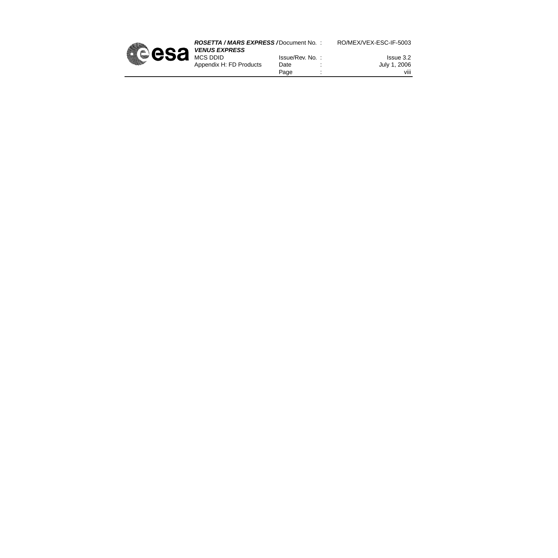**CSA** 

**ROSETTA / MARS EXPRESS /** Document No. : RO/MEX/VEX-ESC-IF-5003 **VENUS EXPRESS**

| <u>VENUS EXPRESS</u>    |                 |              |
|-------------------------|-----------------|--------------|
| MCS DDID                | Issue/Rev. No.: | Issue 3.2    |
| Appendix H: FD Products | Date            | July 1, 2006 |
|                         | Page            | vııı         |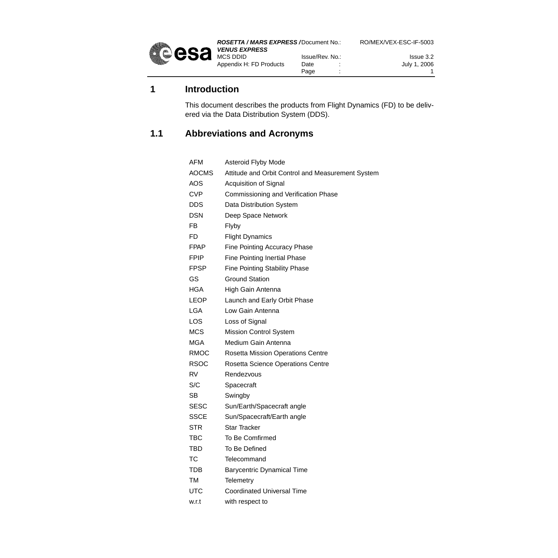**ROSETTA / MARS EXPRESS /**Document No.: RO/MEX/VEX-ESC-IF-5003



**VENUS EXPRESS** Issue/Rev. No.: Issue 3.2 Appendix H: FD Products Date : July 1, 2006

Page : 1

## **1 Introduction**

This document describes the products from Flight Dynamics (FD) to be delivered via the Data Distribution System (DDS).

## **1.1 Abbreviations and Acronyms**

| AFM          | Asteroid Flyby Mode                               |
|--------------|---------------------------------------------------|
| <b>AOCMS</b> | Attitude and Orbit Control and Measurement System |
| AOS          | <b>Acquisition of Signal</b>                      |
| <b>CVP</b>   | Commissioning and Verification Phase              |
| <b>DDS</b>   | Data Distribution System                          |
| <b>DSN</b>   | Deep Space Network                                |
| FB           | Flyby                                             |
| FD           | <b>Flight Dynamics</b>                            |
| FPAP         | Fine Pointing Accuracy Phase                      |
| <b>FPIP</b>  | <b>Fine Pointing Inertial Phase</b>               |
| <b>FPSP</b>  | Fine Pointing Stability Phase                     |
| <b>GS</b>    | <b>Ground Station</b>                             |
| HGA          | High Gain Antenna                                 |
| <b>LEOP</b>  | Launch and Early Orbit Phase                      |
| LGA          | Low Gain Antenna                                  |
| LOS          | Loss of Signal                                    |
| <b>MCS</b>   | <b>Mission Control System</b>                     |
| MGA          | Medium Gain Antenna                               |
| <b>RMOC</b>  | <b>Rosetta Mission Operations Centre</b>          |
| <b>RSOC</b>  | Rosetta Science Operations Centre                 |
| <b>RV</b>    | Rendezvous                                        |
| S/C          | Spacecraft                                        |
| SВ           | Swingby                                           |
| <b>SESC</b>  | Sun/Earth/Spacecraft angle                        |
| <b>SSCE</b>  | Sun/Spacecraft/Earth angle                        |
| <b>STR</b>   | <b>Star Tracker</b>                               |
| TBC          | To Be Comfirmed                                   |
| TBD          | To Be Defined                                     |
| ТC           | Telecommand                                       |
| TDB          | <b>Barycentric Dynamical Time</b>                 |
| ТM           | Telemetry                                         |
| UTC          | <b>Coordinated Universal Time</b>                 |
| w.r.t        | with respect to                                   |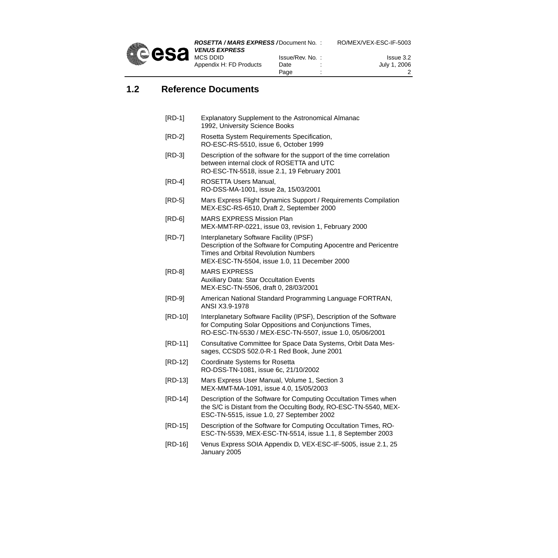**ROSETTA / MARS EXPRESS /** Document No. : RO/MEX/VEX-ESC-IF-5003



**VENUS EXPRESS**

## **1.2 Reference Documents**

- [RD-1] Explanatory Supplement to the Astronomical Almanac 1992, University Science Books
- [RD-2] Rosetta System Requirements Specification, RO-ESC-RS-5510, issue 6, October 1999
- [RD-3] Description of the software for the support of the time correlation between internal clock of ROSETTA and UTC RO-ESC-TN-5518, issue 2.1, 19 February 2001
- [RD-4] ROSETTA Users Manual, RO-DSS-MA-1001, issue 2a, 15/03/2001
- [RD-5] Mars Express Flight Dynamics Support / Requirements Compilation MEX-ESC-RS-6510, Draft 2, September 2000
- [RD-6] MARS EXPRESS Mission Plan MEX-MMT-RP-0221, issue 03, revision 1, February 2000
- [RD-7] Interplanetary Software Facility (IPSF) Description of the Software for Computing Apocentre and Pericentre Times and Orbital Revolution Numbers MEX-ESC-TN-5504, issue 1.0, 11 December 2000
- [RD-8] MARS EXPRESS Auxiliary Data: Star Occultation Events MEX-ESC-TN-5506, draft 0, 28/03/2001
- [RD-9] American National Standard Programming Language FORTRAN, ANSI X3.9-1978
- [RD-10] Interplanetary Software Facility (IPSF), Description of the Software for Computing Solar Oppositions and Conjunctions Times, RO-ESC-TN-5530 / MEX-ESC-TN-5507, issue 1.0, 05/06/2001
- [RD-11] Consultative Committee for Space Data Systems, Orbit Data Messages, CCSDS 502.0-R-1 Red Book, June 2001
- [RD-12] Coordinate Systems for Rosetta RO-DSS-TN-1081, issue 6c, 21/10/2002
- [RD-13] Mars Express User Manual, Volume 1, Section 3 MEX-MMT-MA-1091, issue 4.0, 15/05/2003
- [RD-14] Description of the Software for Computing Occultation Times when the S/C is Distant from the Occulting Body, RO-ESC-TN-5540, MEX-ESC-TN-5515, issue 1.0, 27 September 2002
- [RD-15] Description of the Software for Computing Occultation Times, RO-ESC-TN-5539, MEX-ESC-TN-5514, issue 1.1, 8 September 2003
- [RD-16] Venus Express SOIA Appendix D, VEX-ESC-IF-5005, issue 2.1, 25 January 2005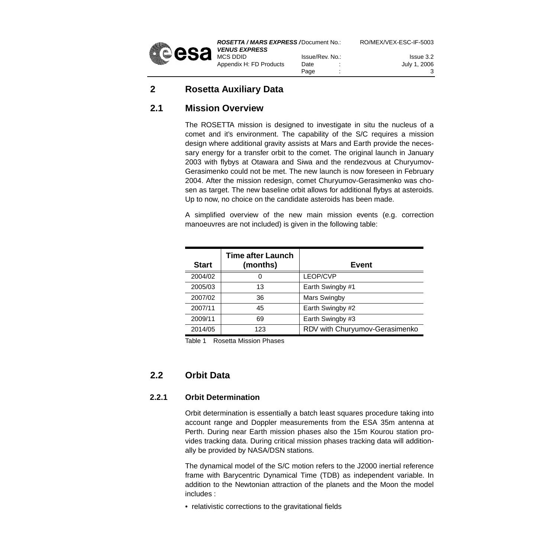**ROSETTA / MARS EXPRESS /**Document No.: RO/MEX/VEX-ESC-IF-5003



**VENUS EXPRESS** MCS DDID **ISSUE/Rev. No.:** ISSUE ISSUE 3.2 Appendix H: FD Products Date : July 1, 2006 Page : 3

## **2 Rosetta Auxiliary Data**

## **2.1 Mission Overview**

The ROSETTA mission is designed to investigate in situ the nucleus of a comet and it's environment. The capability of the S/C requires a mission design where additional gravity assists at Mars and Earth provide the necessary energy for a transfer orbit to the comet. The original launch in January 2003 with flybys at Otawara and Siwa and the rendezvous at Churyumov-Gerasimenko could not be met. The new launch is now foreseen in February 2004. After the mission redesign, comet Churyumov-Gerasimenko was chosen as target. The new baseline orbit allows for additional flybys at asteroids. Up to now, no choice on the candidate asteroids has been made.

A simplified overview of the new main mission events (e.g. correction manoeuvres are not included) is given in the following table:

| <b>Start</b> | <b>Time after Launch</b><br>(months) | Event                          |
|--------------|--------------------------------------|--------------------------------|
| 2004/02      |                                      | LEOP/CVP                       |
| 2005/03      | 13                                   | Earth Swingby #1               |
| 2007/02      | 36                                   | Mars Swingby                   |
| 2007/11      | 45                                   | Earth Swingby #2               |
| 2009/11      | 69                                   | Earth Swingby #3               |
| 2014/05      | 123                                  | RDV with Churyumov-Gerasimenko |

Table 1 Rosetta Mission Phases

## **2.2 Orbit Data**

#### **2.2.1 Orbit Determination**

Orbit determination is essentially a batch least squares procedure taking into account range and Doppler measurements from the ESA 35m antenna at Perth. During near Earth mission phases also the 15m Kourou station provides tracking data. During critical mission phases tracking data will additionally be provided by NASA/DSN stations.

The dynamical model of the S/C motion refers to the J2000 inertial reference frame with Barycentric Dynamical Time (TDB) as independent variable. In addition to the Newtonian attraction of the planets and the Moon the model includes :

• relativistic corrections to the gravitational fields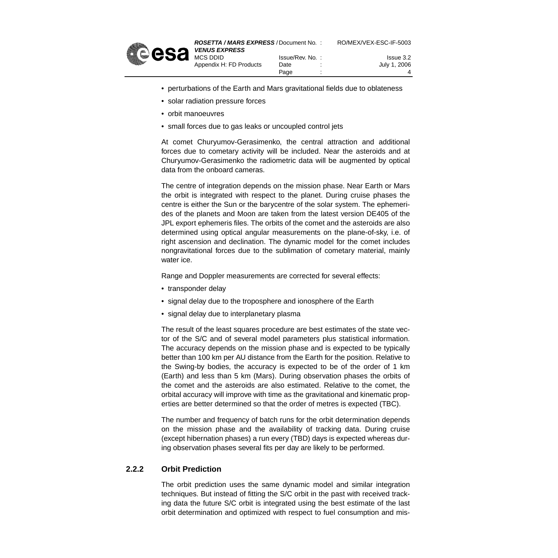

- perturbations of the Earth and Mars gravitational fields due to oblateness
- solar radiation pressure forces
- orbit manoeuvres
- small forces due to gas leaks or uncoupled control jets

At comet Churyumov-Gerasimenko, the central attraction and additional forces due to cometary activity will be included. Near the asteroids and at Churyumov-Gerasimenko the radiometric data will be augmented by optical data from the onboard cameras.

The centre of integration depends on the mission phase. Near Earth or Mars the orbit is integrated with respect to the planet. During cruise phases the centre is either the Sun or the barycentre of the solar system. The ephemerides of the planets and Moon are taken from the latest version DE405 of the JPL export ephemeris files. The orbits of the comet and the asteroids are also determined using optical angular measurements on the plane-of-sky, i.e. of right ascension and declination. The dynamic model for the comet includes nongravitational forces due to the sublimation of cometary material, mainly water ice.

Range and Doppler measurements are corrected for several effects:

- transponder delay
- signal delay due to the troposphere and ionosphere of the Earth
- signal delay due to interplanetary plasma

The result of the least squares procedure are best estimates of the state vector of the S/C and of several model parameters plus statistical information. The accuracy depends on the mission phase and is expected to be typically better than 100 km per AU distance from the Earth for the position. Relative to the Swing-by bodies, the accuracy is expected to be of the order of 1 km (Earth) and less than 5 km (Mars). During observation phases the orbits of the comet and the asteroids are also estimated. Relative to the comet, the orbital accuracy will improve with time as the gravitational and kinematic properties are better determined so that the order of metres is expected (TBC).

The number and frequency of batch runs for the orbit determination depends on the mission phase and the availability of tracking data. During cruise (except hibernation phases) a run every (TBD) days is expected whereas during observation phases several fits per day are likely to be performed.

#### **2.2.2 Orbit Prediction**

The orbit prediction uses the same dynamic model and similar integration techniques. But instead of fitting the S/C orbit in the past with received tracking data the future S/C orbit is integrated using the best estimate of the last orbit determination and optimized with respect to fuel consumption and mis-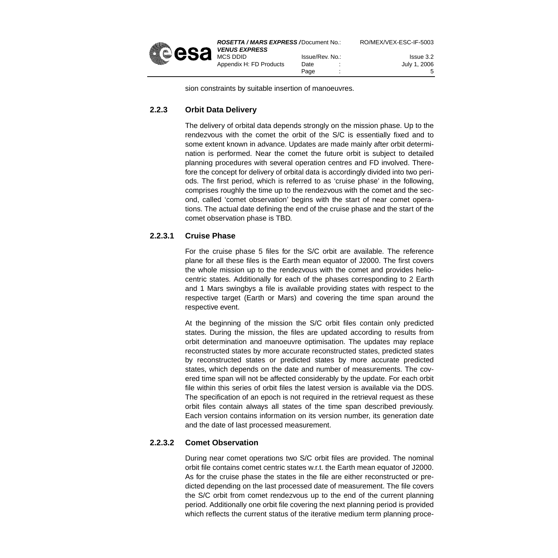**ROSETTA / MARS EXPRESS /**Document No.: RO/MEX/VEX-ESC-IF-5003 **VENUS EXPRESS** MCS DDID **ISSUE/Rev. No.:** ISSUE ISSUE 3.2 Appendix H: FD Products Date : July 1, 2006 Page : 5

sion constraints by suitable insertion of manoeuvres.

#### **2.2.3 Orbit Data Delivery**

The delivery of orbital data depends strongly on the mission phase. Up to the rendezvous with the comet the orbit of the S/C is essentially fixed and to some extent known in advance. Updates are made mainly after orbit determination is performed. Near the comet the future orbit is subject to detailed planning procedures with several operation centres and FD involved. Therefore the concept for delivery of orbital data is accordingly divided into two periods. The first period, which is referred to as 'cruise phase' in the following, comprises roughly the time up to the rendezvous with the comet and the second, called 'comet observation' begins with the start of near comet operations. The actual date defining the end of the cruise phase and the start of the comet observation phase is TBD.

#### **2.2.3.1 Cruise Phase**

For the cruise phase 5 files for the S/C orbit are available. The reference plane for all these files is the Earth mean equator of J2000. The first covers the whole mission up to the rendezvous with the comet and provides heliocentric states. Additionally for each of the phases corresponding to 2 Earth and 1 Mars swingbys a file is available providing states with respect to the respective target (Earth or Mars) and covering the time span around the respective event.

At the beginning of the mission the S/C orbit files contain only predicted states. During the mission, the files are updated according to results from orbit determination and manoeuvre optimisation. The updates may replace reconstructed states by more accurate reconstructed states, predicted states by reconstructed states or predicted states by more accurate predicted states, which depends on the date and number of measurements. The covered time span will not be affected considerably by the update. For each orbit file within this series of orbit files the latest version is available via the DDS. The specification of an epoch is not required in the retrieval request as these orbit files contain always all states of the time span described previously. Each version contains information on its version number, its generation date and the date of last processed measurement.

#### **2.2.3.2 Comet Observation**

During near comet operations two S/C orbit files are provided. The nominal orbit file contains comet centric states w.r.t. the Earth mean equator of J2000. As for the cruise phase the states in the file are either reconstructed or predicted depending on the last processed date of measurement. The file covers the S/C orbit from comet rendezvous up to the end of the current planning period. Additionally one orbit file covering the next planning period is provided which reflects the current status of the iterative medium term planning proce-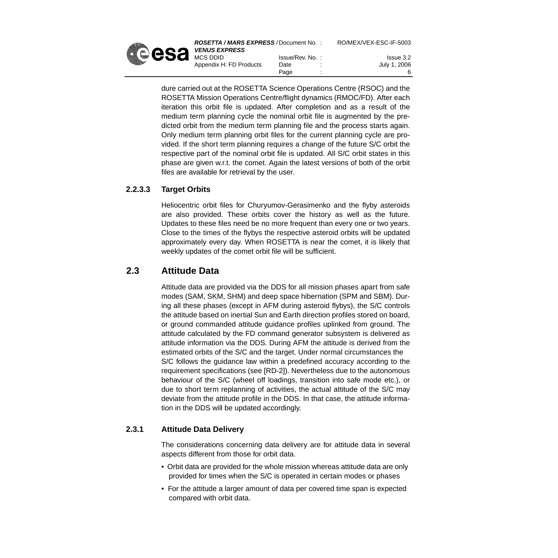| Ø | <b>ROSETTA / MARS EXPRESS / Document No.</b> :<br><b>VENUS EXPRESS</b> |                 | RO/MEX/VEX-ESC-IF-5003 |
|---|------------------------------------------------------------------------|-----------------|------------------------|
| a | <b>MCS DDID</b>                                                        | Issue/Rev. No.: | Issue 3.2              |
|   | Appendix H: FD Products                                                | Date            | July 1, 2006           |
|   |                                                                        | Page            | 6.                     |

dure carried out at the ROSETTA Science Operations Centre (RSOC) and the ROSETTA Mission Operations Centre/flight dynamics (RMOC/FD). After each iteration this orbit file is updated. After completion and as a result of the medium term planning cycle the nominal orbit file is augmented by the predicted orbit from the medium term planning file and the process starts again. Only medium term planning orbit files for the current planning cycle are provided. If the short term planning requires a change of the future S/C orbit the respective part of the nominal orbit file is updated. All S/C orbit states in this phase are given w.r.t. the comet. Again the latest versions of both of the orbit files are available for retrieval by the user.

## **2.2.3.3 Target Orbits**

Heliocentric orbit files for Churyumov-Gerasimenko and the flyby asteroids are also provided. These orbits cover the history as well as the future. Updates to these files need be no more frequent than every one or two years. Close to the times of the flybys the respective asteroid orbits will be updated approximately every day. When ROSETTA is near the comet, it is likely that weekly updates of the comet orbit file will be sufficient.

## **2.3 Attitude Data**

Attitude data are provided via the DDS for all mission phases apart from safe modes (SAM, SKM, SHM) and deep space hibernation (SPM and SBM). During all these phases (except in AFM during asteroid flybys), the S/C controls the attitude based on inertial Sun and Earth direction profiles stored on board, or ground commanded attitude guidance profiles uplinked from ground. The attitude calculated by the FD command generator subsystem is delivered as attitude information via the DDS. During AFM the attitude is derived from the estimated orbits of the S/C and the target. Under normal circumstances the S/C follows the guidance law within a predefined accuracy according to the requirement specifications (see [RD-2]). Nevertheless due to the autonomous behaviour of the S/C (wheel off loadings, transition into safe mode etc.), or due to short term replanning of activities, the actual attitude of the S/C may deviate from the attitude profile in the DDS. In that case, the attitude information in the DDS will be updated accordingly.

## **2.3.1 Attitude Data Delivery**

The considerations concerning data delivery are for attitude data in several aspects different from those for orbit data.

- Orbit data are provided for the whole mission whereas attitude data are only provided for times when the S/C is operated in certain modes or phases
- For the attitude a larger amount of data per covered time span is expected compared with orbit data.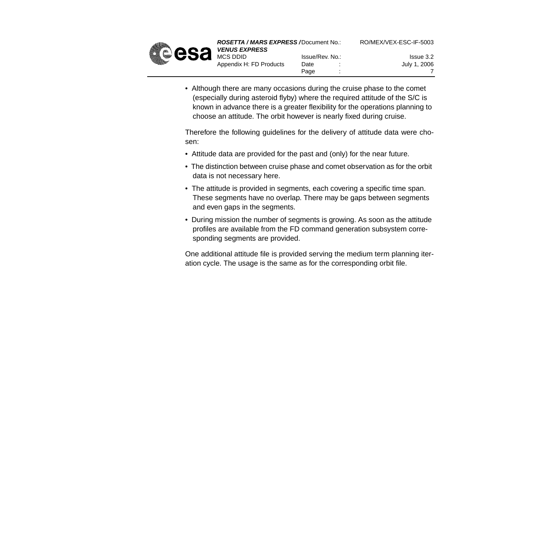**ROSETTA / MARS EXPRESS /**Document No.: RO/MEX/VEX-ESC-IF-5003 **VENUS EXPRESS** MCS DDID **ISSUE/Rev. No.:** ISSUE ISSUE 3.2

Page : 7

• Although there are many occasions during the cruise phase to the comet (especially during asteroid flyby) where the required attitude of the S/C is known in advance there is a greater flexibility for the operations planning to choose an attitude. The orbit however is nearly fixed during cruise.

Therefore the following guidelines for the delivery of attitude data were chosen:

- Attitude data are provided for the past and (only) for the near future.
- The distinction between cruise phase and comet observation as for the orbit data is not necessary here.
- The attitude is provided in segments, each covering a specific time span. These segments have no overlap. There may be gaps between segments and even gaps in the segments.
- During mission the number of segments is growing. As soon as the attitude profiles are available from the FD command generation subsystem corresponding segments are provided.

One additional attitude file is provided serving the medium term planning iteration cycle. The usage is the same as for the corresponding orbit file.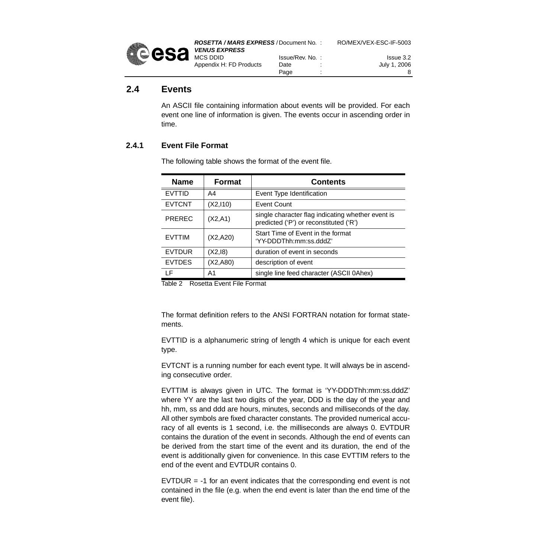

## **2.4 Events**

An ASCII file containing information about events will be provided. For each event one line of information is given. The events occur in ascending order in time.

#### **2.4.1 Event File Format**

The following table shows the format of the event file.

| <b>Name</b>   | <b>Format</b> | <b>Contents</b>                                                                             |
|---------------|---------------|---------------------------------------------------------------------------------------------|
| <b>EVTTID</b> | A4            | Event Type Identification                                                                   |
| <b>EVTCNT</b> | (X2,110)      | Event Count                                                                                 |
| PREREC        | (X2, A1)      | single character flag indicating whether event is<br>predicted ('P') or reconstituted ('R') |
| <b>EVTTIM</b> | (X2, A20)     | Start Time of Event in the format<br>'YY-DDDThh:mm:ss.dddZ'                                 |
| <b>EVTDUR</b> | (X2, 18)      | duration of event in seconds                                                                |
| <b>EVTDES</b> | (X2, A80)     | description of event                                                                        |
| ΙF            | A1            | single line feed character (ASCII 0Ahex)                                                    |

Table 2 Rosetta Event File Format

The format definition refers to the ANSI FORTRAN notation for format statements.

EVTTID is a alphanumeric string of length 4 which is unique for each event type.

EVTCNT is a running number for each event type. It will always be in ascending consecutive order.

EVTTIM is always given in UTC. The format is 'YY-DDDThh:mm:ss.dddZ' where YY are the last two digits of the year, DDD is the day of the year and hh, mm, ss and ddd are hours, minutes, seconds and milliseconds of the day. All other symbols are fixed character constants. The provided numerical accuracy of all events is 1 second, i.e. the milliseconds are always 0. EVTDUR contains the duration of the event in seconds. Although the end of events can be derived from the start time of the event and its duration, the end of the event is additionally given for convenience. In this case EVTTIM refers to the end of the event and EVTDUR contains 0.

EVTDUR = -1 for an event indicates that the corresponding end event is not contained in the file (e.g. when the end event is later than the end time of the event file).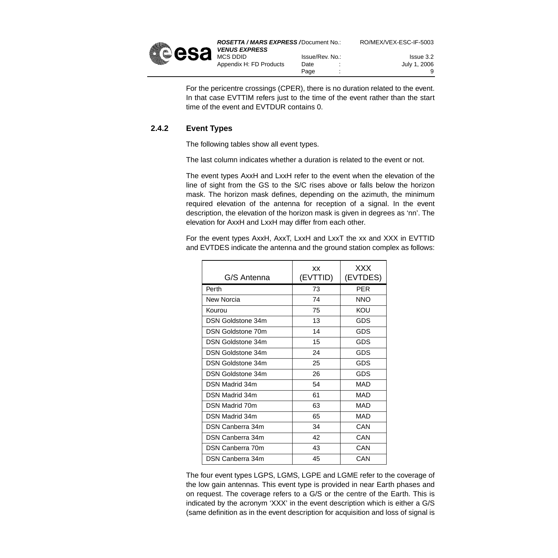**ROSETTA / MARS EXPRESS /**Document No.: RO/MEX/VEX-ESC-IF-5003

|                                                     | $1100$ The contract of $200$ in the contract of $110$ |                 | 11971112711211212121113000 |  |
|-----------------------------------------------------|-------------------------------------------------------|-----------------|----------------------------|--|
|                                                     |                                                       |                 |                            |  |
| <b>CSO</b> <i>VENUS EXPRESS</i><br>Appendix H: FD F |                                                       | Issue/Rev. No.: | Issue 3.2                  |  |
|                                                     | Appendix H: FD Products                               | Date            | July 1, 2006               |  |
|                                                     |                                                       | Page            |                            |  |

For the pericentre crossings (CPER), there is no duration related to the event. In that case EVTTIM refers just to the time of the event rather than the start time of the event and EVTDUR contains 0.

#### **2.4.2 Event Types**

The following tables show all event types.

The last column indicates whether a duration is related to the event or not.

The event types AxxH and LxxH refer to the event when the elevation of the line of sight from the GS to the S/C rises above or falls below the horizon mask. The horizon mask defines, depending on the azimuth, the minimum required elevation of the antenna for reception of a signal. In the event description, the elevation of the horizon mask is given in degrees as 'nn'. The elevation for AxxH and LxxH may differ from each other.

For the event types AxxH, AxxT, LxxH and LxxT the xx and XXX in EVTTID and EVTDES indicate the antenna and the ground station complex as follows:

| G/S Antenna       | XX<br>(EVTTID) | <b>XXX</b><br>(EVTDES) |
|-------------------|----------------|------------------------|
| Perth             | 73             | <b>PER</b>             |
| New Norcia        | 74             | <b>NNO</b>             |
| Kourou            | 75             | KOU                    |
| DSN Goldstone 34m | 13             | GDS                    |
| DSN Goldstone 70m | 14             | GDS                    |
| DSN Goldstone 34m | 15             | <b>GDS</b>             |
| DSN Goldstone 34m | 24             | <b>GDS</b>             |
| DSN Goldstone 34m | 25             | GDS                    |
| DSN Goldstone 34m | 26             | GDS                    |
| DSN Madrid 34m    | 54             | MAD                    |
| DSN Madrid 34m    | 61             | MAD                    |
| DSN Madrid 70m    | 63             | MAD                    |
| DSN Madrid 34m    | 65             | MAD                    |
| DSN Canberra 34m  | 34             | CAN                    |
| DSN Canberra 34m  | 42             | CAN                    |
| DSN Canberra 70m  | 43             | CAN                    |
| DSN Canberra 34m  | 45             | CAN                    |

The four event types LGPS, LGMS, LGPE and LGME refer to the coverage of the low gain antennas. This event type is provided in near Earth phases and on request. The coverage refers to a G/S or the centre of the Earth. This is indicated by the acronym 'XXX' in the event description which is either a G/S (same definition as in the event description for acquisition and loss of signal is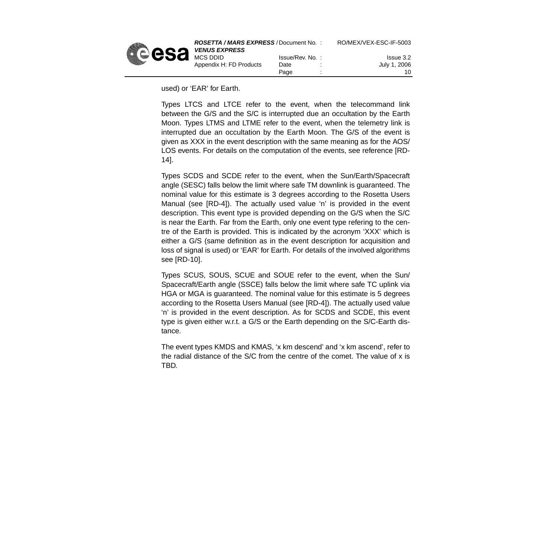| Ωי | <b>ROSETTA / MARS EXPRESS / Document No.</b> :<br><b>VENUS EXPRESS</b> |                 | RO/MEX/VEX-ESC-IF-5003 |
|----|------------------------------------------------------------------------|-----------------|------------------------|
| DС | MCS DDID                                                               | Issue/Rev. No.: | Issue 3.2              |
|    | Appendix H: FD Products                                                | Date            | July 1, 2006           |
|    |                                                                        | Page            | 10                     |

used) or 'EAR' for Earth.

Types LTCS and LTCE refer to the event, when the telecommand link between the G/S and the S/C is interrupted due an occultation by the Earth Moon. Types LTMS and LTME refer to the event, when the telemetry link is interrupted due an occultation by the Earth Moon. The G/S of the event is given as XXX in the event description with the same meaning as for the AOS/ LOS events. For details on the computation of the events, see reference [RD-14].

Types SCDS and SCDE refer to the event, when the Sun/Earth/Spacecraft angle (SESC) falls below the limit where safe TM downlink is guaranteed. The nominal value for this estimate is 3 degrees according to the Rosetta Users Manual (see [RD-4]). The actually used value 'n' is provided in the event description. This event type is provided depending on the G/S when the S/C is near the Earth. Far from the Earth, only one event type refering to the centre of the Earth is provided. This is indicated by the acronym 'XXX' which is either a G/S (same definition as in the event description for acquisition and loss of signal is used) or 'EAR' for Earth. For details of the involved algorithms see [RD-10].

Types SCUS, SOUS, SCUE and SOUE refer to the event, when the Sun/ Spacecraft/Earth angle (SSCE) falls below the limit where safe TC uplink via HGA or MGA is guaranteed. The nominal value for this estimate is 5 degrees according to the Rosetta Users Manual (see [RD-4]). The actually used value 'n' is provided in the event description. As for SCDS and SCDE, this event type is given either w.r.t. a G/S or the Earth depending on the S/C-Earth distance.

The event types KMDS and KMAS, 'x km descend' and 'x km ascend', refer to the radial distance of the S/C from the centre of the comet. The value of x is TBD.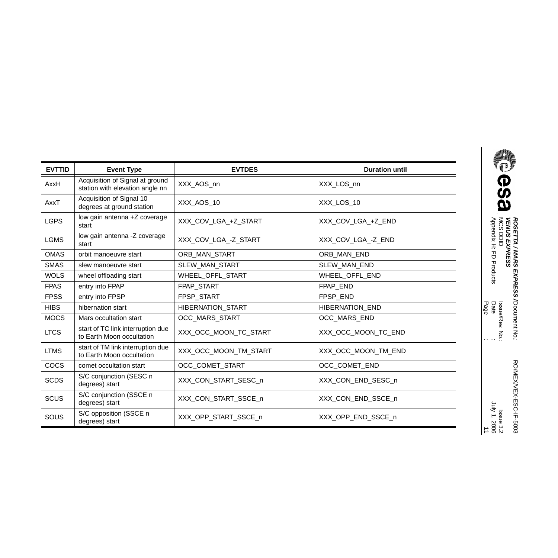| <b>EVTTID</b> | <b>Event Type</b>                                                  | <b>EVTDES</b>            | <b>Duration until</b>  |
|---------------|--------------------------------------------------------------------|--------------------------|------------------------|
| <b>AxxH</b>   | Acquisition of Signal at ground<br>station with elevation angle nn | XXX_AOS_nn               | XXX_LOS_nn             |
| AxxT          | Acquisition of Signal 10<br>degrees at ground station              | XXX_AOS_10               | XXX_LOS_10             |
| <b>LGPS</b>   | low gain antenna +Z coverage<br>start                              | XXX COV LGA +Z START     | XXX COV LGA +Z END     |
| <b>LGMS</b>   | low gain antenna -Z coverage<br>start                              | XXX_COV_LGA_-Z_START     | XXX_COV_LGA_-Z_END     |
| <b>OMAS</b>   | orbit manoeuvre start                                              | ORB_MAN_START            | ORB_MAN_END            |
| <b>SMAS</b>   | slew manoeuvre start                                               | SLEW_MAN_START           | <b>SLEW MAN END</b>    |
| <b>WOLS</b>   | wheel offloading start                                             | WHEEL_OFFL_START         | WHEEL OFFL END         |
| <b>FPAS</b>   | entry into FPAP                                                    | FPAP START               | FPAP END               |
| <b>FPSS</b>   | entry into FPSP                                                    | FPSP_START               | FPSP_END               |
| <b>HIBS</b>   | hibernation start                                                  | <b>HIBERNATION_START</b> | <b>HIBERNATION END</b> |
| <b>MOCS</b>   | Mars occultation start                                             | OCC MARS START           | OCC MARS END           |
| <b>LTCS</b>   | start of TC link interruption due<br>to Earth Moon occultation     | XXX_OCC_MOON_TC_START    | XXX_OCC_MOON_TC_END    |
| <b>LTMS</b>   | start of TM link interruption due<br>to Earth Moon occultation     | XXX OCC MOON TM START    | XXX OCC MOON TM END    |
| <b>COCS</b>   | comet occultation start                                            | OCC COMET START          | OCC COMET END          |
| <b>SCDS</b>   | S/C conjunction (SESC n<br>degrees) start                          | XXX_CON_START_SESC_n     | XXX_CON_END_SESC_n     |
| <b>SCUS</b>   | S/C conjunction (SSCE n<br>degrees) start                          | XXX_CON_START_SSCE_n     | XXX_CON_END_SSCE_n     |
| SOUS          | S/C opposition (SSCE n<br>degrees) start                           | XXX_OPP_START_SSCE_n     | XXX_OPP_END_SSCE_n     |



ROSETTA / MARS EXPRESS / Document No.<br>
UENUS EXPRESS<br>
SUBDID<br>
Appendix H: FD Products<br>
Date<br>
Appendix H: FD Products<br>
Date MCS DDID ISSUE ISSUE/Rev. No.: ISSUE 3.2 **VENUS EXPRESS ROSETTA / MARS EXPRESS /**Issue/Rev. No.:<br>Date<br>Page

Appendix H: FD Products Date : July 1, 2006

Page : : 11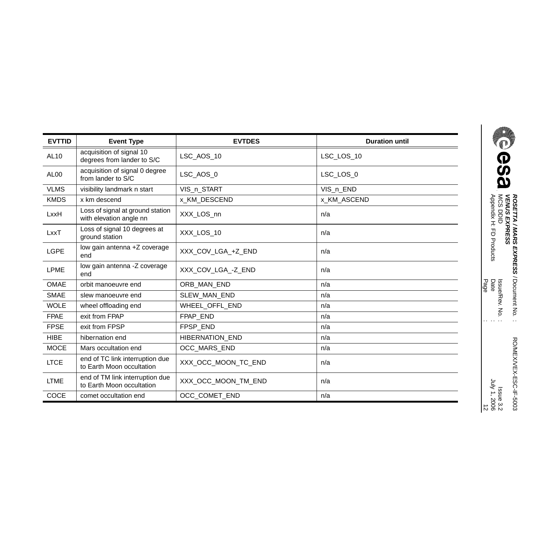| <b>EVTTID</b>    | <b>Event Type</b>                                            | <b>EVTDES</b>          | <b>Duration until</b> |
|------------------|--------------------------------------------------------------|------------------------|-----------------------|
| AL10             | acquisition of signal 10<br>degrees from lander to S/C       | LSC_AOS_10             | LSC_LOS_10            |
| AL <sub>00</sub> | acquisition of signal 0 degree<br>from lander to S/C         | LSC_AOS_0              | LSC_LOS_0             |
| <b>VLMS</b>      | visibility landmark n start                                  | VIS_n_START            | VIS_n_END             |
| <b>KMDS</b>      | x km descend                                                 | x_KM_DESCEND           | x_KM_ASCEND           |
| LxxH             | Loss of signal at ground station<br>with elevation angle nn  | XXX_LOS_nn             | n/a                   |
| LxxT             | Loss of signal 10 degrees at<br>ground station               | XXX LOS 10             | n/a                   |
| <b>LGPE</b>      | low gain antenna +Z coverage<br>end                          | XXX COV LGA +Z END     | n/a                   |
| <b>LPME</b>      | low gain antenna -Z coverage<br>end                          | XXX_COV_LGA_-Z_END     | n/a                   |
| <b>OMAE</b>      | orbit manoeuvre end                                          | ORB MAN END            | n/a                   |
| <b>SMAE</b>      | slew manoeuvre end                                           | <b>SLEW MAN END</b>    | n/a                   |
| <b>WOLE</b>      | wheel offloading end                                         | WHEEL OFFL END         | n/a                   |
| <b>FPAE</b>      | exit from FPAP                                               | FPAP END               | n/a                   |
| <b>FPSE</b>      | exit from FPSP                                               | FPSP END               | n/a                   |
| <b>HIBE</b>      | hibernation end                                              | <b>HIBERNATION END</b> | n/a                   |
| <b>MOCE</b>      | Mars occultation end                                         | OCC_MARS_END           | n/a                   |
| <b>LTCE</b>      | end of TC link interruption due<br>to Earth Moon occultation | XXX OCC MOON TC END    | n/a                   |
| <b>LTME</b>      | end of TM link interruption due<br>to Earth Moon occultation | XXX OCC MOON TM END    | n/a                   |
| COCE             | comet occultation end                                        | OCC COMET END          | n/a                   |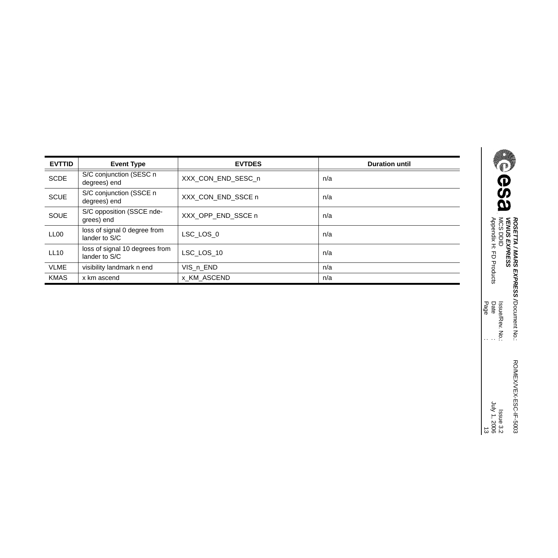| <b>EVTTID</b> | <b>Event Type</b>                               | <b>EVTDES</b>      | <b>Duration until</b> |
|---------------|-------------------------------------------------|--------------------|-----------------------|
| <b>SCDE</b>   | S/C conjunction (SESC n<br>degrees) end         | XXX CON END SESC n | n/a                   |
| <b>SCUE</b>   | S/C conjunction (SSCE n<br>degrees) end         | XXX CON END SSCE n | n/a                   |
| SOUE          | S/C opposition (SSCE nde-<br>grees) end         | XXX_OPP_END_SSCE n | n/a                   |
| LL00          | loss of signal 0 degree from<br>lander to S/C   | LSC LOS 0          | n/a                   |
| <b>LL10</b>   | loss of signal 10 degrees from<br>lander to S/C | LSC LOS 10         | n/a                   |
| <b>VLME</b>   | visibility landmark n end                       | VIS_n_END          | n/a                   |
| <b>KMAS</b>   | x km ascend                                     | x KM ASCEND        | n/a                   |



ROSETTA / MARS EXPRESS / Document No.:<br>VENUS EXPRESS<br>MCS DDID<br>Appendix H: FD Products Date MCS DDID ISSUE ISSUE/Rev. No.: ISSUE 3.2 **VENUS EXPRESS ROSETTA / MARS EXPRESS /**

Issue/Rev. No.:<br>Date<br>Page

Document No.: RO/MEX/VEX-ESC-IF-5003 ROMEXVEX-ESC-IF-5003

Appendix H: FD Products Date : July 1, 2006 Page : 13 Issue 3.2<br>July 1, 2006<br>13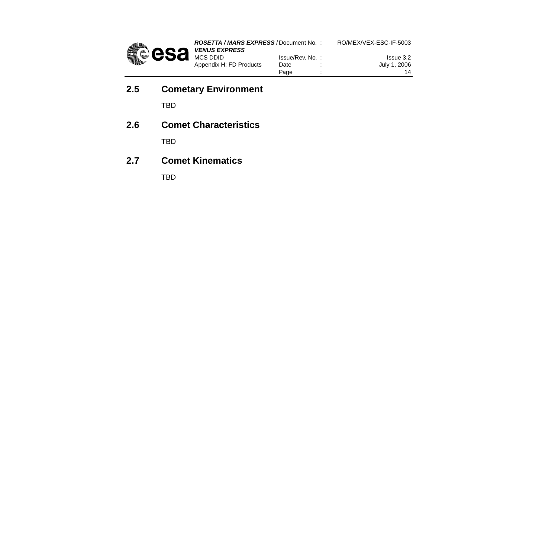

| Issue 3.2    |
|--------------|
| July 1, 2006 |
| 14           |

 **2.5 Cometary Environment**

TBD

 **2.6 Comet Characteristics**

TBD

## **2.7 Comet Kinematics**

TBD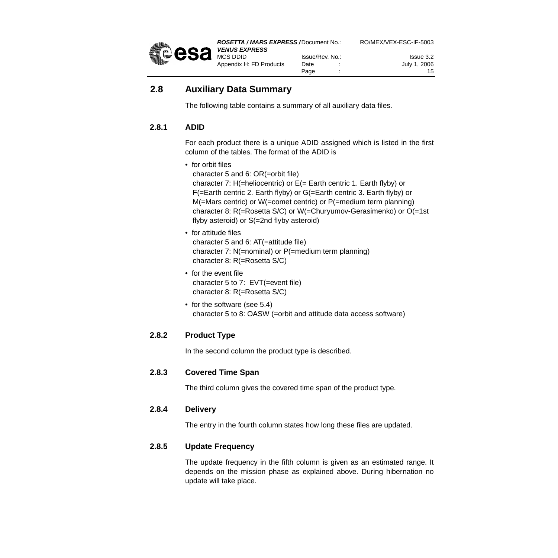**ROSETTA / MARS EXPRESS /**Document No.: RO/MEX/VEX-ESC-IF-5003



**VENUS EXPRESS** MCS DDID **ISSUE/Rev. No.:** ISSUE ISSUE 3.2 Appendix H: FD Products Date : July 1, 2006 Page : 15

## **2.8 Auxiliary Data Summary**

The following table contains a summary of all auxiliary data files.

## **2.8.1 ADID**

For each product there is a unique ADID assigned which is listed in the first column of the tables. The format of the ADID is

• for orbit files

character 5 and 6: OR(=orbit file) character 7: H(=heliocentric) or E(= Earth centric 1. Earth flyby) or F(=Earth centric 2. Earth flyby) or G(=Earth centric 3. Earth flyby) or M(=Mars centric) or W(=comet centric) or P(=medium term planning) character 8: R(=Rosetta S/C) or W(=Churyumov-Gerasimenko) or O(=1st flyby asteroid) or S(=2nd flyby asteroid)

- for attitude files character 5 and 6: AT(=attitude file) character 7: N(=nominal) or P(=medium term planning) character 8: R(=Rosetta S/C)
- for the event file character 5 to 7: EVT(=event file) character 8: R(=Rosetta S/C)
- for the software (see [5.4\)](#page-92-0) character 5 to 8: OASW (=orbit and attitude data access software)

## **2.8.2 Product Type**

In the second column the product type is described.

## **2.8.3 Covered Time Span**

The third column gives the covered time span of the product type.

## **2.8.4 Delivery**

The entry in the fourth column states how long these files are updated.

## **2.8.5 Update Frequency**

The update frequency in the fifth column is given as an estimated range. It depends on the mission phase as explained above. During hibernation no update will take place.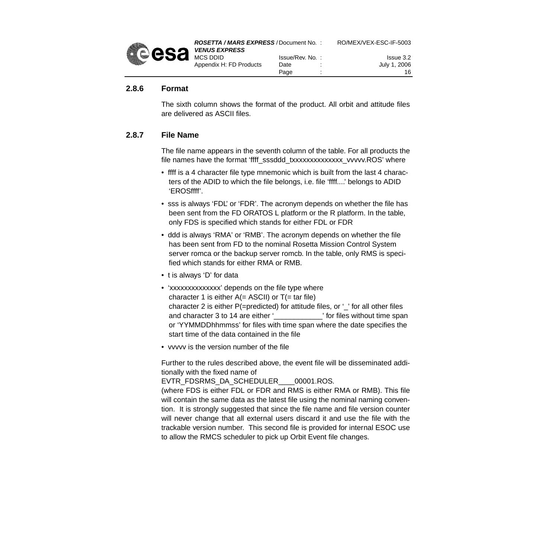

#### **2.8.6 Format**

The sixth column shows the format of the product. All orbit and attitude files are delivered as ASCII files.

#### **2.8.7 File Name**

The file name appears in the seventh column of the table. For all products the file names have the format 'ffff\_sssddd\_txxxxxxxxxxxxxx\_vvvvv.ROS' where

- ffff is a 4 character file type mnemonic which is built from the last 4 characters of the ADID to which the file belongs, i.e. file 'ffff....' belongs to ADID 'EROSffff'.
- sss is always 'FDL' or 'FDR'. The acronym depends on whether the file has been sent from the FD ORATOS L platform or the R platform. In the table, only FDS is specified which stands for either FDL or FDR
- ddd is always 'RMA' or 'RMB'. The acronym depends on whether the file has been sent from FD to the nominal Rosetta Mission Control System server romca or the backup server romcb. In the table, only RMS is specified which stands for either RMA or RMB.
- t is always 'D' for data
- 'xxxxxxxxxxxxxx' depends on the file type where character 1 is either  $A(= ASCII)$  or  $T(= tar file)$ character 2 is either  $P(=$ predicted) for attitude files, or ' $\cdot$ ' for all other files and character 3 to 14 are either '\_\_\_\_\_\_\_\_\_\_\_\_' for files without time span or 'YYMMDDhhmmss' for files with time span where the date specifies the start time of the data contained in the file
- vvvvv is the version number of the file

Further to the rules described above, the event file will be disseminated additionally with the fixed name of

#### EVTR\_FDSRMS\_DA\_SCHEDULER\_\_\_\_00001.ROS.

(where FDS is either FDL or FDR and RMS is either RMA or RMB). This file will contain the same data as the latest file using the nominal naming convention. It is strongly suggested that since the file name and file version counter will never change that all external users discard it and use the file with the trackable version number. This second file is provided for internal ESOC use to allow the RMCS scheduler to pick up Orbit Event file changes.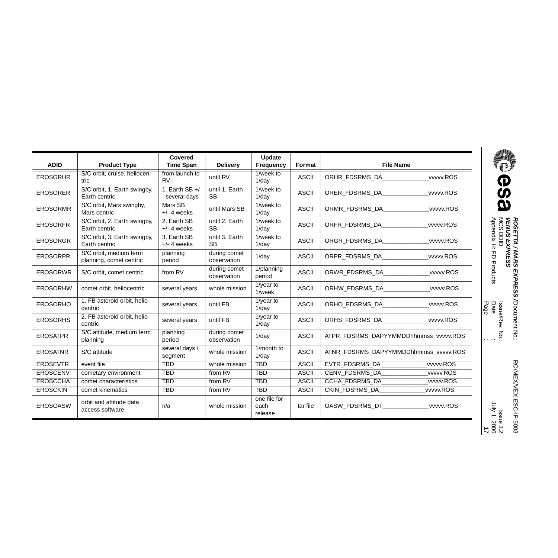| <b>ADID</b>     | <b>Product Type</b>                               | <b>Covered</b><br><b>Time Span</b>  | <b>Delivery</b>             | <b>Update</b><br><b>Frequency</b> | Format       | <b>File Name</b>                          |
|-----------------|---------------------------------------------------|-------------------------------------|-----------------------------|-----------------------------------|--------------|-------------------------------------------|
| <b>EROSORHR</b> | S/C orbit, cruise, heliocen-<br>tric              | from launch to<br><b>RV</b>         | until RV                    | 1/week to<br>$1$ /day             | <b>ASCII</b> | vvvvv.ROS                                 |
| <b>EROSORER</b> | S/C orbit, 1. Earth swingby,<br>Earth centric     | 1. Earth $SB +$ /<br>- several days | until 1. Earth<br><b>SB</b> | 1/week to<br>$1$ /day             | <b>ASCII</b> | vvvvv.ROS                                 |
| <b>EROSORMR</b> | S/C orbit, Mars swingby,<br>Mars centric          | Mars SB<br>$+/-$ 4 weeks            | until Mars SB               | 1/week to<br>$1$ /day             | <b>ASCII</b> | ORMR_FDSRMS_DA__________<br>vvvvv.ROS     |
| <b>EROSORFR</b> | S/C orbit, 2. Earth swingby,<br>Earth centric     | 2. Earth SB<br>$+/-$ 4 weeks        | until 2. Earth<br><b>SB</b> | 1/week to<br>$1$ /day             | <b>ASCII</b> | vvvvv.ROS                                 |
| <b>EROSORGR</b> | S/C orbit, 3. Earth swingby,<br>Earth centric     | 3. Earth SB<br>$+/-$ 4 weeks        | until 3. Earth<br><b>SB</b> | 1/week to<br>$1$ /day             | <b>ASCII</b> | ORGR_FDSRMS_DA__________<br>vvvvv.ROS     |
| <b>EROSORPR</b> | S/C orbit, medium term<br>planning, comet centric | planning<br>period                  | during comet<br>observation | $1$ /day                          | <b>ASCII</b> | ORPR_FDSRMS_DA<br>vvvvv.ROS               |
| <b>EROSORWR</b> | S/C orbit, comet centric                          | from RV                             | during comet<br>observation | 1/planning<br>period              | <b>ASCII</b> | ORWR_FDSRMS_DA<br>vvvvv.ROS               |
| <b>EROSORHW</b> | comet orbit, heliocentric                         | several years                       | whole mission               | $1$ /year to<br>1/week            | <b>ASCII</b> | ORHW_FDSRMS_DA<br>vvvvv.ROS               |
| <b>EROSORHO</b> | 1. FB asteroid orbit, helio-<br>centric           | several years                       | until FB                    | 1/year to<br>$1$ /day             | <b>ASCII</b> | ORHO FDSRMS DA<br>vvvvv.ROS               |
| <b>EROSORHS</b> | 2. FB asteroid orbit, helio-<br>centric           | several years                       | until FB                    | $1$ /year to<br>$1$ /day          | <b>ASCII</b> | ORHS_FDSRMS_DA_________________vvvvv.ROS  |
| <b>EROSATPR</b> | S/C attitude, medium term<br>planning             | planning<br>period                  | during comet<br>observation | $1$ /day                          | <b>ASCII</b> | ATPR_FDSRMS_DAPYYMMDDhhmmss_vvvvv.ROS     |
| <b>EROSATNR</b> | S/C attitude                                      | several days /<br>segment           | whole mission               | 1/month to<br>$1$ /day            | <b>ASCII</b> | ATNR_FDSRMS_DAPYYMMDDhhmmss_vvvvv.ROS     |
| <b>EROSEVTR</b> | event file                                        | <b>TBD</b>                          | whole mission               | <b>TBD</b>                        | <b>ASCII</b> | EVTR FDSRMS DA<br>vvvvv.ROS               |
| <b>EROSCENV</b> | cometary environment                              | <b>TBD</b>                          | from RV                     | <b>TBD</b>                        | <b>ASCII</b> | <b>CENV FDSRMS DA</b><br>vvvvv.ROS        |
| <b>EROSCCHA</b> | comet characteristics                             | <b>TBD</b>                          | from RV                     | <b>TBD</b>                        | <b>ASCII</b> | <b>CCHA FDSRMS DA</b><br>vvvvv.ROS        |
| <b>EROSCKIN</b> | comet kinematics                                  | <b>TBD</b>                          | from RV                     | <b>TBD</b>                        | <b>ASCII</b> | CKIN FDSRMS DA<br>vvvvv.ROS               |
| <b>EROSOASW</b> | orbit and attitude data<br>access software        | n/a                                 | whole mission               | one file for<br>each<br>release   | tar file     | OASW_FDSRMS_DT__________________vvvvv.ROS |



ROSETTA / MARS EXPRESS / Document No.:<br>VENUS EXPRESS<br>MCS DDID<br>Appendix H: FD Products Date MCS DDID ISSUE ISSUE/Rev. No.: ISSUE 3.2 **VENUS EXPRESS ROSETTA / MARS EXPRESS /**Issue/Rev. No.<br>Date<br>Page :

Document No.: RO/MEX/VEX-ESC-IF-5003 RO/MEX/VEX-ESC-IF-5003

Appendix H: FD Products Date : July 1, 2006 Issue 3.2<br>July 1, 2006<br>July 1, 2006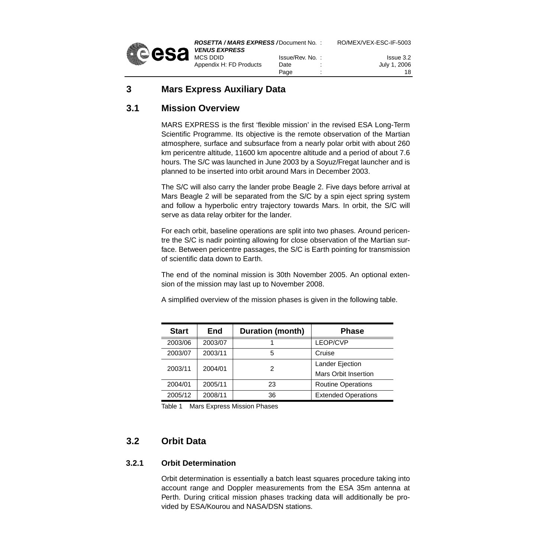

**VENUS EXPRESS**

## **3 Mars Express Auxiliary Data**

## **3.1 Mission Overview**

MARS EXPRESS is the first 'flexible mission' in the revised ESA Long-Term Scientific Programme. Its objective is the remote observation of the Martian atmosphere, surface and subsurface from a nearly polar orbit with about 260 km pericentre altitude, 11600 km apocentre altitude and a period of about 7.6 hours. The S/C was launched in June 2003 by a Soyuz/Fregat launcher and is planned to be inserted into orbit around Mars in December 2003.

The S/C will also carry the lander probe Beagle 2. Five days before arrival at Mars Beagle 2 will be separated from the S/C by a spin eject spring system and follow a hyperbolic entry trajectory towards Mars. In orbit, the S/C will serve as data relay orbiter for the lander.

For each orbit, baseline operations are split into two phases. Around pericentre the S/C is nadir pointing allowing for close observation of the Martian surface. Between pericentre passages, the S/C is Earth pointing for transmission of scientific data down to Earth.

The end of the nominal mission is 30th November 2005. An optional extension of the mission may last up to November 2008.

A simplified overview of the mission phases is given in the following table.

| <b>Start</b> | <b>End</b> | <b>Duration (month)</b> | <b>Phase</b>                |
|--------------|------------|-------------------------|-----------------------------|
| 2003/06      | 2003/07    |                         | LEOP/CVP                    |
| 2003/07      | 2003/11    | 5                       | Cruise                      |
| 2003/11      | 2004/01    | $\mathcal{P}$           | Lander Ejection             |
|              |            |                         | <b>Mars Orbit Insertion</b> |
| 2004/01      | 2005/11    | 23                      | <b>Routine Operations</b>   |
| 2005/12      | 2008/11    | 36                      | <b>Extended Operations</b>  |

Table 1 Mars Express Mission Phases

## **3.2 Orbit Data**

## **3.2.1 Orbit Determination**

Orbit determination is essentially a batch least squares procedure taking into account range and Doppler measurements from the ESA 35m antenna at Perth. During critical mission phases tracking data will additionally be provided by ESA/Kourou and NASA/DSN stations.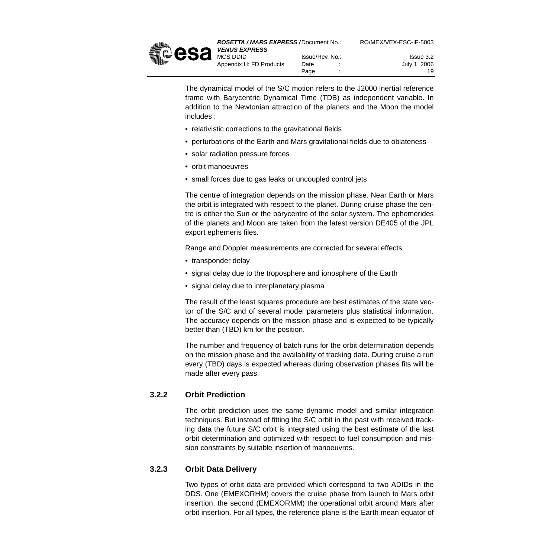**ROSETTA / MARS EXPRESS /**Document No.: RO/MEX/VEX-ESC-IF-5003

| CSA VENUS EXPRESS       | Issue/Rev. No.: | Issue 3.2    |
|-------------------------|-----------------|--------------|
| Appendix H: FD Products | Date            | July 1, 2006 |
|                         | Page            | 19           |

The dynamical model of the S/C motion refers to the J2000 inertial reference frame with Barycentric Dynamical Time (TDB) as independent variable. In addition to the Newtonian attraction of the planets and the Moon the model includes :

- relativistic corrections to the gravitational fields
- perturbations of the Earth and Mars gravitational fields due to oblateness
- solar radiation pressure forces
- orbit manoeuvres
- small forces due to gas leaks or uncoupled control jets

The centre of integration depends on the mission phase. Near Earth or Mars the orbit is integrated with respect to the planet. During cruise phase the centre is either the Sun or the barycentre of the solar system. The ephemerides of the planets and Moon are taken from the latest version DE405 of the JPL export ephemeris files.

Range and Doppler measurements are corrected for several effects:

- transponder delay
- signal delay due to the troposphere and ionosphere of the Earth
- signal delay due to interplanetary plasma

The result of the least squares procedure are best estimates of the state vector of the S/C and of several model parameters plus statistical information. The accuracy depends on the mission phase and is expected to be typically better than (TBD) km for the position.

The number and frequency of batch runs for the orbit determination depends on the mission phase and the availability of tracking data. During cruise a run every (TBD) days is expected whereas during observation phases fits will be made after every pass.

## **3.2.2 Orbit Prediction**

The orbit prediction uses the same dynamic model and similar integration techniques. But instead of fitting the S/C orbit in the past with received tracking data the future S/C orbit is integrated using the best estimate of the last orbit determination and optimized with respect to fuel consumption and mission constraints by suitable insertion of manoeuvres.

## **3.2.3 Orbit Data Delivery**

Two types of orbit data are provided which correspond to two ADIDs in the DDS. One (EMEXORHM) covers the cruise phase from launch to Mars orbit insertion, the second (EMEXORMM) the operational orbit around Mars after orbit insertion. For all types, the reference plane is the Earth mean equator of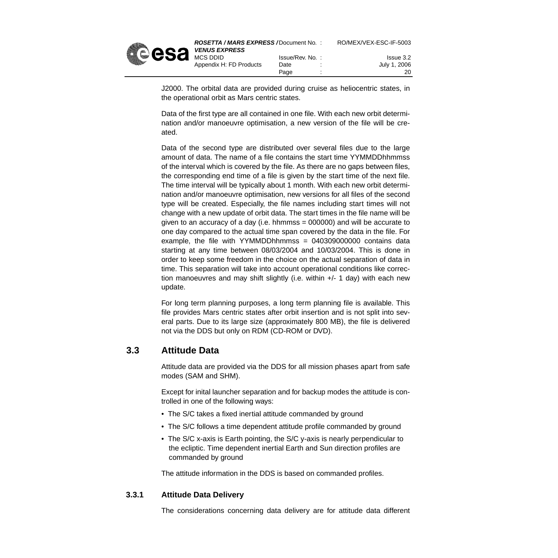| <b>ROSETTA / MARS EXPRESS / Document No. :</b> |                 | RO/MEX/VEX-ESC-IF-5003 |
|------------------------------------------------|-----------------|------------------------|
| CSA VENUS EXPRESS                              |                 |                        |
|                                                | Issue/Rev. No.: | Issue 3.2              |
| Appendix H: FD Products                        | Date            | July 1, 2006           |
|                                                | Page            | 20                     |

J2000. The orbital data are provided during cruise as heliocentric states, in the operational orbit as Mars centric states.

Data of the first type are all contained in one file. With each new orbit determination and/or manoeuvre optimisation, a new version of the file will be created.

Data of the second type are distributed over several files due to the large amount of data. The name of a file contains the start time YYMMDDhhmmss of the interval which is covered by the file. As there are no gaps between files, the corresponding end time of a file is given by the start time of the next file. The time interval will be typically about 1 month. With each new orbit determination and/or manoeuvre optimisation, new versions for all files of the second type will be created. Especially, the file names including start times will not change with a new update of orbit data. The start times in the file name will be given to an accuracy of a day (i.e. hhmmss = 000000) and will be accurate to one day compared to the actual time span covered by the data in the file. For example, the file with YYMMDDhhmmss  $= 040309000000$  contains data starting at any time between 08/03/2004 and 10/03/2004. This is done in order to keep some freedom in the choice on the actual separation of data in time. This separation will take into account operational conditions like correction manoeuvres and may shift slightly (i.e. within +/- 1 day) with each new update.

For long term planning purposes, a long term planning file is available. This file provides Mars centric states after orbit insertion and is not split into several parts. Due to its large size (approximately 800 MB), the file is delivered not via the DDS but only on RDM (CD-ROM or DVD).

## **3.3 Attitude Data**

Attitude data are provided via the DDS for all mission phases apart from safe modes (SAM and SHM).

Except for inital launcher separation and for backup modes the attitude is controlled in one of the following ways:

- The S/C takes a fixed inertial attitude commanded by ground
- The S/C follows a time dependent attitude profile commanded by ground
- The S/C x-axis is Earth pointing, the S/C y-axis is nearly perpendicular to the ecliptic. Time dependent inertial Earth and Sun direction profiles are commanded by ground

The attitude information in the DDS is based on commanded profiles.

## **3.3.1 Attitude Data Delivery**

The considerations concerning data delivery are for attitude data different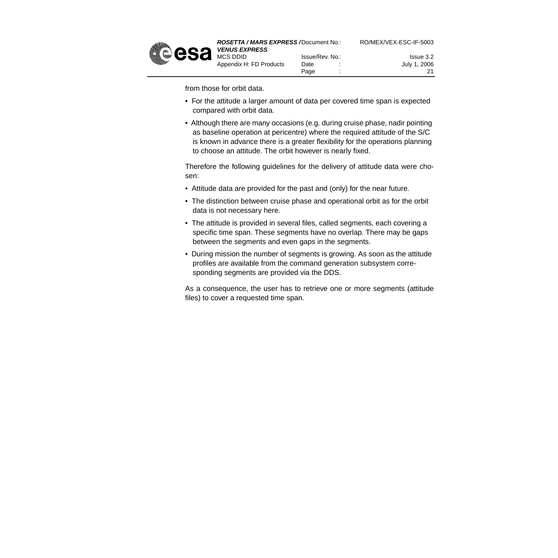from those for orbit data.

- For the attitude a larger amount of data per covered time span is expected compared with orbit data.
- Although there are many occasions (e.g. during cruise phase, nadir pointing as baseline operation at pericentre) where the required attitude of the S/C is known in advance there is a greater flexibility for the operations planning to choose an attitude. The orbit however is nearly fixed.

Therefore the following guidelines for the delivery of attitude data were chosen:

- Attitude data are provided for the past and (only) for the near future.
- The distinction between cruise phase and operational orbit as for the orbit data is not necessary here.
- The attitude is provided in several files, called segments, each covering a specific time span. These segments have no overlap. There may be gaps between the segments and even gaps in the segments.
- During mission the number of segments is growing. As soon as the attitude profiles are available from the command generation subsystem corresponding segments are provided via the DDS.

As a consequence, the user has to retrieve one or more segments (attitude files) to cover a requested time span.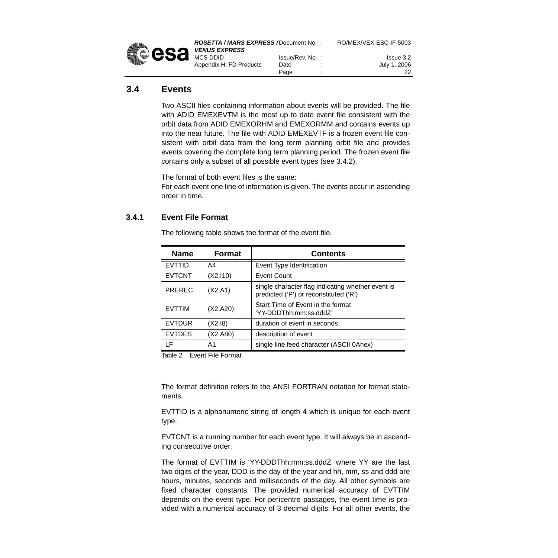

## **3.4 Events**

Two ASCII files containing information about events will be provided. The file with ADID EMEXEVTM is the most up to date event file consistent with the orbit data from ADID EMEXORHM and EMEXORMM and contains events up into the near future. The file with ADID EMEXEVTF is a frozen event file consistent with orbit data from the long term planning orbit file and provides events covering the complete long term planning period. The frozen event file contains only a subset of all possible event types (see [3.4.2\)](#page-30-0).

The format of both event files is the same:

For each event one line of information is given. The events occur in ascending order in time.

#### **3.4.1 Event File Format**

The following table shows the format of the event file.

| <b>Name</b>   | <b>Format</b> | <b>Contents</b>                                                                             |  |  |
|---------------|---------------|---------------------------------------------------------------------------------------------|--|--|
| <b>EVTTID</b> | A4            | Event Type Identification                                                                   |  |  |
| <b>EVTCNT</b> | (X2,110)      | Event Count                                                                                 |  |  |
| <b>PREREC</b> | (X2, A1)      | single character flag indicating whether event is<br>predicted ('P') or reconstituted ('R') |  |  |
| <b>EVTTIM</b> | (X2, A20)     | Start Time of Event in the format<br>'YY-DDDThh:mm:ss.dddZ'                                 |  |  |
| <b>EVTDUR</b> | (X2, 18)      | duration of event in seconds                                                                |  |  |
| <b>EVTDES</b> | (X2, A80)     | description of event                                                                        |  |  |
| ΙF            | A1            | single line feed character (ASCII 0Ahex)                                                    |  |  |

Table 2 Event File Format

The format definition refers to the ANSI FORTRAN notation for format statements.

EVTTID is a alphanumeric string of length 4 which is unique for each event type.

EVTCNT is a running number for each event type. It will always be in ascending consecutive order.

The format of EVTTIM is 'YY-DDDThh:mm:ss.dddZ' where YY are the last two digits of the year, DDD is the day of the year and hh, mm, ss and ddd are hours, minutes, seconds and milliseconds of the day. All other symbols are fixed character constants. The provided numerical accuracy of EVTTIM depends on the event type. For pericentre passages, the event time is provided with a numerical accuracy of 3 decimal digits. For all other events, the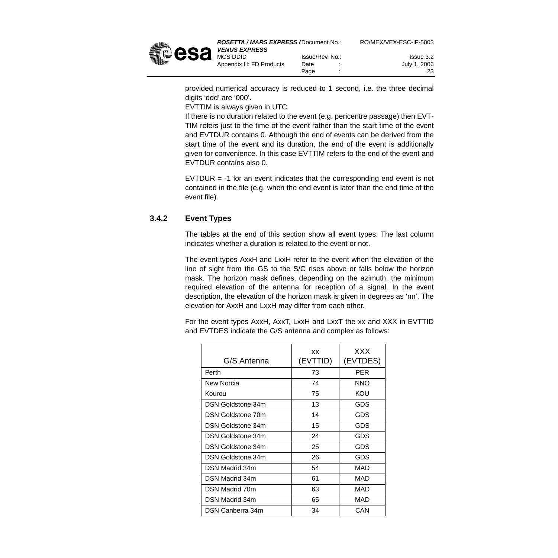|                                             | <b>ROSETTA / MARS EXPRESS / Document No.:</b> |                 |  | RO/MEX/VEX-ESC-IF-5003 |
|---------------------------------------------|-----------------------------------------------|-----------------|--|------------------------|
| <b>CSA</b> <i>VENUS EXPRESS</i><br>MCS DDID |                                               | Issue/Rev. No.: |  | Issue 3.2              |
|                                             | Appendix H: FD Products                       | Date            |  | July 1, 2006           |
|                                             |                                               | Page            |  |                        |

provided numerical accuracy is reduced to 1 second, i.e. the three decimal digits 'ddd' are '000'.

EVTTIM is always given in UTC.

If there is no duration related to the event (e.g. pericentre passage) then EVT-TIM refers just to the time of the event rather than the start time of the event and EVTDUR contains 0. Although the end of events can be derived from the start time of the event and its duration, the end of the event is additionally given for convenience. In this case EVTTIM refers to the end of the event and EVTDUR contains also 0.

EVTDUR = -1 for an event indicates that the corresponding end event is not contained in the file (e.g. when the end event is later than the end time of the event file).

#### <span id="page-30-0"></span> **3.4.2 Event Types**

The tables at the end of this section show all event types. The last column indicates whether a duration is related to the event or not.

The event types AxxH and LxxH refer to the event when the elevation of the line of sight from the GS to the S/C rises above or falls below the horizon mask. The horizon mask defines, depending on the azimuth, the minimum required elevation of the antenna for reception of a signal. In the event description, the elevation of the horizon mask is given in degrees as 'nn'. The elevation for AxxH and LxxH may differ from each other.

For the event types AxxH, AxxT, LxxH and LxxT the xx and XXX in EVTTID and EVTDES indicate the G/S antenna and complex as follows:

| G/S Antenna       | XX<br>(EVTTID) | XXX<br>(EVTDES) |
|-------------------|----------------|-----------------|
| Perth             | 73             | PER             |
| New Norcia        | 74             | NNO             |
| Kourou            | 75             | KOU             |
| DSN Goldstone 34m | 13             | <b>GDS</b>      |
| DSN Goldstone 70m | 14             | GDS             |
| DSN Goldstone 34m | 15             | <b>GDS</b>      |
| DSN Goldstone 34m | 24             | GDS             |
| DSN Goldstone 34m | 25             | <b>GDS</b>      |
| DSN Goldstone 34m | 26             | <b>GDS</b>      |
| DSN Madrid 34m    | 54             | MAD             |
| DSN Madrid 34m    | 61             | MAD             |
| DSN Madrid 70m    | 63             | MAD             |
| DSN Madrid 34m    | 65             | MAD             |
| DSN Canberra 34m  | 34             | CAN             |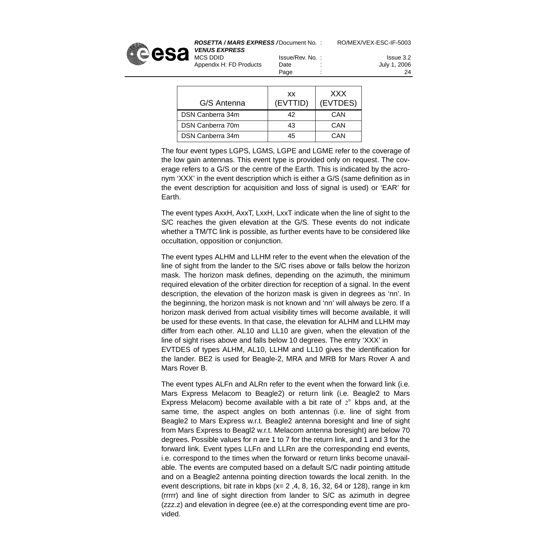**ROSETTA / MARS EXPRESS /** Document No. : RO/MEX/VEX-ESC-IF-5003



**VENUS EXPRESS** MCS DDID **ISSUE/Rev. No. :** ISSUE ISSUE 3.2 Appendix H: FD Products Date : The Sulvey of Appendix H: FD Products Date : July 1, 2006

Page : 24

| G/S Antenna      | XX<br>(EVTTID) | <b>XXX</b><br>(EVTDES) |
|------------------|----------------|------------------------|
| DSN Canberra 34m | 42             | CAN                    |
| DSN Canberra 70m | 43             | CAN                    |
| DSN Canberra 34m | 45             | CAN                    |

The four event types LGPS, LGMS, LGPE and LGME refer to the coverage of the low gain antennas. This event type is provided only on request. The coverage refers to a G/S or the centre of the Earth. This is indicated by the acronym 'XXX' in the event description which is either a G/S (same definition as in the event description for acquisition and loss of signal is used) or 'EAR' for Earth.

The event types AxxH, AxxT, LxxH, LxxT indicate when the line of sight to the S/C reaches the given elevation at the G/S. These events do not indicate whether a TM/TC link is possible, as further events have to be considered like occultation, opposition or conjunction.

The event types ALHM and LLHM refer to the event when the elevation of the line of sight from the lander to the S/C rises above or falls below the horizon mask. The horizon mask defines, depending on the azimuth, the minimum required elevation of the orbiter direction for reception of a signal. In the event description, the elevation of the horizon mask is given in degrees as 'nn'. In the beginning, the horizon mask is not known and 'nn' will always be zero. If a horizon mask derived from actual visibility times will become available, it will be used for these events. In that case, the elevation for ALHM and LLHM may differ from each other. AL10 and LL10 are given, when the elevation of the line of sight rises above and falls below 10 degrees. The entry 'XXX' in EVTDES of types ALHM, AL10, LLHM and LL10 gives the identification for the lander. BE2 is used for Beagle-2, MRA and MRB for Mars Rover A and Mars Rover B.

The event types ALFn and ALRn refer to the event when the forward link (i.e. Mars Express Melacom to Beagle2) or return link (i.e. Beagle2 to Mars Express Melacom) become available with a bit rate of  $2<sup>n</sup>$  kbps and, at the same time, the aspect angles on both antennas (i.e. line of sight from Beagle2 to Mars Express w.r.t. Beagle2 antenna boresight and line of sight from Mars Express to Beagl2 w.r.t. Melacom antenna boresight) are below 70 degrees. Possible values for n are 1 to 7 for the return link, and 1 and 3 for the forward link. Event types LLFn and LLRn are the corresponding end events, i.e. correspond to the times when the forward or return links become unavailable. The events are computed based on a default S/C nadir pointing attitude and on a Beagle2 antenna pointing direction towards the local zenith. In the event descriptions, bit rate in kbps (x= 2 ,4, 8, 16, 32, 64 or 128), range in km (rrrrr) and line of sight direction from lander to S/C as azimuth in degree (zzz.z) and elevation in degree (ee.e) at the corresponding event time are provided.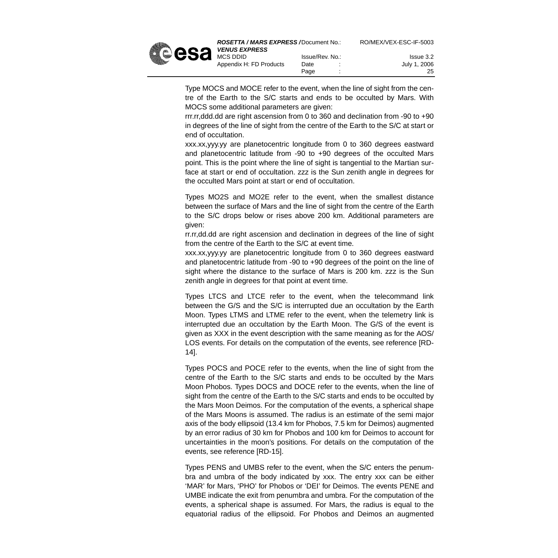

Type MOCS and MOCE refer to the event, when the line of sight from the centre of the Earth to the S/C starts and ends to be occulted by Mars. With MOCS some additional parameters are given:

rrr.rr,ddd.dd are right ascension from 0 to 360 and declination from -90 to +90 in degrees of the line of sight from the centre of the Earth to the S/C at start or end of occultation.

xxx.xx,yyy.yy are planetocentric longitude from 0 to 360 degrees eastward and planetocentric latitude from -90 to +90 degrees of the occulted Mars point. This is the point where the line of sight is tangential to the Martian surface at start or end of occultation. zzz is the Sun zenith angle in degrees for the occulted Mars point at start or end of occultation.

Types MO2S and MO2E refer to the event, when the smallest distance between the surface of Mars and the line of sight from the centre of the Earth to the S/C drops below or rises above 200 km. Additional parameters are given:

rr.rr,dd.dd are right ascension and declination in degrees of the line of sight from the centre of the Earth to the S/C at event time.

xxx.xx,yyy.yy are planetocentric longitude from 0 to 360 degrees eastward and planetocentric latitude from -90 to +90 degrees of the point on the line of sight where the distance to the surface of Mars is 200 km. zzz is the Sun zenith angle in degrees for that point at event time.

Types LTCS and LTCE refer to the event, when the telecommand link between the G/S and the S/C is interrupted due an occultation by the Earth Moon. Types LTMS and LTME refer to the event, when the telemetry link is interrupted due an occultation by the Earth Moon. The G/S of the event is given as XXX in the event description with the same meaning as for the AOS/ LOS events. For details on the computation of the events, see reference [RD-14].

Types POCS and POCE refer to the events, when the line of sight from the centre of the Earth to the S/C starts and ends to be occulted by the Mars Moon Phobos. Types DOCS and DOCE refer to the events, when the line of sight from the centre of the Earth to the S/C starts and ends to be occulted by the Mars Moon Deimos. For the computation of the events, a spherical shape of the Mars Moons is assumed. The radius is an estimate of the semi major axis of the body ellipsoid (13.4 km for Phobos, 7.5 km for Deimos) augmented by an error radius of 30 km for Phobos and 100 km for Deimos to account for uncertainties in the moon's positions. For details on the computation of the events, see reference [RD-15].

Types PENS and UMBS refer to the event, when the S/C enters the penumbra and umbra of the body indicated by xxx. The entry xxx can be either 'MAR' for Mars, 'PHO' for Phobos or 'DEI' for Deimos. The events PENE and UMBE indicate the exit from penumbra and umbra. For the computation of the events, a spherical shape is assumed. For Mars, the radius is equal to the equatorial radius of the ellipsoid. For Phobos and Deimos an augmented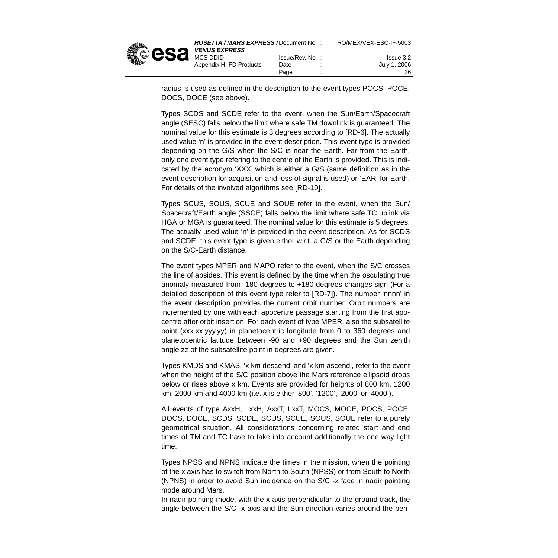| <b>ROSETTA / MARS EXPRESS / Document No. :</b> |                 | RO/MEX/VEX-ESC-IF-5003 |
|------------------------------------------------|-----------------|------------------------|
| <b>S2</b> VENUS EXPRESS                        | Issue/Rev. No.: | Issue 3.2              |
| Appendix H: FD Products                        | Date            | July 1, 2006           |
|                                                | Page            | 26                     |

radius is used as defined in the description to the event types POCS, POCE, DOCS, DOCE (see above).

Types SCDS and SCDE refer to the event, when the Sun/Earth/Spacecraft angle (SESC) falls below the limit where safe TM downlink is guaranteed. The nominal value for this estimate is 3 degrees according to [RD-6]. The actually used value 'n' is provided in the event description. This event type is provided depending on the G/S when the S/C is near the Earth. Far from the Earth, only one event type refering to the centre of the Earth is provided. This is indicated by the acronym 'XXX' which is either a G/S (same definition as in the event description for acquisition and loss of signal is used) or 'EAR' for Earth. For details of the involved algorithms see [RD-10].

Types SCUS, SOUS, SCUE and SOUE refer to the event, when the Sun/ Spacecraft/Earth angle (SSCE) falls below the limit where safe TC uplink via HGA or MGA is guaranteed. The nominal value for this estimate is 5 degrees. The actually used value 'n' is provided in the event description. As for SCDS and SCDE, this event type is given either w.r.t. a G/S or the Earth depending on the S/C-Earth distance.

The event types MPER and MAPO refer to the event, when the S/C crosses the line of apsides. This event is defined by the time when the osculating true anomaly measured from -180 degrees to +180 degrees changes sign (For a detailed description of this event type refer to [RD-7]). The number 'nnnn' in the event description provides the current orbit number. Orbit numbers are incremented by one with each apocentre passage starting from the first apocentre after orbit insertion. For each event of type MPER, also the subsatellite point (xxx.xx,yyy.yy) in planetocentric longitude from 0 to 360 degrees and planetocentric latitude between -90 and +90 degrees and the Sun zenith angle zz of the subsatellite point in degrees are given.

Types KMDS and KMAS, 'x km descend' and 'x km ascend', refer to the event when the height of the S/C position above the Mars reference ellipsoid drops below or rises above x km. Events are provided for heights of 800 km, 1200 km, 2000 km and 4000 km (i.e. x is either '800', '1200', '2000' or '4000').

All events of type AxxH, LxxH, AxxT, LxxT, MOCS, MOCE, POCS, POCE, DOCS, DOCE, SCDS, SCDE, SCUS, SCUE, SOUS, SOUE refer to a purely geometrical situation. All considerations concerning related start and end times of TM and TC have to take into account additionally the one way light time.

Types NPSS and NPNS indicate the times in the mission, when the pointing of the x axis has to switch from North to South (NPSS) or from South to North (NPNS) in order to avoid Sun incidence on the S/C -x face in nadir pointing mode around Mars.

In nadir pointing mode, with the x axis perpendicular to the ground track, the angle between the S/C -x axis and the Sun direction varies around the peri-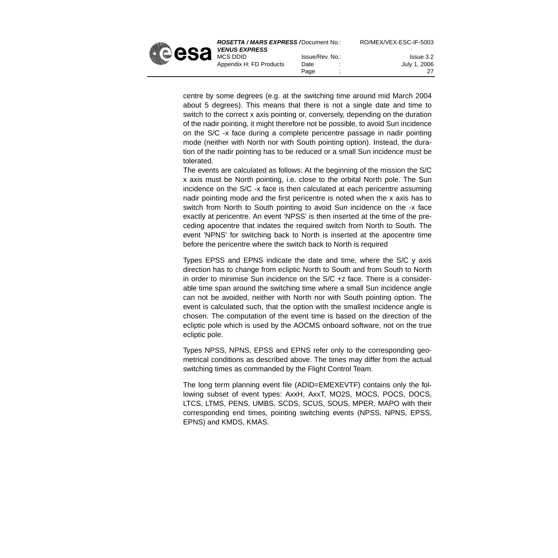

| <b>ROSETTA / MARS EXPRESS / Document No.:</b> |                 | RO/MEX/VEX-ESC-IF-5003 |              |
|-----------------------------------------------|-----------------|------------------------|--------------|
| <b>VENUS EXPRESS</b>                          |                 |                        |              |
| MCS DDID                                      | Issue/Rev. No.: |                        | Issue 3.2    |
| Appendix H: FD Products                       | Date            |                        | July 1, 2006 |
|                                               | Page            |                        |              |

centre by some degrees (e.g. at the switching time around mid March 2004 about 5 degrees). This means that there is not a single date and time to switch to the correct x axis pointing or, conversely, depending on the duration of the nadir pointing, it might therefore not be possible, to avoid Sun incidence on the S/C -x face during a complete pericentre passage in nadir pointing mode (neither with North nor with South pointing option). Instead, the duration of the nadir pointing has to be reduced or a small Sun incidence must be tolerated.

The events are calculated as follows: At the beginning of the mission the S/C x axis must be North pointing, i.e. close to the orbital North pole. The Sun incidence on the S/C -x face is then calculated at each pericentre assuming nadir pointing mode and the first pericentre is noted when the x axis has to switch from North to South pointing to avoid Sun incidence on the -x face exactly at pericentre. An event 'NPSS' is then inserted at the time of the preceding apocentre that indates the required switch from North to South. The event 'NPNS' for switching back to North is inserted at the apocentre time before the pericentre where the switch back to North is required

Types EPSS and EPNS indicate the date and time, where the S/C y axis direction has to change from ecliptic North to South and from South to North in order to minimise Sun incidence on the S/C +z face. There is a considerable time span around the switching time where a small Sun incidence angle can not be avoided, neither with North nor with South pointing option. The event is calculated such, that the option with the smallest incidence angle is chosen. The computation of the event time is based on the direction of the ecliptic pole which is used by the AOCMS onboard software, not on the true ecliptic pole.

Types NPSS, NPNS, EPSS and EPNS refer only to the corresponding geometrical conditions as described above. The times may differ from the actual switching times as commanded by the Flight Control Team.

The long term planning event file (ADID=EMEXEVTF) contains only the following subset of event types: AxxH, AxxT, MO2S, MOCS, POCS, DOCS, LTCS, LTMS, PENS, UMBS, SCDS, SCUS, SOUS, MPER, MAPO with their corresponding end times, pointing switching events (NPSS, NPNS, EPSS, EPNS) and KMDS, KMAS.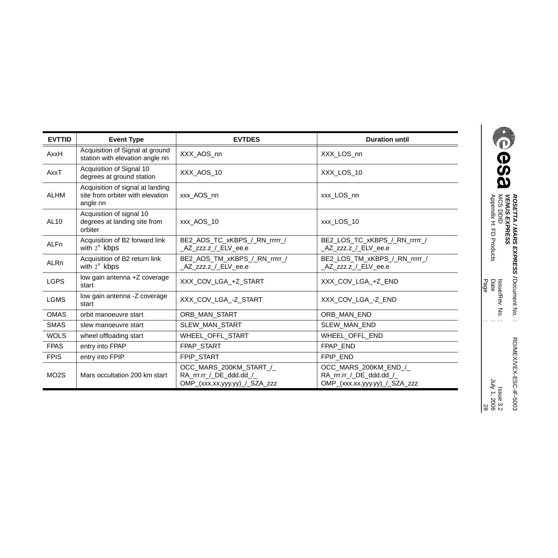| <b>EVTTID</b>     | <b>Event Type</b>                                                                | <b>EVTDES</b>                                                                        | <b>Duration until</b>                                                              |
|-------------------|----------------------------------------------------------------------------------|--------------------------------------------------------------------------------------|------------------------------------------------------------------------------------|
| AxxH              | Acquisition of Signal at ground<br>station with elevation angle nn               | XXX AOS nn                                                                           | XXX LOS nn                                                                         |
| AxxT              | Acquisition of Signal 10<br>degrees at ground station                            | XXX AOS 10                                                                           | XXX LOS 10                                                                         |
| <b>ALHM</b>       | Acquisition of signal at landing<br>site from orbiter with elevation<br>angle nn | xxx_AOS_nn                                                                           | xxx_LOS_nn                                                                         |
| <b>AL10</b>       | Acquisition of signal 10<br>degrees at landing site from<br>orbiter              | xxx_AOS_10                                                                           | xxx_LOS_10                                                                         |
| <b>ALFn</b>       | Acquisition of B2 forward link<br>with $2n$ kbps                                 | BE2 AOS TC xKBPS / RN rrrrr /<br>AZ_zzz.z_/_ELV_ee.e                                 | BE2 LOS TC xKBPS / RN rrrrr /<br>_AZ_zzz.z_/_ELV_ee.e                              |
| ALRn              | Acquisition of B2 return link<br>with $2n$ kbps                                  | BE2_AOS_TM_xKBPS_/_RN_rrrrr_/<br>AZ_zzz.z_/_ELV_ee.e                                 | BE2_LOS_TM_xKBPS_/_RN_rrrrr_/<br>_AZ_zzz.z_/_ELV_ee.e                              |
| <b>LGPS</b>       | low gain antenna +Z coverage<br>start                                            | XXX_COV_LGA_+Z_START                                                                 | XXX_COV_LGA_+Z_END                                                                 |
| <b>LGMS</b>       | low gain antenna -Z coverage<br>start                                            | XXX_COV_LGA_-Z_START                                                                 | XXX_COV_LGA_-Z_END                                                                 |
| <b>OMAS</b>       | orbit manoeuvre start                                                            | ORB_MAN_START                                                                        | ORB_MAN_END                                                                        |
| <b>SMAS</b>       | slew manoeuvre start                                                             | SLEW_MAN_START                                                                       | SLEW_MAN_END                                                                       |
| <b>WOLS</b>       | wheel offloading start                                                           | WHEEL OFFL START                                                                     | WHEEL OFFL END                                                                     |
| <b>FPAS</b>       | entry into FPAP                                                                  | FPAP START                                                                           | FPAP END                                                                           |
| <b>FPIS</b>       | entry into FPIP                                                                  | FPIP START                                                                           | FPIP END                                                                           |
| MO <sub>2</sub> S | Mars occultation 200 km start                                                    | OCC_MARS_200KM_START_/_<br>RA_rrr.rr_/_DE_ddd.dd_/_<br>OMP_(xxx.xx,yyy.yy)_/_SZA_zzz | OCC_MARS_200KM_END_/_<br>RA_rrr.rr_/_DE_ddd.dd_/_<br>OMP_(xxx.xx,yyy.yy)_/_SZA_zzz |



RO/MEX/VEX-ESC-IF-5003

Issue 3.2<br>July 1, 2006<br>28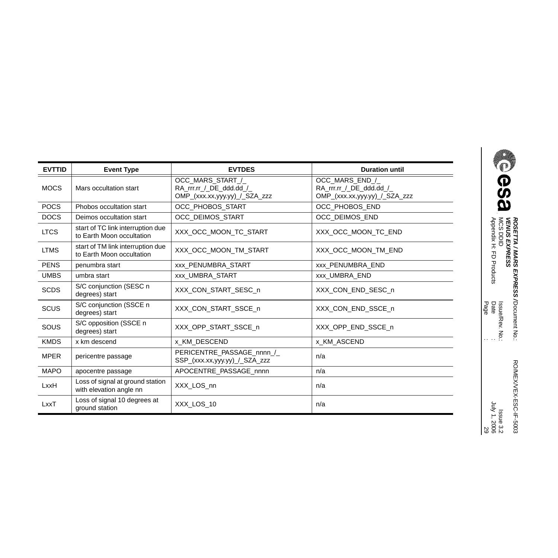| <b>EVTTID</b> | <b>Event Type</b>                                              | <b>EVTDES</b>                                               | <b>Duration until</b>                                     |
|---------------|----------------------------------------------------------------|-------------------------------------------------------------|-----------------------------------------------------------|
|               |                                                                |                                                             |                                                           |
| <b>MOCS</b>   |                                                                | OCC_MARS_START_/_                                           | OCC_MARS_END_/_                                           |
|               | Mars occultation start                                         | RA_rrr.rr_/_DE_ddd.dd_/_<br>OMP_(xxx.xx,yyy.yy)_/_SZA_zzz   | RA_rrr.rr_/_DE_ddd.dd_/_<br>OMP_(xxx.xx,yyy.yy)_/_SZA_zzz |
|               |                                                                |                                                             |                                                           |
| <b>POCS</b>   | Phobos occultation start                                       | OCC PHOBOS START                                            | OCC PHOBOS END                                            |
| <b>DOCS</b>   | Deimos occultation start                                       | OCC DEIMOS START                                            | OCC DEIMOS END                                            |
| <b>LTCS</b>   | start of TC link interruption due<br>to Earth Moon occultation | XXX_OCC_MOON_TC_START                                       | XXX_OCC_MOON_TC_END                                       |
| <b>LTMS</b>   | start of TM link interruption due<br>to Earth Moon occultation | XXX OCC MOON TM START                                       | XXX OCC MOON TM END                                       |
| <b>PENS</b>   | penumbra start                                                 | xxx_PENUMBRA_START                                          | <b>xxx PENUMBRA END</b>                                   |
| <b>UMBS</b>   | umbra start                                                    | xxx_UMBRA_START                                             | xxx_UMBRA_END                                             |
| <b>SCDS</b>   | S/C conjunction (SESC n<br>degrees) start                      | XXX_CON_START_SESC_n                                        | XXX CON END SESC n                                        |
| <b>SCUS</b>   | S/C conjunction (SSCE n<br>degrees) start                      | XXX_CON_START_SSCE_n                                        | XXX CON END SSCE n                                        |
| SOUS          | S/C opposition (SSCE n<br>degrees) start                       | XXX_OPP_START_SSCE_n                                        | XXX_OPP_END_SSCE_n                                        |
| <b>KMDS</b>   | x km descend                                                   | x_KM_DESCEND                                                | x_KM_ASCEND                                               |
| <b>MPER</b>   | pericentre passage                                             | PERICENTRE_PASSAGE_nnnn_/_<br>SSP_(xxx.xx,yyy.yy)_/_SZA_zzz | n/a                                                       |
| <b>MAPO</b>   | apocentre passage                                              | APOCENTRE_PASSAGE_nnnn                                      | n/a                                                       |
| LxxH          | Loss of signal at ground station<br>with elevation angle nn    | XXX LOS nn                                                  | n/a                                                       |
| LxxT          | Loss of signal 10 degrees at<br>ground station                 | XXX_LOS_10                                                  | n/a                                                       |



ROSETTA / MARS EXPRESS / Document No.<br>
UENUS EXPRESS<br>
SUBDID<br>
Appendix H: FD Products<br>
Date<br>
Appendix H: FD Products<br>
Date Appendix H: FD Products Date : July 1, 2006 MCS DDID ISSUE ISSUE/Rev. No.: ISSUE 3.2 **VENUS EXPRESS ROSETTA / MARS EXPRESS /**Issue/Rev. No.:<br>Date<br>Page

Document No.: RO/MEX/VEX-ESC-IF-5003 ROMEXVEX-ESC-IF-5003

Page : 29

Issue 3.2<br>July 1, 2006<br>29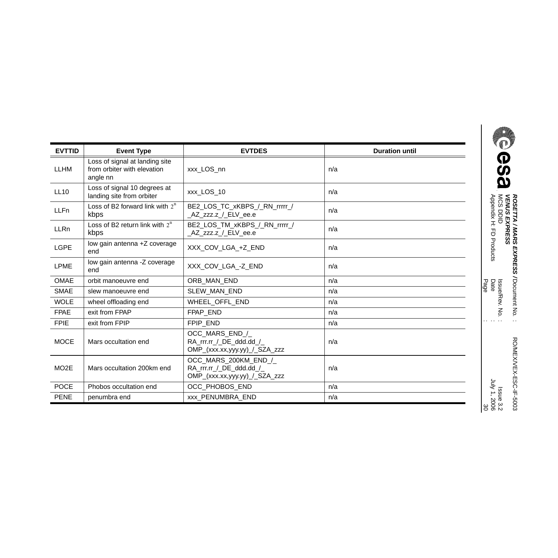| <b>EVTTID</b>     | <b>Event Type</b>                                                         | <b>EVTDES</b>                                                                     | <b>Duration until</b> |
|-------------------|---------------------------------------------------------------------------|-----------------------------------------------------------------------------------|-----------------------|
| <b>LLHM</b>       | Loss of signal at landing site<br>from orbiter with elevation<br>angle nn | xxx_LOS_nn                                                                        | n/a                   |
| <b>LL10</b>       | Loss of signal 10 degrees at<br>landing site from orbiter                 | xxx_LOS_10                                                                        | n/a                   |
| <b>LLFn</b>       | Loss of B2 forward link with $2n$<br>kbps                                 | BE2 LOS TC xKBPS / RN rrrrr /<br>_AZ_zzz.z_/_ELV_ee.e                             | n/a                   |
| <b>LLRn</b>       | Loss of B2 return link with $2n$<br>kbps                                  | BE2_LOS_TM_xKBPS_/_RN_rrrrr_/<br>AZ_zzz.z_/_ELV_ee.e                              | n/a                   |
| <b>LGPE</b>       | low gain antenna +Z coverage<br>end                                       | XXX COV LGA +Z END                                                                | n/a                   |
| <b>LPME</b>       | low gain antenna -Z coverage<br>end                                       | XXX_COV_LGA_-Z_END                                                                | n/a                   |
| <b>OMAE</b>       | orbit manoeuvre end                                                       | ORB MAN END                                                                       | n/a                   |
| <b>SMAE</b>       | slew manoeuvre end                                                        | <b>SLEW MAN END</b>                                                               | n/a                   |
| <b>WOLE</b>       | wheel offloading end                                                      | WHEEL OFFL END                                                                    | n/a                   |
| <b>FPAE</b>       | exit from FPAP                                                            | FPAP_END                                                                          | n/a                   |
| <b>FPIE</b>       | exit from FPIP                                                            | FPIP END                                                                          | n/a                   |
| <b>MOCE</b>       | Mars occultation end                                                      | OCC MARS END /<br>RA_rrr.rr_/_DE_ddd.dd_/_<br>OMP_(xxx.xx,yyy.yy)_/_SZA_zzz       | n/a                   |
| MO <sub>2</sub> E | Mars occultation 200km end                                                | OCC MARS 200KM END /<br>RA_rrr.rr_/_DE_ddd.dd_/_<br>OMP_(xxx.xx,yyy.yy)_/_SZA_zzz | n/a                   |
| <b>POCE</b>       | Phobos occultation end                                                    | OCC_PHOBOS_END                                                                    | n/a                   |
| <b>PENE</b>       | penumbra end                                                              | xxx_PENUMBRA_END                                                                  | n/a                   |

Issue 3.2<br>July 1, 2006<br>2006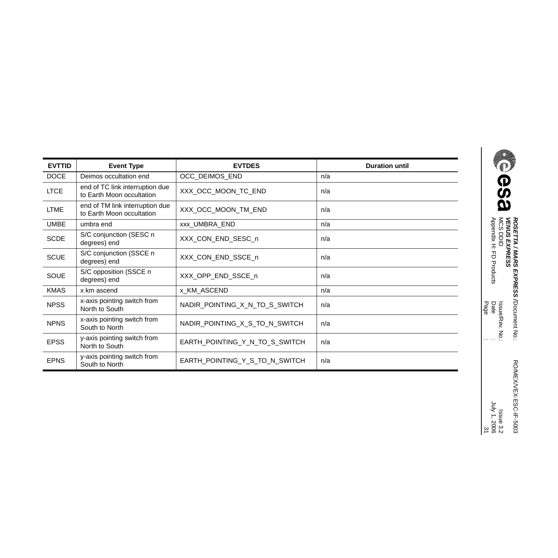| <b>EVTTID</b> | <b>Event Type</b>                                            | <b>EVTDES</b>                  | <b>Duration until</b> |
|---------------|--------------------------------------------------------------|--------------------------------|-----------------------|
| <b>DOCE</b>   | Deimos occultation end                                       | OCC_DEIMOS_END                 | n/a                   |
| <b>LTCE</b>   | end of TC link interruption due<br>to Earth Moon occultation | XXX_OCC_MOON_TC_END            | n/a                   |
| <b>LTME</b>   | end of TM link interruption due<br>to Earth Moon occultation | XXX_OCC_MOON_TM_END            | n/a                   |
| <b>UMBE</b>   | umbra end                                                    | xxx_UMBRA_END                  | n/a                   |
| <b>SCDE</b>   | S/C conjunction (SESC n<br>degrees) end                      | XXX_CON_END_SESC_n             | n/a                   |
| <b>SCUE</b>   | S/C conjunction (SSCE n<br>degrees) end                      | XXX_CON_END_SSCE_n             | n/a                   |
| <b>SOUE</b>   | S/C opposition (SSCE n<br>degrees) end                       | XXX OPP END SSCE n             | n/a                   |
| <b>KMAS</b>   | x km ascend                                                  | x_KM_ASCEND                    | n/a                   |
| <b>NPSS</b>   | x-axis pointing switch from<br>North to South                | NADIR_POINTING_X_N_TO_S_SWITCH | n/a                   |
| <b>NPNS</b>   | x-axis pointing switch from<br>South to North                | NADIR_POINTING_X_S_TO_N_SWITCH | n/a                   |
| <b>EPSS</b>   | y-axis pointing switch from<br>North to South                | EARTH_POINTING_Y_N_TO_S_SWITCH | n/a                   |
| <b>EPNS</b>   | y-axis pointing switch from<br>South to North                | EARTH_POINTING_Y_S_TO_N_SWITCH | n/a                   |



ROSETTA / MARS EXPRESS / Document No.<br>
UENUS EXPRESS<br>
SUBDID<br>
Appendix H: FD Products<br>
Date<br>
Appendix H: FD Products<br>
Date Appendix H: FD Products Date : July 1, 2006 MCS DDID ISSUE ISSUE/Rev. No.: ISSUE 3.2 **VENUS EXPRESS ROSETTA / MARS EXPRESS /**

Issue/Rev. No.:<br>Date<br>Page

Page : 31

Issue 3.2<br>July 1, 2006<br>31

Document No.: RO/MEX/VEX-ESC-IF-5003 ROMEXVEX-ESC-IF-5003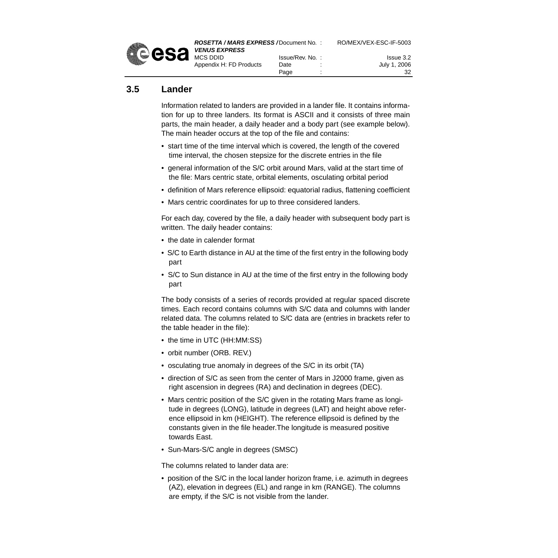**ROSETTA / MARS EXPRESS /** Document No. : RO/MEX/VEX-ESC-IF-5003



**VENUS EXPRESS** MCS DDID **ISSUE/Rev. No. :** ISSUE ISSUE 3.2 Appendix H: FD Products Date : The Contract Sully 1, 2006

## **3.5 Lander**

Information related to landers are provided in a lander file. It contains information for up to three landers. Its format is ASCII and it consists of three main parts, the main header, a daily header and a body part (see example below). The main header occurs at the top of the file and contains:

- start time of the time interval which is covered, the length of the covered time interval, the chosen stepsize for the discrete entries in the file
- general information of the S/C orbit around Mars, valid at the start time of the file: Mars centric state, orbital elements, osculating orbital period
- definition of Mars reference ellipsoid: equatorial radius, flattening coefficient
- Mars centric coordinates for up to three considered landers.

For each day, covered by the file, a daily header with subsequent body part is written. The daily header contains:

- the date in calender format
- S/C to Earth distance in AU at the time of the first entry in the following body part
- S/C to Sun distance in AU at the time of the first entry in the following body part

The body consists of a series of records provided at regular spaced discrete times. Each record contains columns with S/C data and columns with lander related data. The columns related to S/C data are (entries in brackets refer to the table header in the file):

- the time in UTC (HH:MM:SS)
- orbit number (ORB. REV.)
- osculating true anomaly in degrees of the S/C in its orbit (TA)
- direction of S/C as seen from the center of Mars in J2000 frame, given as right ascension in degrees (RA) and declination in degrees (DEC).
- Mars centric position of the S/C given in the rotating Mars frame as longitude in degrees (LONG), latitude in degrees (LAT) and height above reference ellipsoid in km (HEIGHT). The reference ellipsoid is defined by the constants given in the file header.The longitude is measured positive towards East.
- Sun-Mars-S/C angle in degrees (SMSC)

The columns related to lander data are:

• position of the S/C in the local lander horizon frame, i.e. azimuth in degrees (AZ), elevation in degrees (EL) and range in km (RANGE). The columns are empty, if the S/C is not visible from the lander.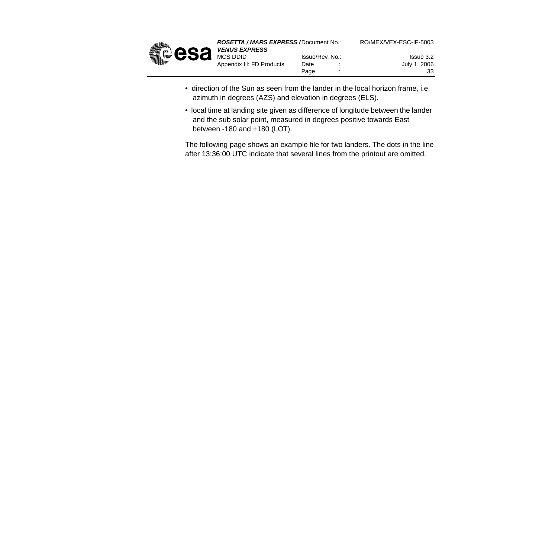

- direction of the Sun as seen from the lander in the local horizon frame, i.e. azimuth in degrees (AZS) and elevation in degrees (ELS).
- local time at landing site given as difference of longitude between the lander and the sub solar point, measured in degrees positive towards East between -180 and +180 (LOT).

The following page shows an example file for two landers. The dots in the line after 13:36:00 UTC indicate that several lines from the printout are omitted.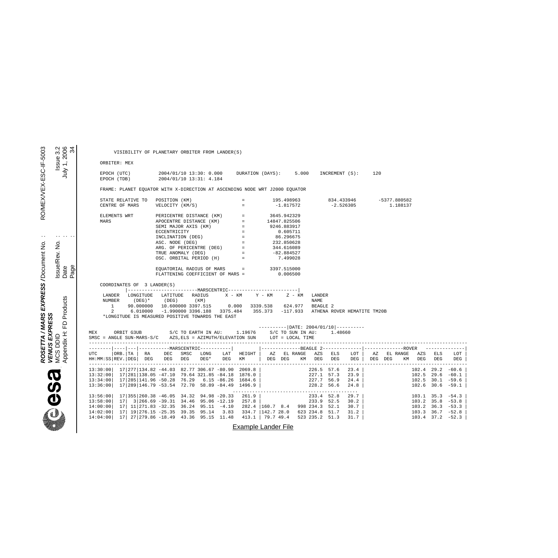| ೫                    |                            | VISIBILITY OF PLANETARY ORBITER FROM LANDER(S)                                                                                                                                                                                                                                                                                                                                                                                                                        |  |                                                |  |     |
|----------------------|----------------------------|-----------------------------------------------------------------------------------------------------------------------------------------------------------------------------------------------------------------------------------------------------------------------------------------------------------------------------------------------------------------------------------------------------------------------------------------------------------------------|--|------------------------------------------------|--|-----|
|                      | ORBITER: MEX               |                                                                                                                                                                                                                                                                                                                                                                                                                                                                       |  |                                                |  |     |
|                      | EPOCH (UTC)<br>EPOCH (TDB) | 2004/01/10 13:30: 0.000 DURATION (DAYS): 5.000 INCREMENT (S): 120<br>2004/01/10 13:31: 4.184                                                                                                                                                                                                                                                                                                                                                                          |  |                                                |  |     |
|                      |                            | FRAME: PLANET EQUATOR WITH X-DIRECTION AT ASCENDING NODE WRT J2000 EQUATOR                                                                                                                                                                                                                                                                                                                                                                                            |  |                                                |  |     |
|                      |                            | $\begin{array}{ccccccccc} \texttt{STATE RELATIVE TO} & \texttt{POSITION} & (\texttt{KM}) & = & 195.498963 & 834.433946 & -5377.880582 \\ \texttt{CENTRE OF MARS} & \texttt{VELOCITY} & (\texttt{KM/S}) & = & -1.817572 & -2.526305 & 1.188137 \\ \end{array}$                                                                                                                                                                                                         |  |                                                |  |     |
| $\ddot{\phantom{0}}$ |                            | ELEMENTS WRT PERICENTRE DISTANCE (KM) = 3645.942329<br>APOCENTRE DISTANCE (KM) = 14847.825506<br>SEMI MAJOR AXIS (KM) = 9246.883917<br>ECCENTRICITY = 0.605711<br>INCLINATION (DEG) = 86.296675<br>ARG. OF PERICENTRE (DEG) = 232.85062<br>$OSC. ORBITAL PERIOD (H) = 7.499028$<br>EQUATORIAL RADIUS OF MARS $=$ 3397.515000                                                                                                                                          |  |                                                |  |     |
| Page                 |                            | FLATTENING COEFFICIENT OF MARS = 0.006500                                                                                                                                                                                                                                                                                                                                                                                                                             |  |                                                |  |     |
|                      | COORDINATES OF 3 LANDER(S) | LANDER LONGITUDE LATITUDE RADIUS $X$ – KM $Y$ – KM $Z$ – KM LANDER<br>NUMBER $(DEG)^*$ (DEG) (KM)<br>1 90.000000 10.600000 3397.515 0.000 3339.538 624.977 BEAGLE 2<br>2 6.010000 -1.990000 3396.188 3375.484 355.373 -117.933 ATHENA ROVER HEMATITE TM20B<br>*LONGITUDE IS MEASURED POSITIVE TOWARDS THE EAST<br>MEX ORBIT G3UB S/C TO EARTH IN AU: 1.19676 S/C TO SUN IN AU: 1.48660<br>SMSC = ANGLE SUN-MARS-S/C AZS, ELS = AZIMUTH/ELEVATION SUN LOT = LOCAL TIME |  | NAME<br>---------- DATE: 2004/01/10 ---------- |  |     |
|                      |                            | -------- ---- --- --------------MARSCENTRIC-----------       -------------BEAGLE 2------------- -------------ROVER                                                                                                                                                                                                                                                                                                                                                    |  |                                                |  |     |
|                      |                            | UTC   ORB.   TA   RA DEC SMSC LONG LAT HEIGHT   AZ EL RANGE AZS ELS LOT   AZ EL RANGE AZS ELS LOT<br>$HH:MM:SS REV. DEG $ DEG DEG DEG DEG DEG* DEG KM   DEG DEG KM DEG DEG DEG DEG DEG DEG KM DEG DEG                                                                                                                                                                                                                                                                 |  |                                                |  | DEG |
|                      |                            | $\begin{array}{cccccccc} 13:30:00 & 17 & 277 & 134.82 & -44.03 & 82.77 & 306.67 & -80.90 & 2069.8 &   & & & & & & 226.5 & 57.6 & 23.4 &   & & & & 102.4 & 29.2 & -60.6 &   & & & & & & 1332:00 & 17 & 281 & 138.05 & -47.10 & 79.64 & 321.85 & -84.18 & 1876.0 &   & & & & & 227.1 & 57.3 & 23.9 &   & &$                                                                                                                                                             |  |                                                |  |     |
|                      |                            |                                                                                                                                                                                                                                                                                                                                                                                                                                                                       |  |                                                |  |     |

RO/MEX/VEX-ESC-IF-5003

**ROSETTA / MARS EXPRESS /** Document No. : RO/MEX/VEX-ESC-IF-5003 MCS DDID Issue/Rev. No.  $\colon$  issue 3.2

**VENUS EXPRESS** Appendix H: FD Products Date : July 1, 2006

**DSOOT** 

Example Lander File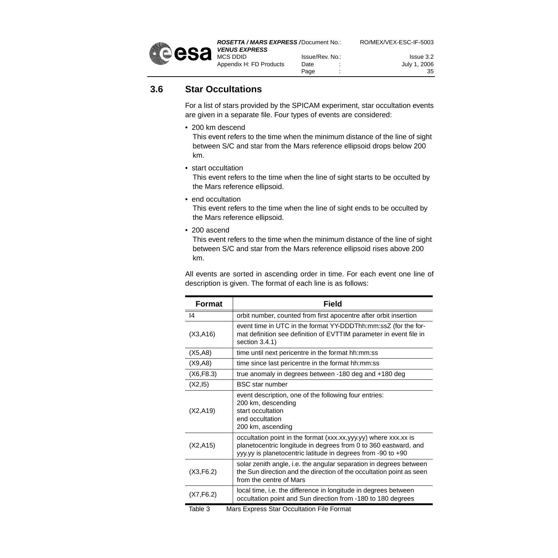

**VENUS EXPRESS**

Issue/Rev. No.: Issue 3.2 Appendix H: FD Products Date : July 1, 2006 Page : 35

# **3.6 Star Occultations**

For a list of stars provided by the SPICAM experiment, star occultation events are given in a separate file. Four types of events are considered:

• 200 km descend

This event refers to the time when the minimum distance of the line of sight between S/C and star from the Mars reference ellipsoid drops below 200 km.

• start occultation

This event refers to the time when the line of sight starts to be occulted by the Mars reference ellipsoid.

• end occultation

This event refers to the time when the line of sight ends to be occulted by the Mars reference ellipsoid.

• 200 ascend

This event refers to the time when the minimum distance of the line of sight between S/C and star from the Mars reference ellipsoid rises above 200 km.

All events are sorted in ascending order in time. For each event one line of description is given. The format of each line is as follows:

| <b>Format</b> | <b>Field</b>                                                                                                                                                                                        |
|---------------|-----------------------------------------------------------------------------------------------------------------------------------------------------------------------------------------------------|
| 4             | orbit number, counted from first apocentre after orbit insertion                                                                                                                                    |
| (X3, A16)     | event time in UTC in the format YY-DDDThh:mm:ssZ (for the for-<br>mat definition see definition of EVTTIM parameter in event file in<br>section 3.4.1)                                              |
| (X5, AB)      | time until next pericentre in the format hh:mm:ss                                                                                                                                                   |
| (X9, A8)      | time since last pericentre in the format hh:mm:ss                                                                                                                                                   |
| (X6, F8.3)    | true anomaly in degrees between -180 deg and +180 deg                                                                                                                                               |
| (X2,15)       | <b>BSC</b> star number                                                                                                                                                                              |
| (X2, A19)     | event description, one of the following four entries:<br>200 km, descending<br>start occultation<br>end occultation<br>200 km, ascending                                                            |
| (X2, A15)     | occultation point in the format (xxx.xx, yyy.yy) where xxx.xx is<br>planetocentric longitude in degrees from 0 to 360 eastward, and<br>yyy.yy is planetocentric latitude in degrees from -90 to +90 |
| (X3, F6.2)    | solar zenith angle, i.e. the angular separation in degrees between<br>the Sun direction and the direction of the occultation point as seen<br>from the centre of Mars                               |
| (X7, F6.2)    | local time, i.e. the difference in longitude in degrees between<br>occultation point and Sun direction from -180 to 180 degrees                                                                     |
| Table 3       | Mars Express Star Occultation File Format                                                                                                                                                           |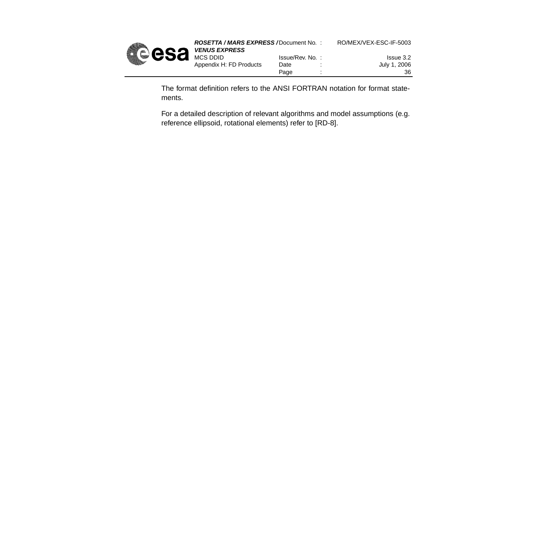| <b>ROSETTA / MARS EXPRESS / Document No. :</b> |                 | RO/MEX/VEX-ESC-IF-5003 |
|------------------------------------------------|-----------------|------------------------|
| <b>CONS</b> VENUS EXPRESS                      | Issue/Rev. No.: | Issue 3.2              |
| Appendix H: FD Products                        | Date            | July 1, 2006           |
|                                                | Page            | -36                    |

The format definition refers to the ANSI FORTRAN notation for format statements.

For a detailed description of relevant algorithms and model assumptions (e.g. reference ellipsoid, rotational elements) refer to [RD-8].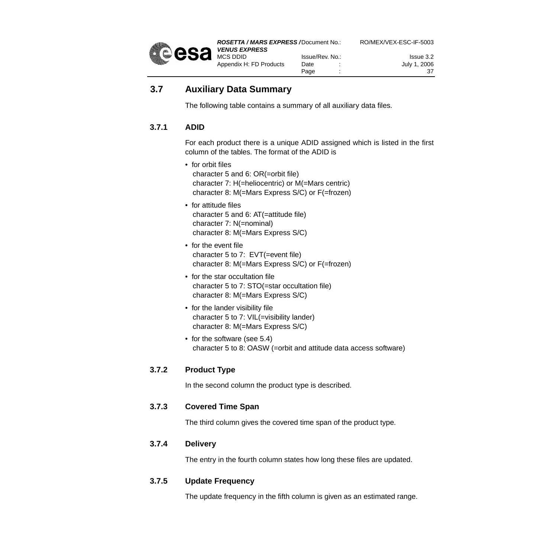**ROSETTA / MARS EXPRESS /**Document No.: RO/MEX/VEX-ESC-IF-5003



**VENUS EXPRESS** MCS DDID **ISSUE/Rev. No.:** ISSUE ISSUE 3.2 Appendix H: FD Products Date : July 1, 2006 Page : 37

# **3.7 Auxiliary Data Summary**

The following table contains a summary of all auxiliary data files.

## **3.7.1 ADID**

For each product there is a unique ADID assigned which is listed in the first column of the tables. The format of the ADID is

- for orbit files character 5 and 6: OR(=orbit file) character 7: H(=heliocentric) or M(=Mars centric) character 8: M(=Mars Express S/C) or F(=frozen)
- for attitude files character 5 and 6: AT(=attitude file) character 7: N(=nominal) character 8: M(=Mars Express S/C)
- for the event file character 5 to 7: EVT(=event file) character 8: M(=Mars Express S/C) or F(=frozen)
- for the star occultation file character 5 to 7: STO(=star occultation file) character 8: M(=Mars Express S/C)
- for the lander visibility file character 5 to 7: VIL(=visibility lander) character 8: M(=Mars Express S/C)
- for the software (see [5.4\)](#page-92-0) character 5 to 8: OASW (=orbit and attitude data access software)

## **3.7.2 Product Type**

In the second column the product type is described.

### **3.7.3 Covered Time Span**

The third column gives the covered time span of the product type.

### **3.7.4 Delivery**

The entry in the fourth column states how long these files are updated.

### **3.7.5 Update Frequency**

The update frequency in the fifth column is given as an estimated range.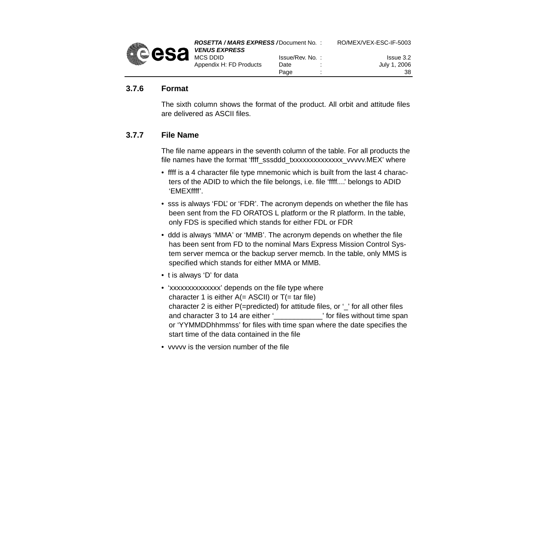

#### **3.7.6 Format**

The sixth column shows the format of the product. All orbit and attitude files are delivered as ASCII files.

### **3.7.7 File Name**

The file name appears in the seventh column of the table. For all products the file names have the format 'ffff\_sssddd\_txxxxxxxxxxxxxx\_vvvvv.MEX' where

- ffff is a 4 character file type mnemonic which is built from the last 4 characters of the ADID to which the file belongs, i.e. file 'ffff....' belongs to ADID 'EMEXffff'.
- sss is always 'FDL' or 'FDR'. The acronym depends on whether the file has been sent from the FD ORATOS L platform or the R platform. In the table, only FDS is specified which stands for either FDL or FDR
- ddd is always 'MMA' or 'MMB'. The acronym depends on whether the file has been sent from FD to the nominal Mars Express Mission Control System server memca or the backup server memcb. In the table, only MMS is specified which stands for either MMA or MMB.
- t is always 'D' for data
- 'xxxxxxxxxxxxxx' depends on the file type where character 1 is either  $A(= ASCII)$  or  $T(= tar file)$ character 2 is either P(=predicted) for attitude files, or '' for all other files and character 3 to 14 are either '\_\_\_\_\_\_\_\_\_\_\_\_' for files without time span or 'YYMMDDhhmmss' for files with time span where the date specifies the start time of the data contained in the file
- vvvvv is the version number of the file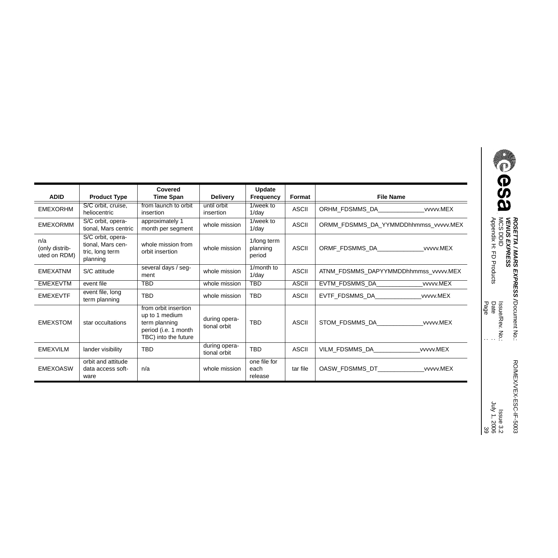| <b>ADID</b>                           | <b>Product Type</b>                                                   | Covered<br><b>Time Span</b>                                                                             | <b>Delivery</b>               | <b>Update</b><br><b>Frequency</b> | Format       | <b>File Name</b>                         |
|---------------------------------------|-----------------------------------------------------------------------|---------------------------------------------------------------------------------------------------------|-------------------------------|-----------------------------------|--------------|------------------------------------------|
| <b>EMEXORHM</b>                       | S/C orbit, cruise,<br>heliocentric                                    | from launch to orbit<br>insertion                                                                       | until orbit<br>insertion      | 1/week to<br>1/day                | <b>ASCII</b> | ORHM_FDSMMS_DA__________<br>vvvvv.MEX    |
| <b>EMEXORMM</b>                       | S/C orbit, opera-<br>tional, Mars centric                             | approximately 1<br>month per segment                                                                    | whole mission                 | 1/week to<br>1/day                | <b>ASCII</b> | ORMM_FDSMMS_DA_YYMMDDhhmmss_vvvvv.MEX    |
| n/a<br>(only distrib-<br>uted on RDM) | S/C orbit, opera-<br>tional, Mars cen-<br>tric, long term<br>planning | whole mission from<br>orbit insertion                                                                   | whole mission                 | 1/long term<br>planning<br>period | <b>ASCII</b> | vvvvv.MEX                                |
| <b>EMEXATNM</b>                       | S/C attitude                                                          | several days / seg-<br>ment                                                                             | whole mission                 | $1/m$ onth to<br>$1$ /day         | <b>ASCII</b> | ATNM_FDSMMS_DAPYYMMDDhhmmss_vvvvv.MEX    |
| <b>EMEXEVTM</b>                       | event file                                                            | <b>TBD</b>                                                                                              | whole mission                 | TBD                               | <b>ASCII</b> | EVTM_FDSMMS_DA<br>vvvvv.MEX              |
| <b>EMEXEVTF</b>                       | event file, long<br>term planning                                     | <b>TBD</b>                                                                                              | whole mission                 | <b>TBD</b>                        | <b>ASCII</b> | EVTF_FDSMMS_DA_________________vvvvv.MEX |
| <b>EMEXSTOM</b>                       | star occultations                                                     | from orbit insertion<br>up to 1 medium<br>term planning<br>period (i.e. 1 month<br>TBC) into the future | during opera-<br>tional orbit | <b>TBD</b>                        | <b>ASCII</b> | STOM_FDSMMS_DA____________<br>vvvvv.MEX  |
| <b>EMEXVILM</b>                       | lander visibility                                                     | <b>TBD</b>                                                                                              | during opera-<br>tional orbit | <b>TBD</b>                        | <b>ASCII</b> | VILM FDSMMS DA<br>vvvvv.MEX              |
| <b>EMEXOASW</b>                       | orbit and attitude<br>data access soft-<br>ware                       | n/a                                                                                                     | whole mission                 | one file for<br>each<br>release   | tar file     | OASW_FDSMMS_DT___________<br>vvvvv.MEX   |



ROSETTA / MARS EXPRESS / Document No.:<br>VENUS EXPRESS<br>MCS DDID<br>Appendix H: FD Products Date MCS DDID ISSUE ISSUE/Rev. No.: ISSUE 3.2

Issue/Rev. No.:<br>Date<br>Page

Page : 39

lssue 3.2<br>3006<br>39<br>39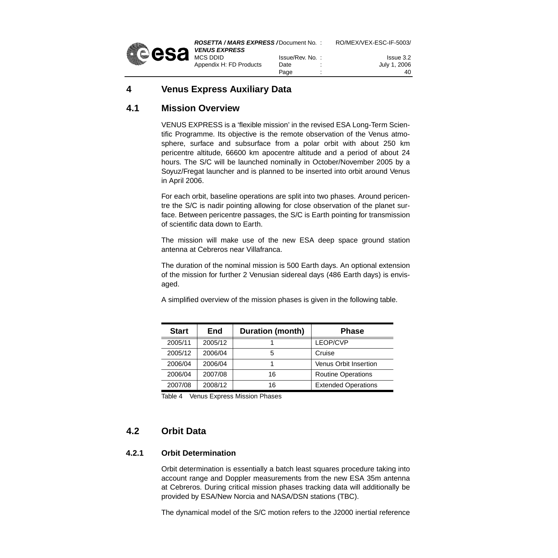

**VENUS EXPRESS**

# **4 Venus Express Auxiliary Data**

## **4.1 Mission Overview**

VENUS EXPRESS is a 'flexible mission' in the revised ESA Long-Term Scientific Programme. Its objective is the remote observation of the Venus atmosphere, surface and subsurface from a polar orbit with about 250 km pericentre altitude, 66600 km apocentre altitude and a period of about 24 hours. The S/C will be launched nominally in October/November 2005 by a Soyuz/Fregat launcher and is planned to be inserted into orbit around Venus in April 2006.

For each orbit, baseline operations are split into two phases. Around pericentre the S/C is nadir pointing allowing for close observation of the planet surface. Between pericentre passages, the S/C is Earth pointing for transmission of scientific data down to Earth.

The mission will make use of the new ESA deep space ground station antenna at Cebreros near Villafranca.

The duration of the nominal mission is 500 Earth days. An optional extension of the mission for further 2 Venusian sidereal days (486 Earth days) is envisaged.

A simplified overview of the mission phases is given in the following table.

| <b>Start</b> | End     | <b>Duration (month)</b> | <b>Phase</b>                 |
|--------------|---------|-------------------------|------------------------------|
| 2005/11      | 2005/12 |                         | LEOP/CVP                     |
| 2005/12      | 2006/04 | 5                       | Cruise                       |
| 2006/04      | 2006/04 |                         | <b>Venus Orbit Insertion</b> |
| 2006/04      | 2007/08 | 16                      | <b>Routine Operations</b>    |
| 2007/08      | 2008/12 | 16                      | <b>Extended Operations</b>   |

Table 4 Venus Express Mission Phases

# **4.2 Orbit Data**

#### **4.2.1 Orbit Determination**

Orbit determination is essentially a batch least squares procedure taking into account range and Doppler measurements from the new ESA 35m antenna at Cebreros. During critical mission phases tracking data will additionally be provided by ESA/New Norcia and NASA/DSN stations (TBC).

The dynamical model of the S/C motion refers to the J2000 inertial reference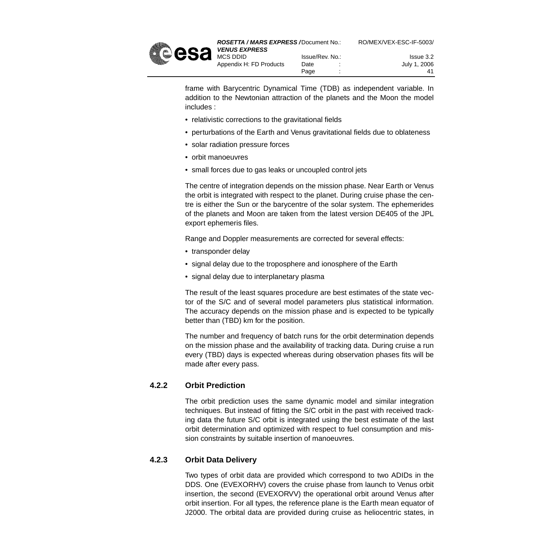**ROSETTA / MARS EXPRESS /**Document No.: RO/MEX/VEX-ESC-IF-5003/ **VENUS EXPRESS**

| <b>CSC</b> MCS DDID |                         | Issue/Rev. No.: | Issue 3.2    |
|---------------------|-------------------------|-----------------|--------------|
|                     | Appendix H: FD Products | Date            | July 1, 2006 |
|                     |                         | Paɑe            |              |

frame with Barycentric Dynamical Time (TDB) as independent variable. In addition to the Newtonian attraction of the planets and the Moon the model includes :

- relativistic corrections to the gravitational fields
- perturbations of the Earth and Venus gravitational fields due to oblateness
- solar radiation pressure forces
- orbit manoeuvres
- small forces due to gas leaks or uncoupled control jets

The centre of integration depends on the mission phase. Near Earth or Venus the orbit is integrated with respect to the planet. During cruise phase the centre is either the Sun or the barycentre of the solar system. The ephemerides of the planets and Moon are taken from the latest version DE405 of the JPL export ephemeris files.

Range and Doppler measurements are corrected for several effects:

- transponder delay
- signal delay due to the troposphere and ionosphere of the Earth
- signal delay due to interplanetary plasma

The result of the least squares procedure are best estimates of the state vector of the S/C and of several model parameters plus statistical information. The accuracy depends on the mission phase and is expected to be typically better than (TBD) km for the position.

The number and frequency of batch runs for the orbit determination depends on the mission phase and the availability of tracking data. During cruise a run every (TBD) days is expected whereas during observation phases fits will be made after every pass.

#### **4.2.2 Orbit Prediction**

The orbit prediction uses the same dynamic model and similar integration techniques. But instead of fitting the S/C orbit in the past with received tracking data the future S/C orbit is integrated using the best estimate of the last orbit determination and optimized with respect to fuel consumption and mission constraints by suitable insertion of manoeuvres.

#### **4.2.3 Orbit Data Delivery**

Two types of orbit data are provided which correspond to two ADIDs in the DDS. One (EVEXORHV) covers the cruise phase from launch to Venus orbit insertion, the second (EVEXORVV) the operational orbit around Venus after orbit insertion. For all types, the reference plane is the Earth mean equator of J2000. The orbital data are provided during cruise as heliocentric states, in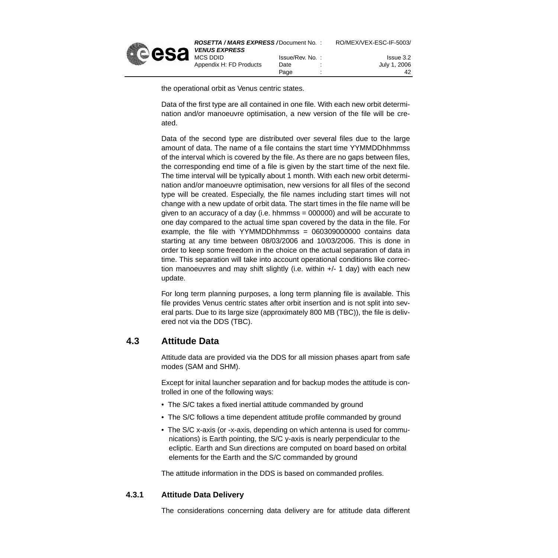| <b>ROSETTA / MARS EXPRESS / Document No.</b> : |                 | RO/MEX/VEX-ESC-IF-5003/ |
|------------------------------------------------|-----------------|-------------------------|
| CSa VENUS EXPRESS                              |                 |                         |
|                                                | Issue/Rev. No.: | Issue 3.2               |
| Appendix H: FD Products                        | Date            | July 1, 2006            |
|                                                | Page            | 42                      |

the operational orbit as Venus centric states.

Data of the first type are all contained in one file. With each new orbit determination and/or manoeuvre optimisation, a new version of the file will be created.

Data of the second type are distributed over several files due to the large amount of data. The name of a file contains the start time YYMMDDhhmmss of the interval which is covered by the file. As there are no gaps between files, the corresponding end time of a file is given by the start time of the next file. The time interval will be typically about 1 month. With each new orbit determination and/or manoeuvre optimisation, new versions for all files of the second type will be created. Especially, the file names including start times will not change with a new update of orbit data. The start times in the file name will be given to an accuracy of a day (i.e. hhmmss  $= 000000$ ) and will be accurate to one day compared to the actual time span covered by the data in the file. For example, the file with YYMMDDhhmmss = 060309000000 contains data starting at any time between 08/03/2006 and 10/03/2006. This is done in order to keep some freedom in the choice on the actual separation of data in time. This separation will take into account operational conditions like correction manoeuvres and may shift slightly (i.e. within +/- 1 day) with each new update.

For long term planning purposes, a long term planning file is available. This file provides Venus centric states after orbit insertion and is not split into several parts. Due to its large size (approximately 800 MB (TBC)), the file is delivered not via the DDS (TBC).

## **4.3 Attitude Data**

Attitude data are provided via the DDS for all mission phases apart from safe modes (SAM and SHM).

Except for inital launcher separation and for backup modes the attitude is controlled in one of the following ways:

- The S/C takes a fixed inertial attitude commanded by ground
- The S/C follows a time dependent attitude profile commanded by ground
- The S/C x-axis (or -x-axis, depending on which antenna is used for communications) is Earth pointing, the S/C y-axis is nearly perpendicular to the ecliptic. Earth and Sun directions are computed on board based on orbital elements for the Earth and the S/C commanded by ground

The attitude information in the DDS is based on commanded profiles.

### **4.3.1 Attitude Data Delivery**

The considerations concerning data delivery are for attitude data different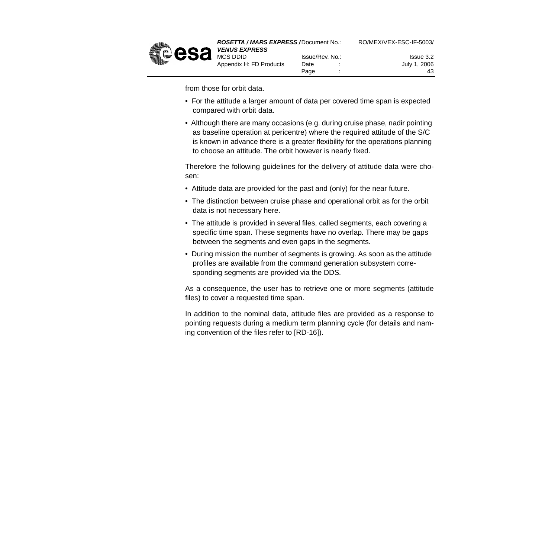from those for orbit data.

- For the attitude a larger amount of data per covered time span is expected compared with orbit data.
- Although there are many occasions (e.g. during cruise phase, nadir pointing as baseline operation at pericentre) where the required attitude of the S/C is known in advance there is a greater flexibility for the operations planning to choose an attitude. The orbit however is nearly fixed.

Therefore the following guidelines for the delivery of attitude data were chosen:

- Attitude data are provided for the past and (only) for the near future.
- The distinction between cruise phase and operational orbit as for the orbit data is not necessary here.
- The attitude is provided in several files, called segments, each covering a specific time span. These segments have no overlap. There may be gaps between the segments and even gaps in the segments.
- During mission the number of segments is growing. As soon as the attitude profiles are available from the command generation subsystem corresponding segments are provided via the DDS.

As a consequence, the user has to retrieve one or more segments (attitude files) to cover a requested time span.

In addition to the nominal data, attitude files are provided as a response to pointing requests during a medium term planning cycle (for details and naming convention of the files refer to [RD-16]).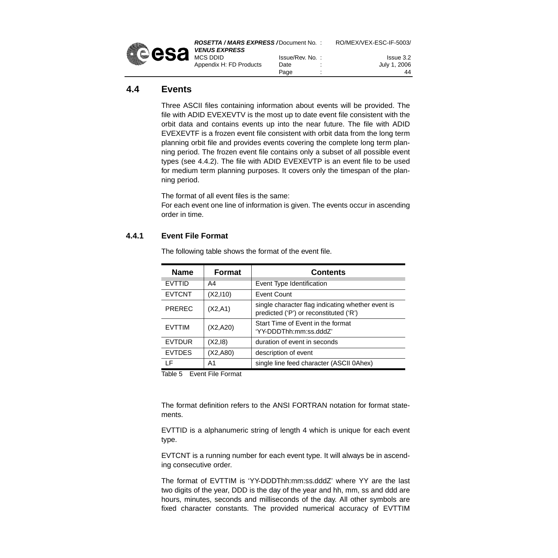

### **4.4 Events**

Three ASCII files containing information about events will be provided. The file with ADID EVEXEVTV is the most up to date event file consistent with the orbit data and contains events up into the near future. The file with ADID EVEXEVTF is a frozen event file consistent with orbit data from the long term planning orbit file and provides events covering the complete long term planning period. The frozen event file contains only a subset of all possible event types (see [4.4.2](#page-52-0)). The file with ADID EVEXEVTP is an event file to be used for medium term planning purposes. It covers only the timespan of the planning period.

The format of all event files is the same:

For each event one line of information is given. The events occur in ascending order in time.

#### <span id="page-51-0"></span> **4.4.1 Event File Format**

The following table shows the format of the event file.

| <b>Name</b>   | <b>Format</b> | <b>Contents</b>                                                                             |
|---------------|---------------|---------------------------------------------------------------------------------------------|
| <b>EVTTID</b> | A4            | Event Type Identification                                                                   |
| <b>EVTCNT</b> | (X2,110)      | Event Count                                                                                 |
| <b>PREREC</b> | (X2, A1)      | single character flag indicating whether event is<br>predicted ('P') or reconstituted ('R') |
| <b>EVTTIM</b> | (X2, A20)     | Start Time of Event in the format<br>'YY-DDDThh:mm:ss.dddZ'                                 |
| <b>EVTDUR</b> | (X2, 18)      | duration of event in seconds                                                                |
| <b>EVTDES</b> | (X2, A80)     | description of event                                                                        |
| ΙF            | A1            | single line feed character (ASCII 0Ahex)                                                    |

Table 5 Event File Format

The format definition refers to the ANSI FORTRAN notation for format statements.

EVTTID is a alphanumeric string of length 4 which is unique for each event type.

EVTCNT is a running number for each event type. It will always be in ascending consecutive order.

The format of EVTTIM is 'YY-DDDThh:mm:ss.dddZ' where YY are the last two digits of the year, DDD is the day of the year and hh, mm, ss and ddd are hours, minutes, seconds and milliseconds of the day. All other symbols are fixed character constants. The provided numerical accuracy of EVTTIM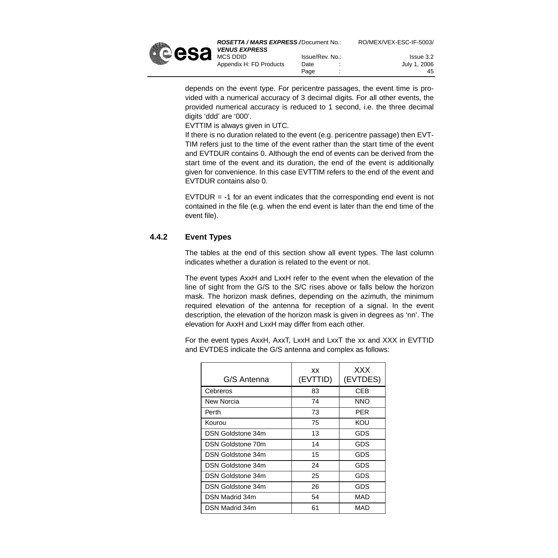**ROSETTA / MARS EXPRESS /**Document No.: RO/MEX/VEX-ESC-IF-5003/ **VENUS EXPRESS** MCS DDID **ISSUE/Rev. No.:** ISSUE ISSUE 3.2 Appendix H: FD Products Date : The Sully 1, 2006

depends on the event type. For pericentre passages, the event time is provided with a numerical accuracy of 3 decimal digits. For all other events, the provided numerical accuracy is reduced to 1 second, i.e. the three decimal digits 'ddd' are '000'.

Page : 2009 : 2009 : 2009 : 2009 : 2009 : 2009 : 2009 : 2009 : 2009 : 2009 : 2009 : 2009 : 2009 : 2009 : 2009 : 2009 : 2009 : 2009 : 2009 : 2009 : 2009 : 2009 : 2009 : 2009 : 2009 : 2009 : 2009 : 2009 : 2009 : 2009 : 2009

EVTTIM is always given in UTC.

If there is no duration related to the event (e.g. pericentre passage) then EVT-TIM refers just to the time of the event rather than the start time of the event and EVTDUR contains 0. Although the end of events can be derived from the start time of the event and its duration, the end of the event is additionally given for convenience. In this case EVTTIM refers to the end of the event and EVTDUR contains also 0.

EVTDUR = -1 for an event indicates that the corresponding end event is not contained in the file (e.g. when the end event is later than the end time of the event file).

#### <span id="page-52-0"></span> **4.4.2 Event Types**

The tables at the end of this section show all event types. The last column indicates whether a duration is related to the event or not.

The event types AxxH and LxxH refer to the event when the elevation of the line of sight from the G/S to the S/C rises above or falls below the horizon mask. The horizon mask defines, depending on the azimuth, the minimum required elevation of the antenna for reception of a signal. In the event description, the elevation of the horizon mask is given in degrees as 'nn'. The elevation for AxxH and LxxH may differ from each other.

For the event types AxxH, AxxT, LxxH and LxxT the xx and XXX in EVTTID and EVTDES indicate the G/S antenna and complex as follows:

| G/S Antenna       | XX<br>(EVTTID) | XXX<br>(EVTDES) |
|-------------------|----------------|-----------------|
| Cebreros          | 83             | <b>CEB</b>      |
| New Norcia        | 74             | <b>NNO</b>      |
| Perth             | 73             | PER             |
| Kourou            | 75             | KOU             |
| DSN Goldstone 34m | 13             | GDS             |
| DSN Goldstone 70m | 14             | GDS             |
| DSN Goldstone 34m | 15             | GDS             |
| DSN Goldstone 34m | 24             | GDS             |
| DSN Goldstone 34m | 25             | GDS             |
| DSN Goldstone 34m | 26             | <b>GDS</b>      |
| DSN Madrid 34m    | 54             | MAD             |
| DSN Madrid 34m    | 61             | MAD             |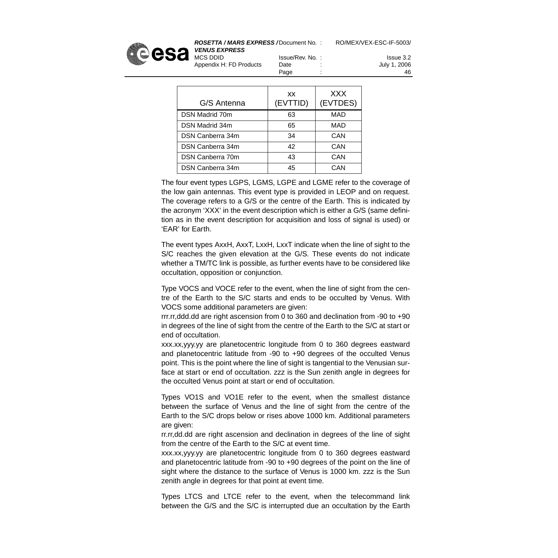**ROSETTA / MARS EXPRESS /** Document No. : RO/MEX/VEX-ESC-IF-5003/



**VENUS EXPRESS** MCS DDID **ISSUE/Rev. No. :** ISSUE ISSUE 3.2 Appendix H: FD Products Date : The Contract Sully 1, 2006

Page : 46

| G/S Antenna      | XX<br>(EVTTID) | XXX<br>(EVTDES) |
|------------------|----------------|-----------------|
| DSN Madrid 70m   | 63             | MAD             |
| DSN Madrid 34m   | 65             | MAD             |
| DSN Canberra 34m | 34             | CAN             |
| DSN Canberra 34m | 42             | CAN             |
| DSN Canberra 70m | 43             | CAN             |
| DSN Canberra 34m | 45             | CAN             |
|                  |                |                 |

The four event types LGPS, LGMS, LGPE and LGME refer to the coverage of the low gain antennas. This event type is provided in LEOP and on request. The coverage refers to a G/S or the centre of the Earth. This is indicated by the acronym 'XXX' in the event description which is either a G/S (same definition as in the event description for acquisition and loss of signal is used) or 'EAR' for Earth.

The event types AxxH, AxxT, LxxH, LxxT indicate when the line of sight to the S/C reaches the given elevation at the G/S. These events do not indicate whether a TM/TC link is possible, as further events have to be considered like occultation, opposition or conjunction.

Type VOCS and VOCE refer to the event, when the line of sight from the centre of the Earth to the S/C starts and ends to be occulted by Venus. With VOCS some additional parameters are given:

rrr.rr,ddd.dd are right ascension from 0 to 360 and declination from -90 to +90 in degrees of the line of sight from the centre of the Earth to the S/C at start or end of occultation.

xxx.xx,yyy.yy are planetocentric longitude from 0 to 360 degrees eastward and planetocentric latitude from -90 to +90 degrees of the occulted Venus point. This is the point where the line of sight is tangential to the Venusian surface at start or end of occultation. zzz is the Sun zenith angle in degrees for the occulted Venus point at start or end of occultation.

Types VO1S and VO1E refer to the event, when the smallest distance between the surface of Venus and the line of sight from the centre of the Earth to the S/C drops below or rises above 1000 km. Additional parameters are given:

rr.rr,dd.dd are right ascension and declination in degrees of the line of sight from the centre of the Earth to the S/C at event time.

xxx.xx,yyy.yy are planetocentric longitude from 0 to 360 degrees eastward and planetocentric latitude from -90 to +90 degrees of the point on the line of sight where the distance to the surface of Venus is 1000 km. zzz is the Sun zenith angle in degrees for that point at event time.

Types LTCS and LTCE refer to the event, when the telecommand link between the G/S and the S/C is interrupted due an occultation by the Earth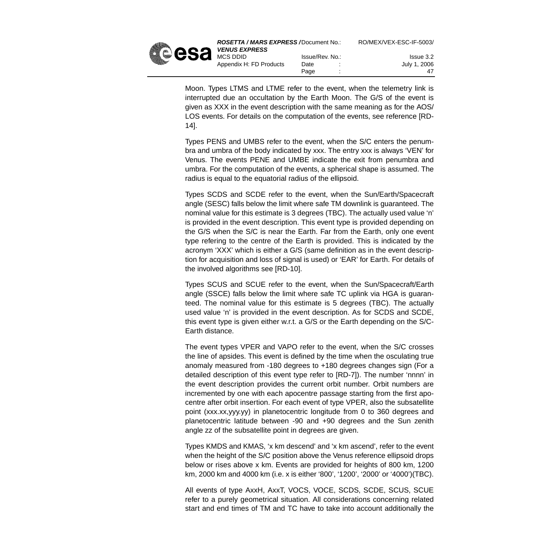**ROSETTA / MARS EXPRESS /**Document No.: RO/MEX/VEX-ESC-IF-5003/



Moon. Types LTMS and LTME refer to the event, when the telemetry link is interrupted due an occultation by the Earth Moon. The G/S of the event is given as XXX in the event description with the same meaning as for the AOS/ LOS events. For details on the computation of the events, see reference [RD-14].

Types PENS and UMBS refer to the event, when the S/C enters the penumbra and umbra of the body indicated by xxx. The entry xxx is always 'VEN' for Venus. The events PENE and UMBE indicate the exit from penumbra and umbra. For the computation of the events, a spherical shape is assumed. The radius is equal to the equatorial radius of the ellipsoid.

Types SCDS and SCDE refer to the event, when the Sun/Earth/Spacecraft angle (SESC) falls below the limit where safe TM downlink is guaranteed. The nominal value for this estimate is 3 degrees (TBC). The actually used value 'n' is provided in the event description. This event type is provided depending on the G/S when the S/C is near the Earth. Far from the Earth, only one event type refering to the centre of the Earth is provided. This is indicated by the acronym 'XXX' which is either a G/S (same definition as in the event description for acquisition and loss of signal is used) or 'EAR' for Earth. For details of the involved algorithms see [RD-10].

Types SCUS and SCUE refer to the event, when the Sun/Spacecraft/Earth angle (SSCE) falls below the limit where safe TC uplink via HGA is guaranteed. The nominal value for this estimate is 5 degrees (TBC). The actually used value 'n' is provided in the event description. As for SCDS and SCDE, this event type is given either w.r.t. a G/S or the Earth depending on the S/C-Earth distance.

The event types VPER and VAPO refer to the event, when the S/C crosses the line of apsides. This event is defined by the time when the osculating true anomaly measured from -180 degrees to +180 degrees changes sign (For a detailed description of this event type refer to [RD-7]). The number 'nnnn' in the event description provides the current orbit number. Orbit numbers are incremented by one with each apocentre passage starting from the first apocentre after orbit insertion. For each event of type VPER, also the subsatellite point (xxx.xx,yyy.yy) in planetocentric longitude from 0 to 360 degrees and planetocentric latitude between -90 and +90 degrees and the Sun zenith angle zz of the subsatellite point in degrees are given.

Types KMDS and KMAS, 'x km descend' and 'x km ascend', refer to the event when the height of the S/C position above the Venus reference ellipsoid drops below or rises above x km. Events are provided for heights of 800 km, 1200 km, 2000 km and 4000 km (i.e. x is either '800', '1200', '2000' or '4000')(TBC).

All events of type AxxH, AxxT, VOCS, VOCE, SCDS, SCDE, SCUS, SCUE refer to a purely geometrical situation. All considerations concerning related start and end times of TM and TC have to take into account additionally the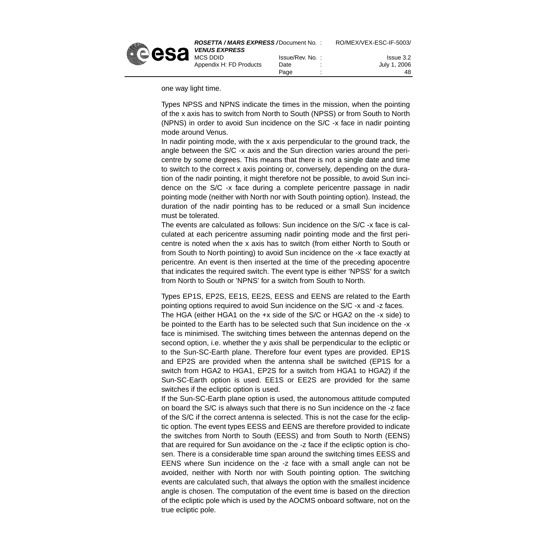| <b>ROSETTA / MARS EXPRESS / Document No. :</b> |                 | RO/MEX/VEX-ESC-IF-5003/ |
|------------------------------------------------|-----------------|-------------------------|
| VENUS EXPRESS<br>$\sum$ MCS DDID               | Issue/Rev. No.: | Issue 3.2               |
| Appendix H: FD Products                        | Date            | July 1, 2006            |
|                                                | Page            | 48                      |

one way light time.

Types NPSS and NPNS indicate the times in the mission, when the pointing of the x axis has to switch from North to South (NPSS) or from South to North (NPNS) in order to avoid Sun incidence on the S/C -x face in nadir pointing mode around Venus.

In nadir pointing mode, with the x axis perpendicular to the ground track, the angle between the S/C -x axis and the Sun direction varies around the pericentre by some degrees. This means that there is not a single date and time to switch to the correct x axis pointing or, conversely, depending on the duration of the nadir pointing, it might therefore not be possible, to avoid Sun incidence on the S/C -x face during a complete pericentre passage in nadir pointing mode (neither with North nor with South pointing option). Instead, the duration of the nadir pointing has to be reduced or a small Sun incidence must be tolerated.

The events are calculated as follows: Sun incidence on the S/C -x face is calculated at each pericentre assuming nadir pointing mode and the first pericentre is noted when the x axis has to switch (from either North to South or from South to North pointing) to avoid Sun incidence on the -x face exactly at pericentre. An event is then inserted at the time of the preceding apocentre that indicates the required switch. The event type is either 'NPSS' for a switch from North to South or 'NPNS' for a switch from South to North.

Types EP1S, EP2S, EE1S, EE2S, EESS and EENS are related to the Earth pointing options required to avoid Sun incidence on the S/C -x and -z faces. The HGA (either HGA1 on the +x side of the S/C or HGA2 on the -x side) to be pointed to the Earth has to be selected such that Sun incidence on the -x face is minimised. The switching times between the antennas depend on the second option, i.e. whether the y axis shall be perpendicular to the ecliptic or to the Sun-SC-Earth plane. Therefore four event types are provided. EP1S and EP2S are provided when the antenna shall be switched (EP1S for a switch from HGA2 to HGA1, EP2S for a switch from HGA1 to HGA2) if the Sun-SC-Earth option is used. EE1S or EE2S are provided for the same switches if the ecliptic option is used.

If the Sun-SC-Earth plane option is used, the autonomous attitude computed on board the S/C is always such that there is no Sun incidence on the -z face of the S/C if the correct antenna is selected. This is not the case for the ecliptic option. The event types EESS and EENS are therefore provided to indicate the switches from North to South (EESS) and from South to North (EENS) that are required for Sun avoidance on the -z face if the ecliptic option is chosen. There is a considerable time span around the switching times EESS and EENS where Sun incidence on the -z face with a small angle can not be avoided, neither with North nor with South pointing option. The switching events are calculated such, that always the option with the smallest incidence angle is chosen. The computation of the event time is based on the direction of the ecliptic pole which is used by the AOCMS onboard software, not on the true ecliptic pole.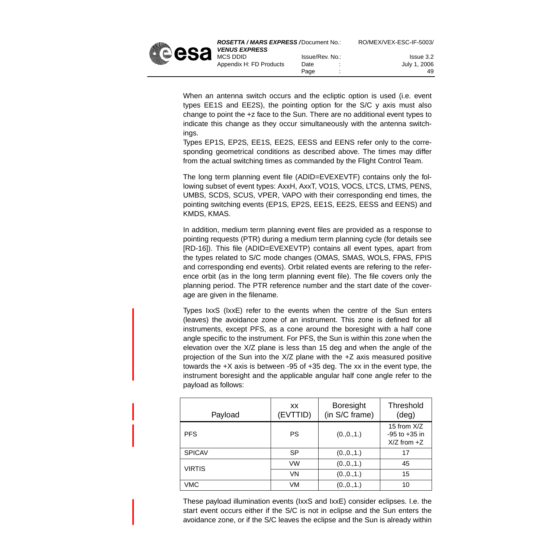**ROSETTA / MARS EXPRESS /**Document No.: RO/MEX/VEX-ESC-IF-5003/ **VENUS EXPRE** 



| $1199$ . The contract $111$ is the contract of $111$ in the contract of $111$ is the contract of $111$ is the contract of $111$ is the contract of $111$ is the contract of $111$ is the contract of $111$ is the contract of |                 |  |              |
|-------------------------------------------------------------------------------------------------------------------------------------------------------------------------------------------------------------------------------|-----------------|--|--------------|
| <b>VENUS EXPRESS</b>                                                                                                                                                                                                          |                 |  |              |
| MCS DDID                                                                                                                                                                                                                      | Issue/Rev. No.: |  | Issue 3.2    |
| Appendix H: FD Products                                                                                                                                                                                                       | Date            |  | July 1, 2006 |
|                                                                                                                                                                                                                               | Page            |  | 49           |

When an antenna switch occurs and the ecliptic option is used (i.e. event types EE1S and EE2S), the pointing option for the S/C y axis must also change to point the +z face to the Sun. There are no additional event types to indicate this change as they occur simultaneously with the antenna switchings.

Types EP1S, EP2S, EE1S, EE2S, EESS and EENS refer only to the corresponding geometrical conditions as described above. The times may differ from the actual switching times as commanded by the Flight Control Team.

The long term planning event file (ADID=EVEXEVTF) contains only the following subset of event types: AxxH, AxxT, VO1S, VOCS, LTCS, LTMS, PENS, UMBS, SCDS, SCUS, VPER, VAPO with their corresponding end times, the pointing switching events (EP1S, EP2S, EE1S, EE2S, EESS and EENS) and KMDS, KMAS.

In addition, medium term planning event files are provided as a response to pointing requests (PTR) during a medium term planning cycle (for details see [RD-16]). This file (ADID=EVEXEVTP) contains all event types, apart from the types related to S/C mode changes (OMAS, SMAS, WOLS, FPAS, FPIS and corresponding end events). Orbit related events are refering to the reference orbit (as in the long term planning event file). The file covers only the planning period. The PTR reference number and the start date of the coverage are given in the filename.

Types IxxS (IxxE) refer to the events when the centre of the Sun enters (leaves) the avoidance zone of an instrument. This zone is defined for all instruments, except PFS, as a cone around the boresight with a half cone angle specific to the instrument. For PFS, the Sun is within this zone when the elevation over the X/Z plane is less than 15 deg and when the angle of the projection of the Sun into the X/Z plane with the +Z axis measured positive towards the +X axis is between -95 of +35 deg. The xx in the event type, the instrument boresight and the applicable angular half cone angle refer to the payload as follows:

| Payload       | XX<br>(EVTTID) | <b>Boresight</b><br>(in S/C frame) | <b>Threshold</b><br>$(\text{deg})$                  |
|---------------|----------------|------------------------------------|-----------------------------------------------------|
| <b>PFS</b>    | <b>PS</b>      | (0.,0.,1.)                         | 15 from X/Z<br>$-95$ to $+35$ in<br>$X/Z$ from $+Z$ |
| <b>SPICAV</b> | <b>SP</b>      | (0.,0.,1.)                         | 17                                                  |
| <b>VIRTIS</b> | VW             | (0.,0.,1.)                         | 45                                                  |
|               | <b>VN</b>      | (0.,0.,1.)                         | 15                                                  |
| <b>VMC</b>    | VM             | (0.,0.,1.)                         | 10                                                  |

These payload illumination events (IxxS and IxxE) consider eclipses. I.e. the start event occurs either if the S/C is not in eclipse and the Sun enters the avoidance zone, or if the S/C leaves the eclipse and the Sun is already within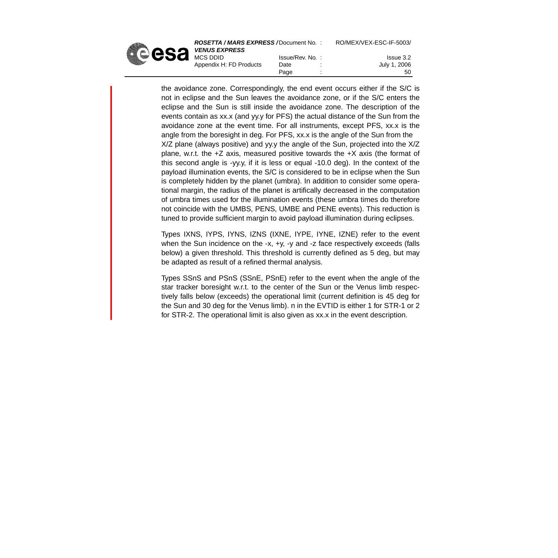|    | <b>ROSETTA / MARS EXPRESS / Document No. :</b><br><b>VENUS EXPRESS</b> |                 |   | RO/MEX/VEX-ESC-IF-5003/ |
|----|------------------------------------------------------------------------|-----------------|---|-------------------------|
| sa | MCS DDID                                                               | Issue/Rev. No.: |   | Issue 3.2               |
|    | Appendix H: FD Products                                                | Date            |   | July 1, 2006            |
|    |                                                                        | Page            | ٠ | 50                      |

the avoidance zone. Correspondingly, the end event occurs either if the S/C is not in eclipse and the Sun leaves the avoidance zone, or if the S/C enters the eclipse and the Sun is still inside the avoidance zone. The description of the events contain as xx.x (and yy.y for PFS) the actual distance of the Sun from the avoidance zone at the event time. For all instruments, except PFS, xx.x is the angle from the boresight in deg. For PFS, xx.x is the angle of the Sun from the X/Z plane (always positive) and yy.y the angle of the Sun, projected into the X/Z plane, w.r.t. the +Z axis, measured positive towards the +X axis (the format of this second angle is -yy.y, if it is less or equal -10.0 deg). In the context of the payload illumination events, the S/C is considered to be in eclipse when the Sun is completely hidden by the planet (umbra). In addition to consider some operational margin, the radius of the planet is artifically decreased in the computation of umbra times used for the illumination events (these umbra times do therefore not coincide with the UMBS, PENS, UMBE and PENE events). This reduction is tuned to provide sufficient margin to avoid payload illumination during eclipses.

Types IXNS, IYPS, IYNS, IZNS (IXNE, IYPE, IYNE, IZNE) refer to the event when the Sun incidence on the -x, +y, -y and -z face respectively exceeds (falls below) a given threshold. This threshold is currently defined as 5 deg, but may be adapted as result of a refined thermal analysis.

Types SSnS and PSnS (SSnE, PSnE) refer to the event when the angle of the star tracker boresight w.r.t. to the center of the Sun or the Venus limb respectively falls below (exceeds) the operational limit (current definition is 45 deg for the Sun and 30 deg for the Venus limb). n in the EVTID is either 1 for STR-1 or 2 for STR-2. The operational limit is also given as xx.x in the event description.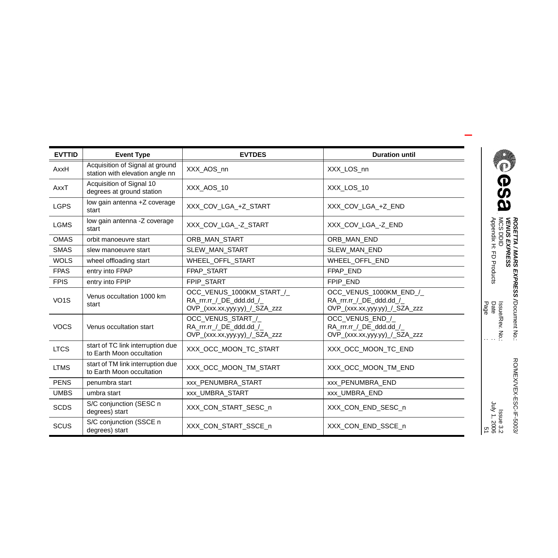| <b>EVTTID</b>     | <b>Event Type</b>                                                  | <b>EVTDES</b>                                                                          | <b>Duration until</b>                                                                |
|-------------------|--------------------------------------------------------------------|----------------------------------------------------------------------------------------|--------------------------------------------------------------------------------------|
| AxxH              | Acquisition of Signal at ground<br>station with elevation angle nn | XXX_AOS_nn                                                                             | XXX_LOS_nn                                                                           |
| AxxT              | Acquisition of Signal 10<br>degrees at ground station              | XXX_AOS_10                                                                             | XXX_LOS_10                                                                           |
| <b>LGPS</b>       | low gain antenna +Z coverage<br>start                              | XXX_COV_LGA_+Z_START                                                                   | XXX_COV_LGA_+Z_END                                                                   |
| <b>LGMS</b>       | low gain antenna -Z coverage<br>start                              | XXX_COV_LGA_-Z_START                                                                   | XXX_COV_LGA_-Z_END                                                                   |
| <b>OMAS</b>       | orbit manoeuvre start                                              | ORB_MAN_START                                                                          | ORB_MAN_END                                                                          |
| <b>SMAS</b>       | slew manoeuvre start                                               | <b>SLEW MAN START</b>                                                                  | <b>SLEW MAN END</b>                                                                  |
| <b>WOLS</b>       | wheel offloading start                                             | WHEEL_OFFL_START                                                                       | WHEEL_OFFL_END                                                                       |
| <b>FPAS</b>       | entry into FPAP                                                    | FPAP START                                                                             | FPAP END                                                                             |
| <b>FPIS</b>       | entry into FPIP                                                    | FPIP START                                                                             | FPIP END                                                                             |
| VO <sub>1</sub> S | Venus occultation 1000 km<br>start                                 | OCC_VENUS_1000KM_START_/_<br>RA_rrr.rr_/_DE_ddd.dd_/_<br>OVP_(xxx.xx,yyy.yy)_/_SZA_zzz | OCC_VENUS_1000KM_END_/_<br>RA_rrr.rr_/_DE_ddd.dd_/_<br>OVP_(xxx.xx,yyy.yy)_/_SZA_zzz |
| <b>VOCS</b>       | Venus occultation start                                            | OCC VENUS START /<br>RA_rrr.rr_/_DE_ddd.dd_/<br>OVP_(xxx.xx,yyy.yy)_/_SZA_zzz          | OCC VENUS END /<br>RA_rrr.rr_/_DE_ddd.dd_/<br>OVP_(xxx.xx,yyy.yy)_/_SZA_zzz          |
| <b>LTCS</b>       | start of TC link interruption due<br>to Earth Moon occultation     | XXX OCC MOON TC START                                                                  | XXX OCC MOON TC END                                                                  |
| <b>LTMS</b>       | start of TM link interruption due<br>to Earth Moon occultation     | XXX OCC MOON TM START                                                                  | XXX OCC MOON TM END                                                                  |
| <b>PENS</b>       | penumbra start                                                     | <b>xxx PENUMBRA START</b>                                                              | <b>XXX PENUMBRA END</b>                                                              |
| <b>UMBS</b>       | umbra start                                                        | xxx_UMBRA_START                                                                        | xxx_UMBRA_END                                                                        |
| <b>SCDS</b>       | S/C conjunction (SESC n<br>degrees) start                          | XXX_CON_START_SESC_n                                                                   | XXX_CON_END_SESC_n                                                                   |
| <b>SCUS</b>       | S/C conjunction (SSCE n<br>degrees) start                          | XXX_CON_START_SSCE_n                                                                   | XXX_CON_END_SSCE_n                                                                   |



ROSETTA / MARS EXPRESS / Document No.:<br>VENUS EXPRESS<br>MCS DDID<br>Appendix H: FD Products Date MCS DDID ISSUE ISSUE/Rev. No.: ISSUE 3.2 **VENUS EXPRESS ROSETTA / MARS EXPRESS /**Issue/Rev. No.:<br>Date<br>Page

Page : : : :

Issue 3.2<br>July 1, 2006<br>51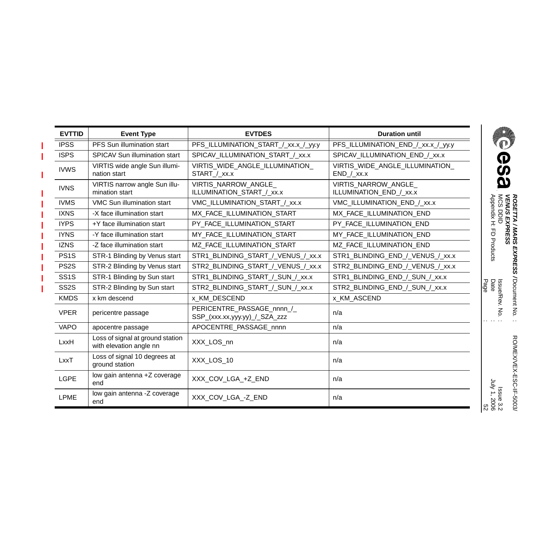| <b>EVTTID</b>     | <b>Event Type</b>                                           | <b>EVTDES</b>                                              | <b>Duration until</b>                                |
|-------------------|-------------------------------------------------------------|------------------------------------------------------------|------------------------------------------------------|
| <b>IPSS</b>       | PFS Sun illumination start                                  | PFS_ILLUMINATION_START_/_xx.x_/_yy.y                       | PFS_ILLUMINATION_END_/_xx.x_/_yy.y                   |
| <b>ISPS</b>       | <b>SPICAV Sun illumination start</b>                        | SPICAV_ILLUMINATION_START_/_xx.x                           | SPICAV_ILLUMINATION_END_/_xx.x                       |
| <b>IVWS</b>       | VIRTIS wide angle Sun illumi-<br>nation start               | VIRTIS_WIDE_ANGLE_ILLUMINATION_<br>START_/_xx.x            | VIRTIS_WIDE_ANGLE_ILLUMINATION_<br>$END_{\_\_\_XXX}$ |
| <b>IVNS</b>       | VIRTIS narrow angle Sun illu-<br>mination start             | VIRTIS NARROW ANGLE<br>ILLUMINATION START / xx.x           | VIRTIS NARROW ANGLE<br>ILLUMINATION_END_/_xx.x       |
| <b>IVMS</b>       | VMC Sun illumination start                                  | VMC_ILLUMINATION_START_/_xx.x                              | VMC_ILLUMINATION_END_/_xx.x                          |
| <b>IXNS</b>       | -X face illumination start                                  | MX_FACE_ILLUMINATION_START                                 | MX_FACE_ILLUMINATION_END                             |
| <b>IYPS</b>       | +Y face illumination start                                  | PY FACE ILLUMINATION START                                 | PY FACE ILLUMINATION END                             |
| <b>IYNS</b>       | -Y face illumination start                                  | MY FACE ILLUMINATION START                                 | MY FACE ILLUMINATION END                             |
| <b>IZNS</b>       | -Z face illumination start                                  | MZ FACE ILLUMINATION START                                 | MZ FACE ILLUMINATION END                             |
| PS <sub>1</sub> S | STR-1 Blinding by Venus start                               | STR1 BLINDING START / VENUS / xx.x                         | STR1 BLINDING END / VENUS / xx.x                     |
| PS <sub>2</sub> S | STR-2 Blinding by Venus start                               | STR2_BLINDING_START_/_VENUS_/_xx.x                         | STR2_BLINDING_END_/_VENUS_/_xx.x                     |
| SS <sub>1</sub> S | STR-1 Blinding by Sun start                                 | STR1_BLINDING_START_/_SUN_/_xx.x                           | STR1_BLINDING_END_/_SUN_/_xx.x                       |
| SS <sub>2</sub> S | STR-2 Blinding by Sun start                                 | STR2_BLINDING_START_/_SUN_/_xx.x                           | STR2_BLINDING_END_/_SUN_/_xx.x                       |
| <b>KMDS</b>       | x km descend                                                | x KM DESCEND                                               | x_KM_ASCEND                                          |
| <b>VPER</b>       | pericentre passage                                          | PERICENTRE PASSAGE nnnn /<br>SSP_(xxx.xx,yyy.yy)_/_SZA_zzz | n/a                                                  |
| <b>VAPO</b>       | apocentre passage                                           | APOCENTRE PASSAGE nnnn                                     | n/a                                                  |
| LxxH              | Loss of signal at ground station<br>with elevation angle nn | XXX_LOS_nn                                                 | n/a                                                  |
| LxxT              | Loss of signal 10 degrees at<br>ground station              | XXX_LOS_10                                                 | n/a                                                  |
| <b>LGPE</b>       | low gain antenna +Z coverage<br>end                         | XXX COV LGA +Z END                                         | n/a                                                  |
| <b>LPME</b>       | low gain antenna -Z coverage<br>end                         | XXX_COV_LGA_-Z_END                                         | n/a                                                  |



ROMEX/VEX-ESC-IF-5003/

Page : 52

Issue 3.2<br>July 1, 2006<br>ESSUE 52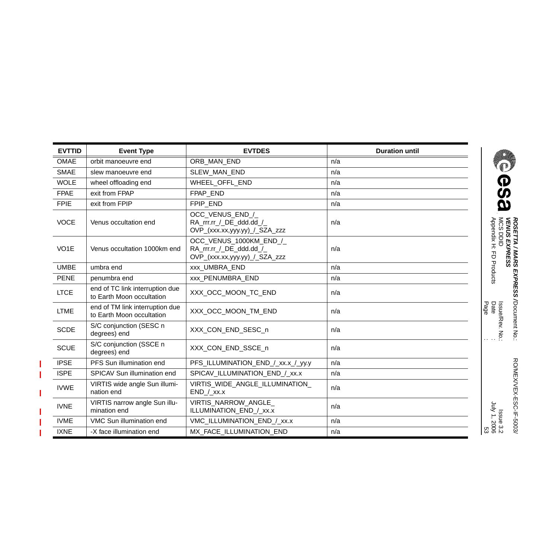| <b>EVTTID</b>     | <b>Event Type</b>                                                                                           | <b>EVTDES</b>                                                                       | <b>Duration until</b> |                                 |
|-------------------|-------------------------------------------------------------------------------------------------------------|-------------------------------------------------------------------------------------|-----------------------|---------------------------------|
| <b>OMAE</b>       | orbit manoeuvre end                                                                                         | ORB MAN END                                                                         | n/a                   |                                 |
| <b>SMAE</b>       | slew manoeuvre end                                                                                          | SLEW_MAN_END                                                                        | n/a                   |                                 |
| <b>WOLE</b>       | wheel offloading end                                                                                        | WHEEL_OFFL_END                                                                      | n/a                   |                                 |
| <b>FPAE</b>       | exit from FPAP                                                                                              | FPAP_END                                                                            | n/a                   |                                 |
| <b>FPIE</b>       | exit from FPIP                                                                                              | FPIP_END                                                                            | n/a                   |                                 |
| <b>VOCE</b>       | OCC VENUS END /<br>RA rrr.rr / DE ddd.dd /<br>Venus occultation end<br>n/a<br>OVP_(xxx.xx,yyy.yy)_/_SZA_zzz |                                                                                     |                       | MCS DDID<br>Appendix H:         |
| VO <sub>1</sub> E | Venus occultation 1000km end                                                                                | OCC VENUS 1000KM END /<br>RA_rrr.rr_/_DE_ddd.dd_/_<br>OVP_(xxx.xx,yyy.yy)_/_SZA_zzz | n/a                   | 긩                               |
| <b>UMBE</b>       | umbra end                                                                                                   | xxx_UMBRA_END                                                                       | n/a                   |                                 |
| <b>PENE</b>       | penumbra end                                                                                                | xxx_PENUMBRA_END                                                                    | n/a                   | Products                        |
| <b>LTCE</b>       | end of TC link interruption due<br>to Earth Moon occultation                                                | XXX OCC MOON TC END                                                                 | n/a                   |                                 |
| <b>LTME</b>       | end of TM link interruption due<br>to Earth Moon occultation                                                | XXX_OCC_MOON_TM_END                                                                 | n/a                   | Issue/Rev. No.:<br>Date<br>Page |
| <b>SCDE</b>       | S/C conjunction (SESC n<br>degrees) end                                                                     | XXX CON END SESC n                                                                  | n/a                   |                                 |
| <b>SCUE</b>       | S/C conjunction (SSCE n<br>degrees) end                                                                     | XXX_CON_END_SSCE_n                                                                  | n/a                   |                                 |
| <b>IPSE</b>       | PFS Sun illumination end                                                                                    | PFS_ILLUMINATION_END_/_xx.x_/_yy.y                                                  | n/a                   |                                 |
| <b>ISPE</b>       | SPICAV Sun illumination end                                                                                 | SPICAV ILLUMINATION END / xx.x                                                      | n/a                   |                                 |
| <b>IVWE</b>       | VIRTIS wide angle Sun illumi-<br>nation end                                                                 | VIRTIS_WIDE_ANGLE_ILLUMINATION_<br>$END_{\_\_xxx.x}$                                | n/a                   |                                 |
| <b>IVNE</b>       | VIRTIS narrow angle Sun illu-<br>mination end                                                               | VIRTIS NARROW ANGLE<br>ILLUMINATION_END_/_xx.x                                      | n/a                   | Issue 3.2<br>July 1, 2006<br>53 |
| <b>IVME</b>       | VMC Sun illumination end                                                                                    | VMC_ILLUMINATION_END_/_xx.x                                                         | n/a                   |                                 |
| <b>IXNE</b>       | -X face illumination end                                                                                    | MX_FACE_ILLUMINATION_END                                                            | n/a                   |                                 |



ROSETTA / MARS EXPRESS / Document No.:<br>VENUS EXPRESS<br>MCS DDID<br>Appendix H: FD Products Date MCS DDID ISSUE ISSUE/Rev. No.: ISSUE 3.2 **VENUS EXPRESS ROSETTA / MARS EXPRESS /**Issue/Rev. No.:<br>Date<br>Page

Document No.: RO/MEX/VEX-ESC-IF-5003/ ROMEX/VEX-ESC-IF-5003/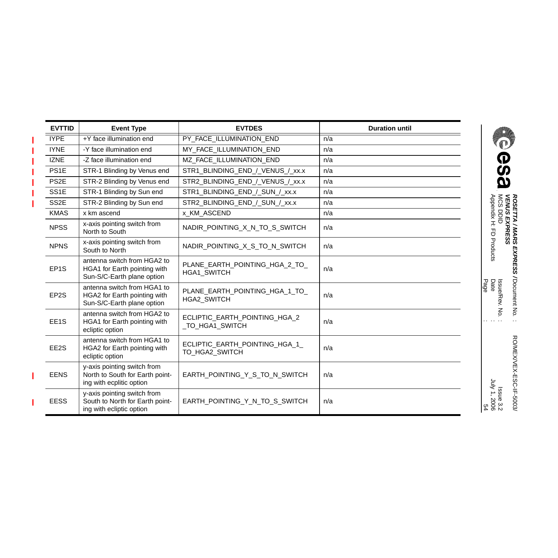| <b>EVTTID</b>     | <b>Event Type</b>                                                                          | <b>EVTDES</b>                                        | <b>Duration until</b> |
|-------------------|--------------------------------------------------------------------------------------------|------------------------------------------------------|-----------------------|
| <b>IYPE</b>       | +Y face illumination end                                                                   | PY FACE ILLUMINATION END                             | n/a                   |
| <b>IYNE</b>       | -Y face illumination end                                                                   | MY FACE ILLUMINATION END                             | n/a                   |
| <b>IZNE</b>       | -Z face illumination end                                                                   | MZ_FACE_ILLUMINATION_END                             | n/a                   |
| PS1E              | STR-1 Blinding by Venus end                                                                | STR1_BLINDING_END_/_VENUS_/_xx.x                     | n/a                   |
| PS2E              | STR-2 Blinding by Venus end                                                                | STR2_BLINDING_END_/_VENUS_/_xx.x                     | n/a                   |
| SS <sub>1E</sub>  | STR-1 Blinding by Sun end                                                                  | STR1 BLINDING END / SUN / xx.x                       | n/a                   |
| SS <sub>2E</sub>  | STR-2 Blinding by Sun end                                                                  | STR2_BLINDING_END_/_SUN_/_xx.x                       | n/a                   |
| <b>KMAS</b>       | x km ascend                                                                                | x_KM_ASCEND                                          | n/a                   |
| <b>NPSS</b>       | x-axis pointing switch from<br>North to South                                              | NADIR_POINTING_X_N_TO_S_SWITCH                       | n/a                   |
| <b>NPNS</b>       | x-axis pointing switch from<br>South to North                                              | NADIR_POINTING_X_S_TO_N_SWITCH                       | n/a                   |
| EP <sub>1</sub> S | antenna switch from HGA2 to<br>HGA1 for Earth pointing with<br>Sun-S/C-Earth plane option  | PLANE_EARTH_POINTING_HGA_2_TO_<br><b>HGA1 SWITCH</b> | n/a                   |
| EP2S              | antenna switch from HGA1 to<br>HGA2 for Earth pointing with<br>Sun-S/C-Earth plane option  | PLANE_EARTH_POINTING_HGA_1_TO_<br>HGA2_SWITCH        | n/a                   |
| EE1S              | antenna switch from HGA2 to<br>HGA1 for Earth pointing with<br>ecliptic option             | ECLIPTIC_EARTH_POINTING_HGA_2<br>_TO_HGA1_SWITCH     | n/a                   |
| EE2S              | antenna switch from HGA1 to<br>HGA2 for Earth pointing with<br>ecliptic option             | ECLIPTIC_EARTH_POINTING_HGA_1_<br>TO HGA2 SWITCH     | n/a                   |
| <b>EENS</b>       | y-axis pointing switch from<br>North to South for Earth point-<br>ing with ecplitic option | EARTH_POINTING_Y_S_TO_N_SWITCH                       | n/a                   |
| <b>EESS</b>       | y-axis pointing switch from<br>South to North for Earth point-<br>ing with ecliptic option | EARTH_POINTING_Y_N_TO_S_SWITCH                       | n/a                   |

Page : : :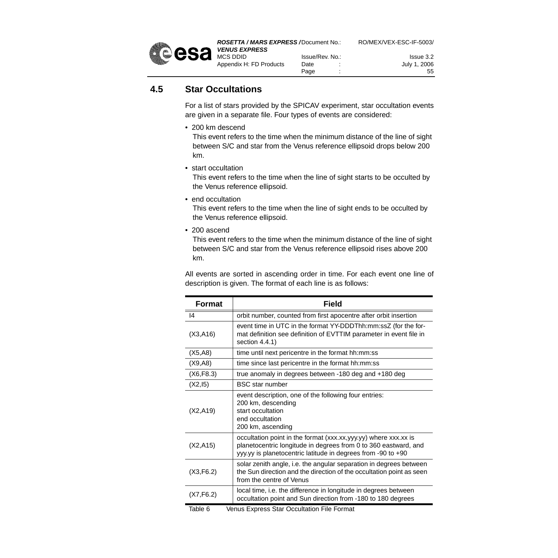

**VENUS EXPRESS**

Issue/Rev. No.: Issue 3.2 Appendix H: FD Products Date : The Sully 1, 2006 Page : 55

# **4.5 Star Occultations**

For a list of stars provided by the SPICAV experiment, star occultation events are given in a separate file. Four types of events are considered:

• 200 km descend

This event refers to the time when the minimum distance of the line of sight between S/C and star from the Venus reference ellipsoid drops below 200 km.

• start occultation

This event refers to the time when the line of sight starts to be occulted by the Venus reference ellipsoid.

• end occultation

This event refers to the time when the line of sight ends to be occulted by the Venus reference ellipsoid.

• 200 ascend

This event refers to the time when the minimum distance of the line of sight between S/C and star from the Venus reference ellipsoid rises above 200 km.

All events are sorted in ascending order in time. For each event one line of description is given. The format of each line is as follows:

| <b>Format</b> | <b>Field</b>                                                                                                                                                                                        |
|---------------|-----------------------------------------------------------------------------------------------------------------------------------------------------------------------------------------------------|
| 4             | orbit number, counted from first apocentre after orbit insertion                                                                                                                                    |
| (X3, A16)     | event time in UTC in the format YY-DDDThh:mm:ssZ (for the for-<br>mat definition see definition of EVTTIM parameter in event file in<br>section 4.4.1)                                              |
| (X5, AB)      | time until next pericentre in the format hh:mm:ss                                                                                                                                                   |
| (X9, A8)      | time since last pericentre in the format hh:mm:ss                                                                                                                                                   |
| (X6, F8.3)    | true anomaly in degrees between -180 deg and +180 deg                                                                                                                                               |
| (X2,I5)       | <b>BSC</b> star number                                                                                                                                                                              |
| (X2, A19)     | event description, one of the following four entries:<br>200 km, descending<br>start occultation<br>end occultation<br>200 km, ascending                                                            |
| (X2, A15)     | occultation point in the format (xxx.xx, yyy.yy) where xxx.xx is<br>planetocentric longitude in degrees from 0 to 360 eastward, and<br>yyy.yy is planetocentric latitude in degrees from -90 to +90 |
| (X3, F6.2)    | solar zenith angle, i.e. the angular separation in degrees between<br>the Sun direction and the direction of the occultation point as seen<br>from the centre of Venus                              |
| (X7, F6.2)    | local time, i.e. the difference in longitude in degrees between<br>occultation point and Sun direction from -180 to 180 degrees                                                                     |
| Table 6       | Venus Express Star Occultation File Format                                                                                                                                                          |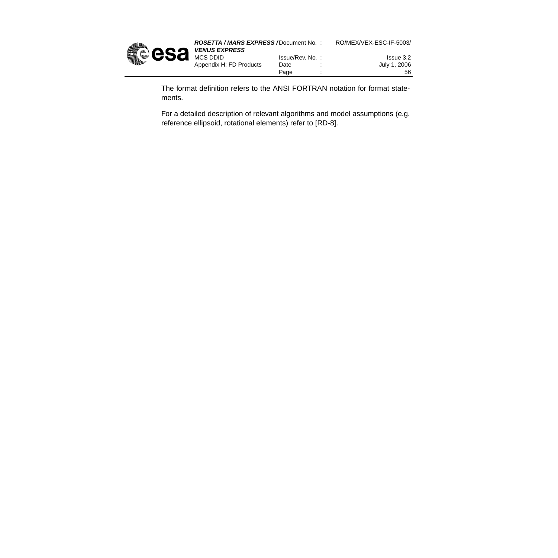| <b>ROSETTA / MARS EXPRESS / Document No. :</b> |                 | RO/MEX/VEX-ESC-IF-5003/ |
|------------------------------------------------|-----------------|-------------------------|
|                                                |                 |                         |
| <b>esa</b> MENUS EXPRESS                       | Issue/Rev. No.: | Issue 3.2               |
| Appendix H: FD Products                        | Date            | July 1, 2006            |
|                                                | Page            | 56                      |

The format definition refers to the ANSI FORTRAN notation for format statements.

For a detailed description of relevant algorithms and model assumptions (e.g. reference ellipsoid, rotational elements) refer to [RD-8].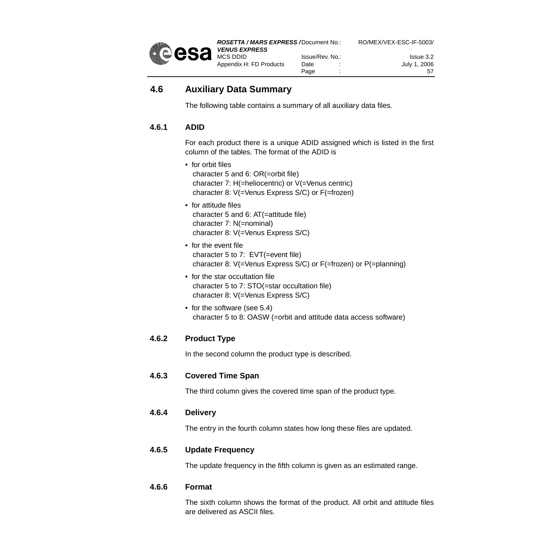**ROSETTA / MARS EXPRESS /**Document No.: RO/MEX/VEX-ESC-IF-5003/



**VENUS EXPRESS** MCS DDID **ISSUE/Rev. No.:** ISSUE ISSUE 3.2 Appendix H: FD Products Date : July 1, 2006 Page : 57

# **4.6 Auxiliary Data Summary**

The following table contains a summary of all auxiliary data files.

## **4.6.1 ADID**

For each product there is a unique ADID assigned which is listed in the first column of the tables. The format of the ADID is

- for orbit files character 5 and 6: OR(=orbit file) character 7: H(=heliocentric) or V(=Venus centric) character 8: V(=Venus Express S/C) or F(=frozen)
- for attitude files character 5 and 6: AT(=attitude file) character 7: N(=nominal) character 8: V(=Venus Express S/C)
- for the event file character 5 to 7: EVT(=event file) character 8: V(=Venus Express S/C) or F(=frozen) or P(=planning)
- for the star occultation file character 5 to 7: STO(=star occultation file) character 8: V(=Venus Express S/C)
- for the software (see [5.4\)](#page-92-0) character 5 to 8: OASW (=orbit and attitude data access software)

## **4.6.2 Product Type**

In the second column the product type is described.

## **4.6.3 Covered Time Span**

The third column gives the covered time span of the product type.

### **4.6.4 Delivery**

The entry in the fourth column states how long these files are updated.

### **4.6.5 Update Frequency**

The update frequency in the fifth column is given as an estimated range.

### **4.6.6 Format**

The sixth column shows the format of the product. All orbit and attitude files are delivered as ASCII files.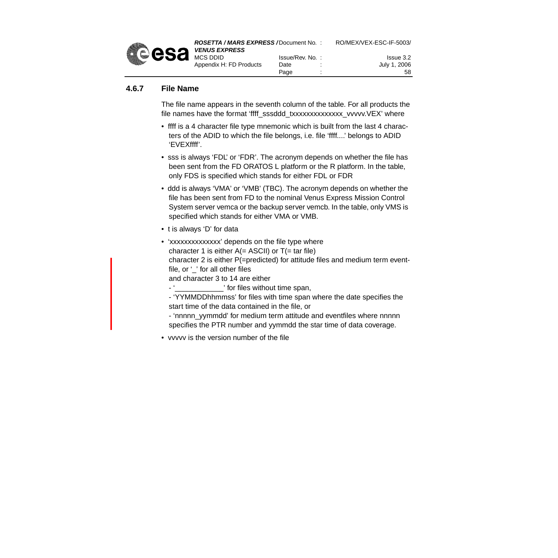

#### **4.6.7 File Name**

The file name appears in the seventh column of the table. For all products the file names have the format 'ffff\_sssddd\_txxxxxxxxxxxxxxxx\_vvvvv.VEX' where

- ffff is a 4 character file type mnemonic which is built from the last 4 characters of the ADID to which the file belongs, i.e. file 'ffff....' belongs to ADID 'EVEXffff'.
- sss is always 'FDL' or 'FDR'. The acronym depends on whether the file has been sent from the FD ORATOS L platform or the R platform. In the table, only FDS is specified which stands for either FDL or FDR
- ddd is always 'VMA' or 'VMB' (TBC). The acronym depends on whether the file has been sent from FD to the nominal Venus Express Mission Control System server vemca or the backup server vemcb. In the table, only VMS is specified which stands for either VMA or VMB.
- t is always 'D' for data
- 'xxxxxxxxxxxxxx' depends on the file type where character 1 is either  $A(= ASCII)$  or  $T(= tar file)$ character 2 is either P(=predicted) for attitude files and medium term eventfile, or '\_' for all other files

and character 3 to 14 are either<br>files without

- <sup>'</sup> for files without time span,
- 'YYMMDDhhmmss' for files with time span where the date specifies the start time of the data contained in the file, or
- 'nnnnn\_yymmdd' for medium term attitude and eventfiles where nnnnn specifies the PTR number and yymmdd the star time of data coverage.
- vvvvv is the version number of the file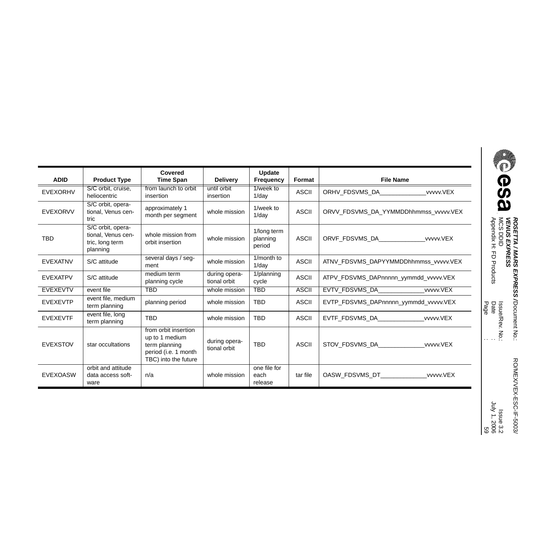| <b>ADID</b>     | <b>Product Type</b>                                                    | <b>Covered</b><br><b>Time Span</b>                                                                      | <b>Delivery</b>               | Update<br><b>Frequency</b>        | Format       | <b>File Name</b>                      |
|-----------------|------------------------------------------------------------------------|---------------------------------------------------------------------------------------------------------|-------------------------------|-----------------------------------|--------------|---------------------------------------|
| <b>EVEXORHV</b> | S/C orbit, cruise,<br>heliocentric                                     | from launch to orbit<br>insertion                                                                       | until orbit<br>insertion      | 1/week to<br>$1$ /day             | <b>ASCII</b> | vvvvv.VEX                             |
| <b>EVEXORVV</b> | S/C orbit, opera-<br>tional, Venus cen-<br>tric                        | approximately 1<br>month per segment                                                                    | whole mission                 | 1/week to<br>$1$ /day             | <b>ASCII</b> | ORVV FDSVMS DA YYMMDDhhmmss vvvvv.VEX |
| <b>TBD</b>      | S/C orbit, opera-<br>tional, Venus cen-<br>tric, long term<br>planning | whole mission from<br>orbit insertion                                                                   | whole mission                 | 1/long term<br>planning<br>period | <b>ASCII</b> | vvvvv.VEX                             |
| <b>EVEXATNV</b> | S/C attitude                                                           | several days / seg-<br>ment                                                                             | whole mission                 | 1/month to<br>1/day               | <b>ASCII</b> | ATNV_FDSVMS_DAPYYMMDDhhmmss_vvvvv.VEX |
| <b>EVEXATPV</b> | S/C attitude                                                           | medium term<br>planning cycle                                                                           | during opera-<br>tional orbit | 1/planning<br>cycle               | <b>ASCII</b> | ATPV_FDSVMS_DAPnnnnn_yymmdd_vvvvv.VEX |
| <b>EVEXEVTV</b> | event file                                                             | <b>TBD</b>                                                                                              | whole mission                 | <b>TBD</b>                        | <b>ASCII</b> | EVTV_FDSVMS_DA<br>vvvvv.VEX           |
| <b>EVEXEVTP</b> | event file, medium<br>term planning                                    | planning period                                                                                         | whole mission                 | <b>TBD</b>                        | <b>ASCII</b> | EVTP_FDSVMS_DAPnnnnn_yymmdd_vvvvv.VEX |
| <b>EVEXEVTF</b> | event file, long<br>term planning                                      | <b>TBD</b>                                                                                              | whole mission                 | <b>TBD</b>                        | <b>ASCII</b> | EVTF_FDSVMS_DA    vvvvv.VEX           |
| <b>EVEXSTOV</b> | star occultations                                                      | from orbit insertion<br>up to 1 medium<br>term planning<br>period (i.e. 1 month<br>TBC) into the future | during opera-<br>tional orbit | <b>TBD</b>                        | <b>ASCII</b> | STOV_FDSVMS_DA<br>vvvvv.VEX           |
| <b>EVEXOASW</b> | orbit and attitude<br>data access soft-<br>ware                        | n/a                                                                                                     | whole mission                 | one file for<br>each<br>release   | tar file     | vvvvv.VEX                             |



ROSETTA / MARS EXPRESS / Document No.:<br>VENUS EXPRESS<br>MCS DDID<br>Appendix H: FD Products Date Appendix H: FD Products Date : July 1, 2006 MCS DDID ISSUE ISSUE/Rev. No.: ISSUE 3.2 **VENUS EXPRESS ROSETTA / MARS EXPRESS /**

Issue/Rev. No.:<br>Date<br>Page

Page : 59

Issue 3.2<br>July 1, 2006<br>59

Document No.: RO/MEX/VEX-ESC-IF-5003/ ROMEX/VEX-ESC-IF-5003/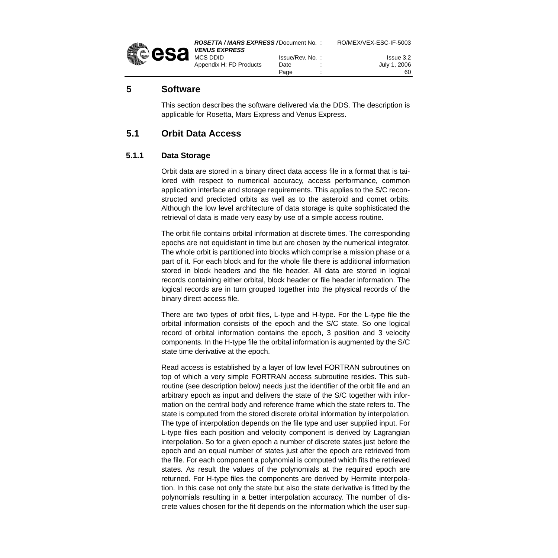

#### **5 Software**

This section describes the software delivered via the DDS. The description is applicable for Rosetta, Mars Express and Venus Express.

## **5.1 Orbit Data Access**

#### **5.1.1 Data Storage**

Orbit data are stored in a binary direct data access file in a format that is tailored with respect to numerical accuracy, access performance, common application interface and storage requirements. This applies to the S/C reconstructed and predicted orbits as well as to the asteroid and comet orbits. Although the low level architecture of data storage is quite sophisticated the retrieval of data is made very easy by use of a simple access routine.

The orbit file contains orbital information at discrete times. The corresponding epochs are not equidistant in time but are chosen by the numerical integrator. The whole orbit is partitioned into blocks which comprise a mission phase or a part of it. For each block and for the whole file there is additional information stored in block headers and the file header. All data are stored in logical records containing either orbital, block header or file header information. The logical records are in turn grouped together into the physical records of the binary direct access file.

There are two types of orbit files, L-type and H-type. For the L-type file the orbital information consists of the epoch and the S/C state. So one logical record of orbital information contains the epoch, 3 position and 3 velocity components. In the H-type file the orbital information is augmented by the S/C state time derivative at the epoch.

Read access is established by a layer of low level FORTRAN subroutines on top of which a very simple FORTRAN access subroutine resides. This subroutine (see description below) needs just the identifier of the orbit file and an arbitrary epoch as input and delivers the state of the S/C together with information on the central body and reference frame which the state refers to. The state is computed from the stored discrete orbital information by interpolation. The type of interpolation depends on the file type and user supplied input. For L-type files each position and velocity component is derived by Lagrangian interpolation. So for a given epoch a number of discrete states just before the epoch and an equal number of states just after the epoch are retrieved from the file. For each component a polynomial is computed which fits the retrieved states. As result the values of the polynomials at the required epoch are returned. For H-type files the components are derived by Hermite interpolation. In this case not only the state but also the state derivative is fitted by the polynomials resulting in a better interpolation accuracy. The number of discrete values chosen for the fit depends on the information which the user sup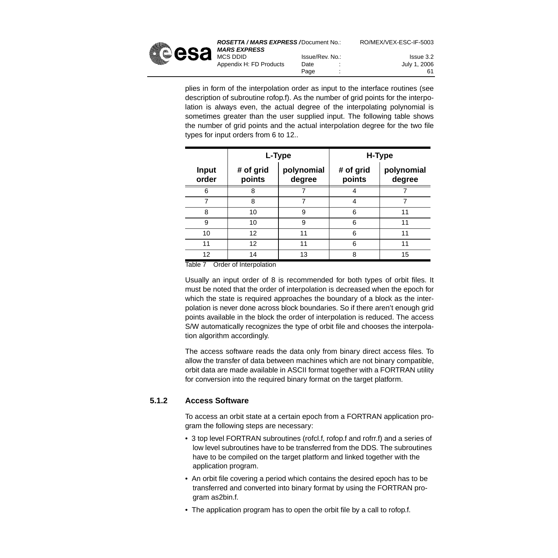**ROSETTA / MARS EXPRESS /**Document No.: RO/MEX/VEX-ESC-IF-5003 **MARS EX** 



| $1000$ $\mu$ $1000$ $\mu$ $1000$ $\mu$ $100$ $\mu$ $100$ $\mu$ |                 |  | 110/1111 - 12 11 - 12 11 - 12 11 - 12 12 13 14 15 16 17 18 18 19 19 19 19 19 19 1 |  |  |
|----------------------------------------------------------------|-----------------|--|-----------------------------------------------------------------------------------|--|--|
| <b>MARS EXPRESS</b>                                            |                 |  |                                                                                   |  |  |
| MCS DDID                                                       | Issue/Rev. No.: |  | Issue 3.2                                                                         |  |  |
| Appendix H: FD Products                                        | Date            |  | July 1, 2006                                                                      |  |  |
|                                                                | Page            |  | 61                                                                                |  |  |

plies in form of the interpolation order as input to the interface routines (see description of subroutine rofop.f). As the number of grid points for the interpolation is always even, the actual degree of the interpolating polynomial is sometimes greater than the user supplied input. The following table shows the number of grid points and the actual interpolation degree for the two file types for input orders from 6 to 12..

|                       | L-Type              |                      | H-Type              |                      |  |  |
|-----------------------|---------------------|----------------------|---------------------|----------------------|--|--|
| <b>Input</b><br>order | # of grid<br>points | polynomial<br>degree | # of grid<br>points | polynomial<br>degree |  |  |
| 6                     | 8                   |                      |                     |                      |  |  |
| 7                     | 8                   | 7                    | 4                   | 7                    |  |  |
| 8                     | 10                  | 9                    | 6                   | 11                   |  |  |
| 9                     | 10                  | 9                    | 6                   | 11                   |  |  |
| 10                    | 12                  | 11                   | 6                   | 11                   |  |  |
| 11                    | 12                  | 11                   | 6                   | 11                   |  |  |
| 12                    | 14                  | 13                   | 8                   | 15                   |  |  |

Table 7 Order of Interpolation

Usually an input order of 8 is recommended for both types of orbit files. It must be noted that the order of interpolation is decreased when the epoch for which the state is required approaches the boundary of a block as the interpolation is never done across block boundaries. So if there aren't enough grid points available in the block the order of interpolation is reduced. The access S/W automatically recognizes the type of orbit file and chooses the interpolation algorithm accordingly.

The access software reads the data only from binary direct access files. To allow the transfer of data between machines which are not binary compatible, orbit data are made available in ASCII format together with a FORTRAN utility for conversion into the required binary format on the target platform.

#### **5.1.2 Access Software**

To access an orbit state at a certain epoch from a FORTRAN application program the following steps are necessary:

- 3 top level FORTRAN subroutines (rofcl.f, rofop.f and rofrr.f) and a series of low level subroutines have to be transferred from the DDS. The subroutines have to be compiled on the target platform and linked together with the application program.
- An orbit file covering a period which contains the desired epoch has to be transferred and converted into binary format by using the FORTRAN program as2bin.f.
- The application program has to open the orbit file by a call to rofop.f.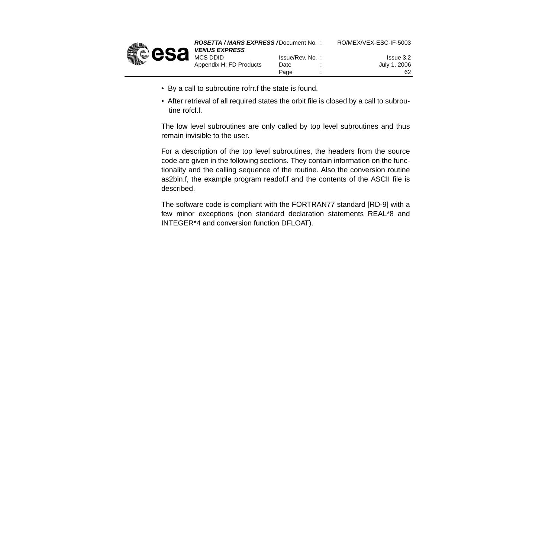| <b>ROSETTA / MARS EXPRESS / Document No. :</b> |                 |  | RO/MEX/VEX-ESC-IF-5003 |  |
|------------------------------------------------|-----------------|--|------------------------|--|
|                                                |                 |  |                        |  |
| <b>esa</b> <i>VENUS EXPRESS</i>                | Issue/Rev. No.: |  | Issue 3.2              |  |
| Appendix H: FD Products                        | Date            |  | July 1, 2006           |  |
|                                                | Page            |  | 62                     |  |

- By a call to subroutine rofrr.f the state is found.
- After retrieval of all required states the orbit file is closed by a call to subroutine rofcl.f.

The low level subroutines are only called by top level subroutines and thus remain invisible to the user.

For a description of the top level subroutines, the headers from the source code are given in the following sections. They contain information on the functionality and the calling sequence of the routine. Also the conversion routine as2bin.f, the example program readof.f and the contents of the ASCII file is described.

The software code is compliant with the FORTRAN77 standard [RD-9] with a few minor exceptions (non standard declaration statements REAL\*8 and INTEGER\*4 and conversion function DFLOAT).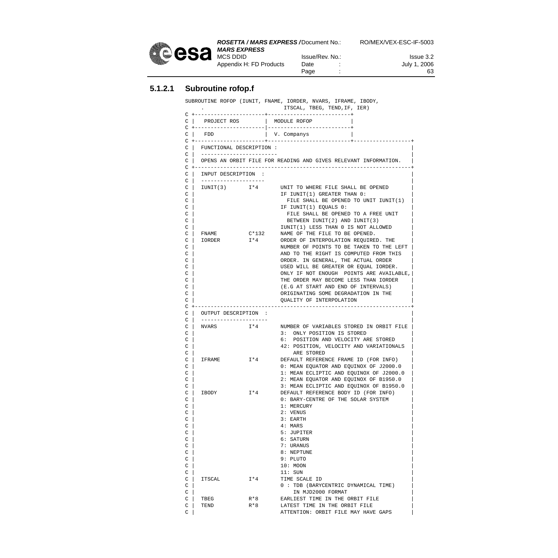

**ROSETTA / MARS EXPRESS /**Document No.: RO/MEX/VEX-ESC-IF-5003

Issue/Rev. No.: Issue 3.2 Appendix H: FD Products Date : July 1, 2006 Page : 63

# **5.1.2.1 Subroutine rofop.f**

SUBROUTINE ROFOP (IUNIT, FNAME, IORDER, NVARS, IFRAME, IBODY, . ITSCAL, TBEG, TEND,IF, IER) C +----------------------+--------------------------+ C | PROJECT ROS | MODULE ROFOP C +----------------------|--------------------------+ C | FDD | V. Companys | C +----------------------+--------------------------+------------------+ C | FUNCTIONAL DESCRIPTION :  $C$  | -------------------------C | OPENS AN ORBIT FILE FOR READING AND GIVES RELEVANT INFORMATION. | C +--------------------------------------------------------------------+ C | INPUT DESCRIPTION  $C$  | -------------------- $C$  | IUNIT(3)  $I*4$  UNIT TO WHERE FILE SHALL BE OPENED  $\overline{C}$  |  $\overline{C}$  |  $\overline{C}$  |  $\overline{C}$  |  $\overline{C}$  |  $\overline{C}$  |  $\overline{C}$  |  $\overline{C}$  |  $\overline{C}$  |  $\overline{C}$  |  $\overline{C}$  |  $\overline{C}$  |  $\overline{C}$  |  $\overline{C}$  |  $\overline{C}$  |  $\overline{C}$  |  $\overline{C}$  |  $\overline{C}$  |  $\overline{C}$  |  $\overline{C}$  | C | FILE SHALL BE OPENED TO UNIT IUNIT(1) |  $C$  |  $IF$  IUNIT(1) EQUALS 0: C | FILE SHALL BE OPENED TO A FREE UNIT C | BETWEEN IUNIT(2) AND IUNIT(3) C | IUNIT(1) LESS THAN 0 IS NOT ALLOWED C | FNAME  $C * 132$  NAME OF THE FILE TO BE OPENED. C | IORDER I<sup>\*4</sup> ORDER OF INTERPOLATION REQUIRED. THE C | NUMBER OF POINTS TO BE TAKEN TO THE LEFT C | AND TO THE RIGHT IS COMPUTED FROM THIS C | ORDER. IN GENERAL, THE ACTUAL ORDER C | USED WILL BE GREATER OR EQUAL IORDER. | C | ONLY IF NOT ENOUGH POINTS ARE AVAILABLE,| C | THE ORDER MAY BECOME LESS THAN IORDER C | (E.G AT START AND END OF INTERVALS) | C | ORIGINATING SOME DEGRADATION IN THE C | QUALITY OF INTERPOLATION C +--------------------------------------------------------------------+ C | OUTPUT DESCRIPTION : C | --------------------C | NVARS I\*4 NUMBER OF VARIABLES STORED IN ORBIT FILE | C | 3: ONLY POSITION IS STORED | C | 6: POSITION AND VELOCITY ARE STORED C |  $\qquad \qquad 42:$  POSITION, VELOCITY AND VARIATIONALS C | ARE STORED C | IFRAME I<sup>\*4</sup> DEFAULT REFERENCE FRAME ID (FOR INFO) C | 0: MEAN EQUATOR AND EQUINOX OF J2000.0 C | 1: MEAN ECLIPTIC AND EQUINOX OF J2000.0 C | 2: MEAN EQUATOR AND EQUINOX OF B1950.0 C | 3: MEAN ECLIPTIC AND EQUINOX OF B1950.0 C | IBODY  $I * 4$  DEFAULT REFERENCE BODY ID (FOR INFO) C | 0: BARY-CENTRE OF THE SOLAR SYSTEM C | 1: MERCURY  $C$  |  $2:$  VENUS |  $\vert$  $C$  |  $3: EARTH$  $C$  |  $4:$  MARS |  $\overline{4:}$  MARS |  $\overline{4:}$   $\overline{4:}$   $\overline{4:}$   $\overline{4:}$   $\overline{4:}$   $\overline{4:}$   $\overline{4:}$   $\overline{4:}$   $\overline{4:}$   $\overline{4:}$   $\overline{4:}$   $\overline{4:}$   $\overline{4:}$   $\overline{4:}$   $\overline{4:}$   $\overline{4:}$   $\overline{4:}$   $\overline{4:}$   $\overline{4$ C | 5: JUPITER C | 6: SATURN C | 7: URANUS C | 8: NEPTUNE  $C$  |  $9:$  PLUTO  $\qquad \qquad$ C | 10: MOON  $C$  |  $11:$  SUN |  $\qquad$ C | ITSCAL  $I^*4$  TIME SCALE ID C | 0 : TDB (BARYCENTRIC DYNAMICAL TIME) | C | IN MJD2000 FORMAT C | TBEG R\*8 EARLIEST TIME IN THE ORBIT FILE | C | TEND R<sup>\*8</sup> LATEST TIME IN THE ORBIT FILE

C | ATTENTION: ORBIT FILE MAY HAVE GAPS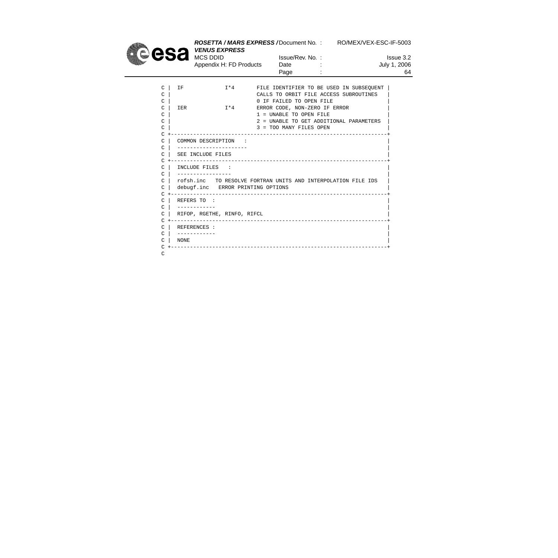|     |               |                                            | <b>VENUS EXPRESS</b>            | <b>ROSETTA / MARS EXPRESS / Document No. : RO/MEX/VEX-ESC-IF-5003</b> |  |                                 |  |
|-----|---------------|--------------------------------------------|---------------------------------|-----------------------------------------------------------------------|--|---------------------------------|--|
| esa |               | <b>MCS DDID</b><br>Appendix H: FD Products | Issue/Rev. No.:<br>Date<br>Page |                                                                       |  | Issue 3.2<br>July 1, 2006<br>64 |  |
|     |               |                                            |                                 |                                                                       |  |                                 |  |
|     | $\mathcal{C}$ | ΙF                                         | $T*4$                           | FILE IDENTIFIER TO BE USED IN SUBSEQUENT                              |  |                                 |  |
|     | C             |                                            |                                 | CALLS TO ORBIT FILE ACCESS SUBROUTINES                                |  |                                 |  |
|     | C             |                                            |                                 | 0 IF FAILED TO OPEN FILE                                              |  |                                 |  |
|     | $\mathcal{C}$ | IER                                        | $T*4$                           | ERROR CODE, NON-ZERO IF ERROR                                         |  |                                 |  |
|     | C             |                                            |                                 | = UNABLE TO OPEN FILE                                                 |  |                                 |  |
|     | C             |                                            |                                 | 2 = UNABLE TO GET ADDITIONAL PARAMETERS                               |  |                                 |  |
|     | C             |                                            |                                 | 3 = TOO MANY FILES OPEN                                               |  |                                 |  |
|     |               |                                            |                                 |                                                                       |  |                                 |  |

C | IER I\*4 ERROR CODE, NON-ZERO IF ERROR |  $C$  |  $1 = UNABLE TO OPEN FILE$  | ITIONAL PARAMETERS  $C$  |  $3 = TOO$  MANY FILES OPEN | C +--------------------------------------------------------------------+ C | COMMON DESCRIPTION : C | ---------------------C | SEE INCLUDE FILES C +--------------------------------------------------------------------+ C | INCLUDE FILES :  $C$  | ------------------C | rofsh.inc TO RESOLVE FORTRAN UNITS AND INTERPOLATION FILE IDS | C | debugf.inc ERROR PRINTING OPTIONS | C +--------------------------------------------------------------------+ C | REFERS TO :  $C$  | ------------C | RIFOP, RGETHE, RINFO, RIFCL | C +--------------------------------------------------------------------+ C | REFERENCES :  $C$  | ------------ $C$  | NONE C +--------------------------------------------------------------------+ C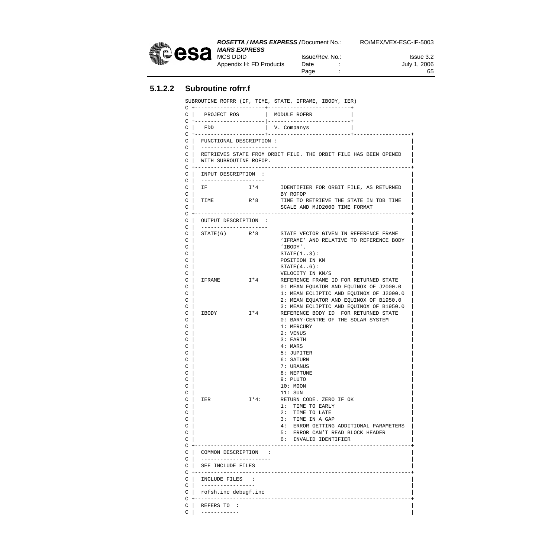

**MARS EXPRESS**

MCS DDID Issue/Rev. No.: Issue 3.2 Appendix H: FD Products Date : July 1, 2006 Page : 65

## **5.1.2.2 Subroutine rofrr.f**

|                              | SUBROUTINE ROFRR (IF, TIME, STATE, IFRAME, IBODY, IER)<br>$- - - - -$            |        |                                                                                  |  |  |
|------------------------------|----------------------------------------------------------------------------------|--------|----------------------------------------------------------------------------------|--|--|
| $C + - - - -$                | C   PROJECT ROS                                                                  |        | MODULE ROFRR                                                                     |  |  |
| $C \parallel$                | FDD<br>$C$ +-----------                                                          |        | V. Companys                                                                      |  |  |
| $\mathsf{C}^-$               | FUNCTIONAL DESCRIPTION:                                                          |        |                                                                                  |  |  |
| C<br>$\mathsf{C}$  <br>$C$   | ---------------------<br>WITH SUBROUTINE ROFOP.<br>C +-------------------------- |        | RETRIEVES STATE FROM ORBIT FILE. THE ORBIT FILE HAS BEEN OPENED                  |  |  |
| C I<br>$\mathsf{C}$          | INPUT DESCRIPTION :                                                              |        |                                                                                  |  |  |
| C I<br>С                     | -------------------<br>IF.                                                       | $I^*4$ | IDENTIFIER FOR ORBIT FILE, AS RETURNED<br>BY ROFOP                               |  |  |
| $C \parallel$<br>C.          | TIME                                                                             | $R*8$  | TIME TO RETRIEVE THE STATE IN TDB TIME<br>SCALE AND MJD2000 TIME FORMAT          |  |  |
| $C + -$<br>$\mathsf{C}^-$    | OUTPUT DESCRIPTION :                                                             |        |                                                                                  |  |  |
| C                            |                                                                                  |        |                                                                                  |  |  |
| C<br>C                       | $STATE(6)$ $R*8$                                                                 |        | STATE VECTOR GIVEN IN REFERENCE FRAME<br>'IFRAME' AND RELATIVE TO REFERENCE BODY |  |  |
| С                            |                                                                                  |        | 'IBODY'.                                                                         |  |  |
| С                            |                                                                                  |        | STATE(13):                                                                       |  |  |
| С                            |                                                                                  |        | POSITION IN KM                                                                   |  |  |
| C                            |                                                                                  |        | STATE(46):                                                                       |  |  |
| С<br>C                       | IFRAME                                                                           | $I^*4$ | VELOCITY IN KM/S<br>REFERENCE FRAME ID FOR RETURNED STATE                        |  |  |
| С                            |                                                                                  |        | 0: MEAN EQUATOR AND EQUINOX OF J2000.0                                           |  |  |
| С                            |                                                                                  |        | 1: MEAN ECLIPTIC AND EQUINOX OF J2000.0                                          |  |  |
| С                            |                                                                                  |        | 2: MEAN EQUATOR AND EQUINOX OF B1950.0                                           |  |  |
| C                            |                                                                                  |        | 3: MEAN ECLIPTIC AND EQUINOX OF B1950.0                                          |  |  |
| С<br>С                       | IBODY                                                                            | $I^*4$ | REFERENCE BODY ID FOR RETURNED STATE<br>0: BARY-CENTRE OF THE SOLAR SYSTEM       |  |  |
| С                            |                                                                                  |        | 1: MERCURY                                                                       |  |  |
| С                            |                                                                                  |        | $2:$ VENUS                                                                       |  |  |
| C                            |                                                                                  |        | 3: EARTH                                                                         |  |  |
| С                            |                                                                                  |        | $4:$ MARS                                                                        |  |  |
| С<br>C                       |                                                                                  |        | 5: JUPITER<br>6: SATURN                                                          |  |  |
| С                            |                                                                                  |        | 7: URANUS                                                                        |  |  |
| C                            |                                                                                  |        | 8: NEPTUNE                                                                       |  |  |
| C                            |                                                                                  |        | 9: PLUTO                                                                         |  |  |
| С                            |                                                                                  |        | 10: MOON                                                                         |  |  |
| C<br>С                       | IER                                                                              | $I*4:$ | $11:$ SUN<br>RETURN CODE. ZERO IF OK                                             |  |  |
| C                            |                                                                                  |        | 1:<br>TIME TO EARLY                                                              |  |  |
| С                            |                                                                                  |        | 2: TIME TO LATE                                                                  |  |  |
| С                            |                                                                                  |        | 3:<br>TIME IN A GAP                                                              |  |  |
| C<br>C                       |                                                                                  |        | 4:<br>ERROR GETTING ADDITIONAL PARAMETERS<br>ERROR CAN'T READ BLOCK HEADER<br>5: |  |  |
| С                            |                                                                                  |        | 6:<br>INVALID IDENTIFIER                                                         |  |  |
| C                            |                                                                                  |        |                                                                                  |  |  |
| $\mathbf{C}$                 | COMMON DESCRIPTION :                                                             |        |                                                                                  |  |  |
| $\mathsf{C}$<br>$\mathbf{C}$ | ___________________<br>SEE INCLUDE FILES                                         |        |                                                                                  |  |  |
| $C$ +-<br>$\mathsf{C}$       | INCLUDE FILES :                                                                  |        |                                                                                  |  |  |
| C  <br>С                     | -----------------<br>rofsh.inc debugf.inc                                        |        |                                                                                  |  |  |
| $C +$                        |                                                                                  |        |                                                                                  |  |  |
| C                            | REFERS TO :                                                                      |        |                                                                                  |  |  |
| $\overline{c}$               | ------------                                                                     |        |                                                                                  |  |  |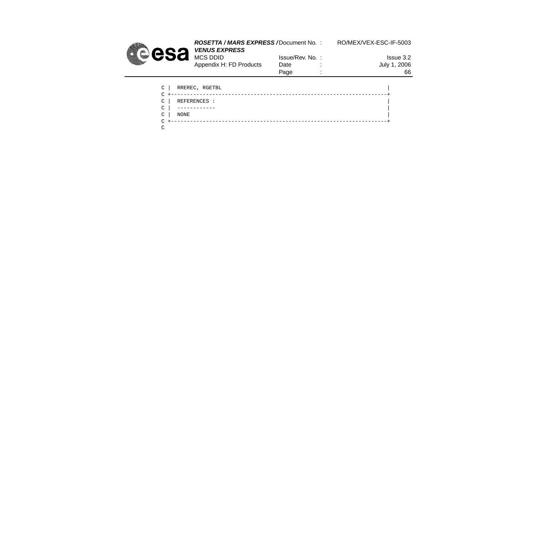|                       | <b>ROSETTA / MARS EXPRESS / Document No. :</b><br><b>VENUS EXPRESS</b> |                                      | RO/MEX/VEX-ESC-IF-5003          |  |
|-----------------------|------------------------------------------------------------------------|--------------------------------------|---------------------------------|--|
| esa                   | <b>MCS DDID</b><br>Appendix H: FD Products                             | Issue/Rev. No.:<br>Date<br>Page      | Issue 3.2<br>July 1, 2006<br>66 |  |
| C<br>C                | RREREC, RGETBL                                                         | ____________________________________ |                                 |  |
| C<br>C                | REFERENCES :                                                           |                                      |                                 |  |
| C<br><b>NONE</b><br>C |                                                                        | ------------------------             |                                 |  |

C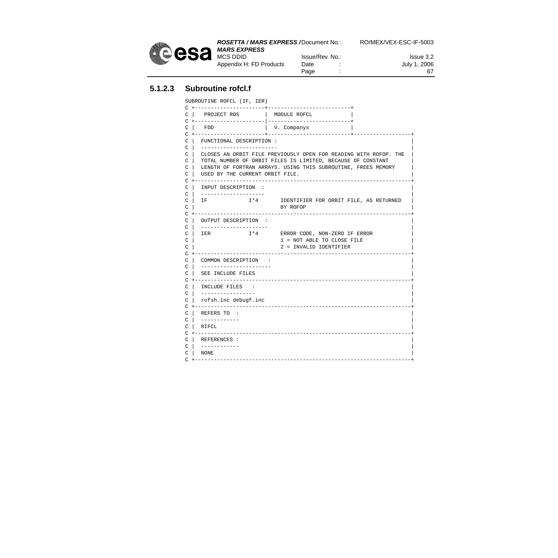

MCS DDID Issue/Rev. No.: Issue 3.2 Appendix H: FD Products Date : July 1, 2006<br>Page : 67 Page :

### **5.1.2.3 Subroutine rofcl.f**

SUBROUTINE ROFCL (IF, IER)

**MARS EXPRESS**

| С<br>C                | PROJECT ROS                                    | MODULE ROFCL                                                                                                                                                                                     |
|-----------------------|------------------------------------------------|--------------------------------------------------------------------------------------------------------------------------------------------------------------------------------------------------|
| С<br>С                | FDD                                            | V. Companys                                                                                                                                                                                      |
| C<br>C                | FUNCTIONAL DESCRIPTION :<br>__________________ |                                                                                                                                                                                                  |
| С<br>C<br>С<br>С<br>С | USED BY THE CURRENT ORBIT FILE.                | CLOSES AN ORBIT FILE PREVIOUSLY OPEN FOR READING WITH ROFOP. THE<br>TOTAL NUMBER OF ORBIT FILES IS LIMITED, BECAUSE OF CONSTANT<br>LENGTH OF FORTRAN ARRAYS. USING THIS SUBROUTINE, FREES MEMORY |
| С<br>С                | INPUT DESCRIPTION<br>--------------            |                                                                                                                                                                                                  |
| С<br>С<br>С           | $I^*4$<br>IF -                                 | IDENTIFIER FOR ORBIT FILE, AS RETURNED<br>BY ROFOP                                                                                                                                               |
| С<br>С                | OUTPUT DESCRIPTION                             |                                                                                                                                                                                                  |
| С<br>C<br>C<br>С      | $T*4$<br>IER                                   | ERROR CODE, NON-ZERO IF ERROR<br>1 = NOT ABLE TO CLOSE FILE<br>2 = INVALID IDENTIFIER                                                                                                            |
| С<br>С                | COMMON DESCRIPTION                             |                                                                                                                                                                                                  |
| С<br>C                | SEE INCLUDE FILES                              |                                                                                                                                                                                                  |
| С                     | INCLUDE FILES :                                |                                                                                                                                                                                                  |
| С<br>C<br>C           | rofsh.inc debugf.inc                           |                                                                                                                                                                                                  |
| C<br>C                | REFERS TO :<br>--------                        |                                                                                                                                                                                                  |
| C                     | RIFCL                                          |                                                                                                                                                                                                  |
| С<br>C<br>C           | REFERENCES :<br>------------                   |                                                                                                                                                                                                  |
| С<br>C                | NONE                                           |                                                                                                                                                                                                  |
|                       |                                                |                                                                                                                                                                                                  |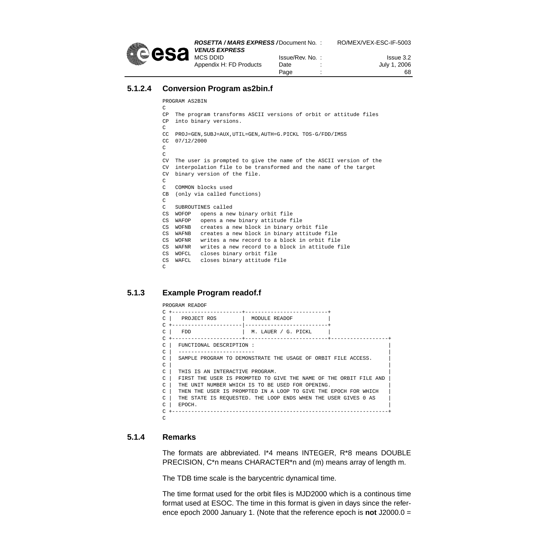

| Issue 3.2    |
|--------------|
| July 1, 2006 |
| 68           |

## **5.1.2.4 Conversion Program as2bin.f**

```
PROGRAM AS2BIN
\GammaCP The program transforms ASCII versions of orbit or attitude files
CP into binary versions.
\mathcal{C}CC PROJ=GEN,SUBJ=AUX,UTIL=GEN,AUTH=G.PICKL TOS-G/FDD/IMSS
CC 07/12/2000
C
\capCV The user is prompted to give the name of the ASCII version of the
CV interpolation file to be transformed and the name of the target
CV binary version of the file.
C
C COMMON blocks used
CB (only via called functions)
\mathtt{C}C SUBROUTINES called
CS WOFOP opens a new binary orbit file
CS WAFOP opens a new binary attitude file
CS WOFNB creates a new block in binary orbit file
CS WAFNB creates a new block in binary attitude file
CS WOFNR writes a new record to a block in orbit file
CS WAFNR writes a new record to a block in attitude file
CS WOFCL closes binary orbit file
CS WAFCL closes binary attitude file
\mathcal{C}
```
## **5.1.3 Example Program readof.f**

PROGRAM READOF

```
C +----------------------+--------------------------+
C | PROJECT ROS | MODULE READOF |
C +----------------------|--------------------------+
C | FDD | M. LAUER / G. PICKL |
C +----------------------+--------------------------+------------------+
C | FUNCTIONAL DESCRIPTION :
C | -----------------------
C | SAMPLE PROGRAM TO DEMONSTRATE THE USAGE OF ORBIT FILE ACCESS. |
C \parallelC | THIS IS AN INTERACTIVE PROGRAM. |
C | FIRST THE USER IS PROMPTED TO GIVE THE NAME OF THE ORBIT FILE AND |
C | THE UNIT NUMBER WHICH IS TO BE USED FOR OPENING. |
C | THEN THE USER IS PROMPTED IN A LOOP TO GIVE THE EPOCH FOR WHICH |
C | THE STATE IS REQUESTED. THE LOOP ENDS WHEN THE USER GIVES 0 AS |
C | EPOCH.
C +--------------------------------------------------------------------+
\cap
```
## <span id="page-75-0"></span> **5.1.4 Remarks**

The formats are abbreviated. I\*4 means INTEGER, R\*8 means DOUBLE PRECISION, C\*n means CHARACTER\*n and (m) means array of length m.

The TDB time scale is the barycentric dynamical time.

The time format used for the orbit files is MJD2000 which is a continous time format used at ESOC. The time in this format is given in days since the reference epoch 2000 January 1. (Note that the reference epoch is **not** J2000.0 =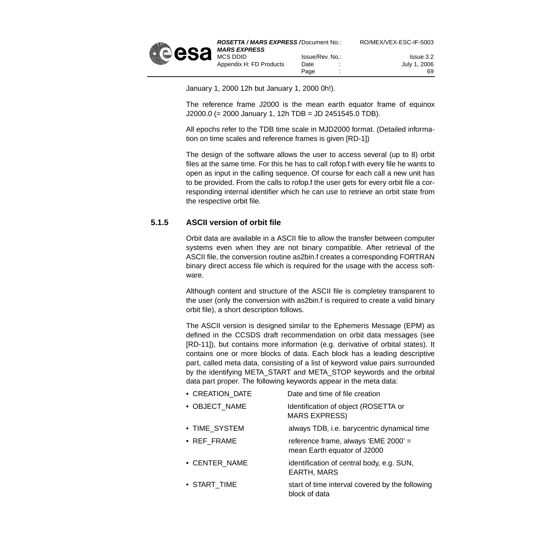January 1, 2000 12h but January 1, 2000 0h!).

The reference frame J2000 is the mean earth equator frame of equinox J2000.0 (= 2000 January 1, 12h TDB = JD 2451545.0 TDB).

All epochs refer to the TDB time scale in MJD2000 format. (Detailed information on time scales and reference frames is given [RD-1])

The design of the software allows the user to access several (up to 8) orbit files at the same time. For this he has to call rofop.f with every file he wants to open as input in the calling sequence. Of course for each call a new unit has to be provided. From the calls to rofop.f the user gets for every orbit file a corresponding internal identifier which he can use to retrieve an orbit state from the respective orbit file.

## **5.1.5 ASCII version of orbit file**

Orbit data are available in a ASCII file to allow the transfer between computer systems even when they are not binary compatible. After retrieval of the ASCII file, the conversion routine as2bin.f creates a corresponding FORTRAN binary direct access file which is required for the usage with the access software.

Although content and structure of the ASCII file is completey transparent to the user (only the conversion with as2bin.f is required to create a valid binary orbit file), a short description follows.

The ASCII version is designed similar to the Ephemeris Message (EPM) as defined in the CCSDS draft recommendation on orbit data messages (see [RD-11]), but contains more information (e.g. derivative of orbital states). It contains one or more blocks of data. Each block has a leading descriptive part, called meta data, consisting of a list of keyword value pairs surrounded by the identifying META\_START and META\_STOP keywords and the orbital data part proper. The following keywords appear in the meta data:

| • CREATION DATE | Date and time of file creation                                      |
|-----------------|---------------------------------------------------------------------|
| • OBJECT_NAME   | Identification of object (ROSETTA or<br><b>MARS EXPRESS)</b>        |
| • TIME SYSTEM   | always TDB, i.e. barycentric dynamical time                         |
| • REF_FRAME     | reference frame, always 'EME 2000' =<br>mean Earth equator of J2000 |
| • CENTER NAME   | identification of central body, e.g. SUN,<br>EARTH, MARS            |
| • START TIME    | start of time interval covered by the following<br>block of data    |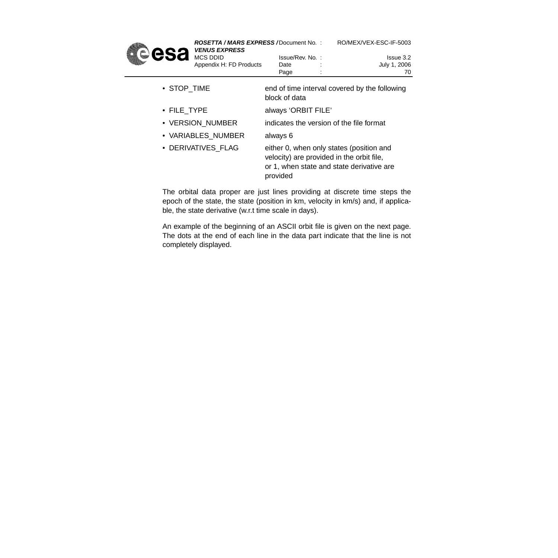**ROSETTA / MARS EXPRESS /** Document No. : RO/MEX/VEX-ESC-IF-5003 **VENUS EXPRESS**



MCS DDID Issue/Rev. No. : Issue 3.2 Appendix H: FD Products Date : July 1, 2006 Page : 70

- STOP\_TIME end of time interval covered by the following block of data
- FILE\_TYPE always 'ORBIT FILE'
- VERSION\_NUMBER indicates the version of the file format
- VARIABLES\_NUMBER always 6

• DERIVATIVES\_FLAG either 0, when only states (position and velocity) are provided in the orbit file, or 1, when state and state derivative are provided

The orbital data proper are just lines providing at discrete time steps the epoch of the state, the state (position in km, velocity in km/s) and, if applicable, the state derivative (w.r.t time scale in days).

An example of the beginning of an ASCII orbit file is given on the next page. The dots at the end of each line in the data part indicate that the line is not completely displayed.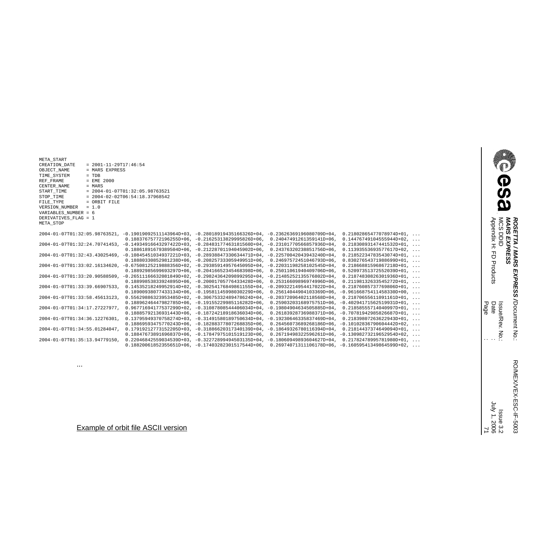| META START<br>CREATION DATE<br>$= 2001 - 11 - 29T17:46:54$<br>OBJECT NAME<br>= MARS EXPRESS<br>TIME SYSTEM<br>$= TDB$<br>$=$ EME 2000<br>REF FRAME<br>$=$ MARS<br>CENTER NAME<br>START TIME<br>$= 2004 - 01 - 07T01:32:05.98763521$<br>STOP TIME<br>$= 2004 - 02 - 02T06:54:18.37968542$<br>$=$ ORBIT FILE<br>FILE TYPE<br>VERSION NUMBER = $1.0$<br>VARIABLES NUMBER = 6<br>DERIVATIVES FLAG = 1<br>META STOP |                                                                                                          |
|----------------------------------------------------------------------------------------------------------------------------------------------------------------------------------------------------------------------------------------------------------------------------------------------------------------------------------------------------------------------------------------------------------------|----------------------------------------------------------------------------------------------------------|
| 2004-01-07T01:32:05.98763521, -0.19019092511143964D+03, -0.28018919435166326D+04, -0.23626369196080709D+04,                                                                                                                                                                                                                                                                                                    | $0.21802865477078974D+01, $                                                                              |
| $0.18837675772196255D+06, -0.21625313829995826D+06, 0.24047491261359141D+06,$                                                                                                                                                                                                                                                                                                                                  | $0.14476749104555944D+02.$<br>$\sim$ $\sim$                                                              |
| 2004-01-07T01:32:24.70741453, -0.14934916643297422D+03, -0.28483177463181560D+04, -0.23101770566857936D+04,                                                                                                                                                                                                                                                                                                    | $0.21830893147441532D+01, \ldots$                                                                        |
| $0.18861891679389504D+06, -0.21228701194045902D+06, 0.24376320238851756D+06,$                                                                                                                                                                                                                                                                                                                                  | $0.11393553693577617D+02, $                                                                              |
| .0004-01-07T01:32:43.43025469, -0.10845451034937221D+03, -0.28938847330634471D+04, -0.22570042043943240D+04                                                                                                                                                                                                                                                                                                    | $0.21852234783543074D+01, \ldots$                                                                        |
| $0.18880330852981238D+06, -0.20825733305949951D+06,$                                                                                                                                                                                                                                                                                                                                                           | 0.24697572451046793D+06,<br>$0.83027654371988699D+01, $                                                  |
| 2004-01-07T01:33:02.16134620, -0.67508125219888356D+02, -0.29385914957645095D+04, -0.22031198258102545D+04,                                                                                                                                                                                                                                                                                                    | $0.21866881596867218D+01, \ldots$                                                                        |
| $0.18892985699693297D+06, -0.20416652345468398D+06, 0.25011061940409706D+06,$                                                                                                                                                                                                                                                                                                                                  | $0.52097351372552039D+01, \ldots$                                                                        |
| $2004-01-07$ T01:33:20.90588509, -0.26511166632081849D+02, -0.29824364209899295D+04, -0.21485252135576802D+04,                                                                                                                                                                                                                                                                                                 | $0.21874830826301936D+01, \ldots$                                                                        |
|                                                                                                                                                                                                                                                                                                                                                                                                                | $0.18899853833924895D+06, -0.20001705776433428D+06, 0.25316609896974996D+06, 0.21198132633545272D+01, $  |
| $2004-01-07$ T01:33:39.66907533, 0.14535218249952914D+02, -0.30254176849861155D+04, -0.20932214954417022D+04, 0.21876085737769806D+01,                                                                                                                                                                                                                                                                         |                                                                                                          |
|                                                                                                                                                                                                                                                                                                                                                                                                                | $0.18900938077433134D+06, -0.19581145998030229D+06, 0.25614044904103369D+06, -0.96166875411458330D+00, $ |
| $2004-01-07$ T01:33:58.45613123, 0.55629886323953485D+02, -0.30675332489478624D+04, -0.20372096402118568D+04, 0.21870655611091161D+01,                                                                                                                                                                                                                                                                         |                                                                                                          |
|                                                                                                                                                                                                                                                                                                                                                                                                                | $0.18896246447982785D+06, -0.19155229985116282D+06, 0.25903203168975751D+06, -0.40294171562519931D+01, $ |
| 2004-01-07T01:34:17.27227977, 0.96771694177537299D+02, -0.31087808544406034D+04, -0.19804904634505885D+04, 0.21858555714040997D+01,                                                                                                                                                                                                                                                                            |                                                                                                          |
| $2004-01-07T01:34:36.12276301, 0.13795949370758274D+03, -0.31491580189750634D+04, -0.19230646335837469D+04, 0.21839807263622943D+01, $                                                                                                                                                                                                                                                                         | $0.18885792136931443D+06, -0.18724218918636034D+06, 0.26183928736988371D+06, -0.70781942985826687D+01, $ |
|                                                                                                                                                                                                                                                                                                                                                                                                                | $0.18869593475770243D+06. -0.18288377807268835D+06. 0.26456073689268186D+06. -0.10102836790604442D+02.$  |
| 2004-01-07T01:34:55.01284047, 0.17919212773152205D+03, -0.31886620317340139D+04, -0.18649326780116394D+04, 0.21814437374649094D+01,                                                                                                                                                                                                                                                                            |                                                                                                          |
|                                                                                                                                                                                                                                                                                                                                                                                                                | $0.18847673891696837D+06, -0.17847975101519123D+06, 0.26719498322596261D+06, -0.13098273219652954D+02, $ |
|                                                                                                                                                                                                                                                                                                                                                                                                                | $0.22046842559034539D+03, -0.32272899494503135D+04, -0.18060949893604627D+04, 0.21782478995781980D+01, $ |
| 2004-01-07T01:35:13.94779150,<br>$0.18820061852355651D+06$ , $-0.17403282301517544D+06$ ,                                                                                                                                                                                                                                                                                                                      | $0.26974071311106178D+06. -0.16059541349864599D+02.$                                                     |
|                                                                                                                                                                                                                                                                                                                                                                                                                |                                                                                                          |

**COSS** 

ROSETTA / MARS EXPRESS / Document No.:<br>MARS EXPRESS<br>MCS DDID<br>Appendix H: FD Products Date Appendix H: FD Products Date : July 1, 2006 MCS DDID ISSUE ISSUE/Rev. No.: ISSUE 3.2 **MARS EXPRESS ROSETTA / MARS EXPRESS /**Issue/Rev. No.:<br>Date<br>Page

Page : : 71

Example of orbit file ASCII version

...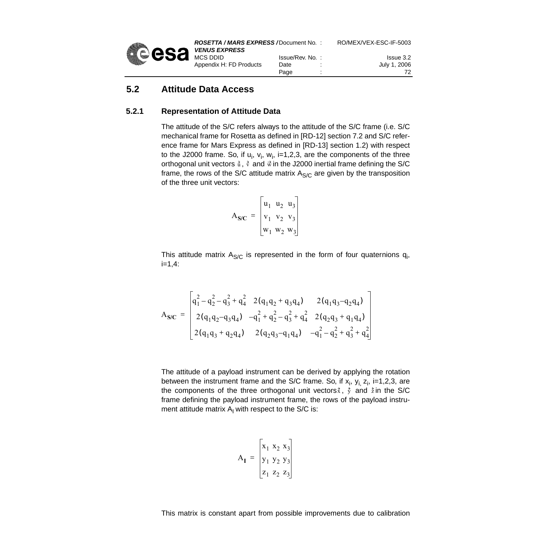

# **5.2 Attitude Data Access**

## **5.2.1 Representation of Attitude Data**

The attitude of the S/C refers always to the attitude of the S/C frame (i.e. S/C mechanical frame for Rosetta as defined in [RD-12] section 7.2 and S/C reference frame for Mars Express as defined in [RD-13] section 1.2) with respect to the J2000 frame. So, if  $u_i$ ,  $v_i$ ,  $w_i$ , i=1,2,3, are the components of the three orthogonal unit vectors  $\mathrm{\vec{u}}$  ,  $\mathrm{\vec{v}}$  and  $\mathrm{\vec{w}}$  in the J2000 inertial frame defining the S/C frame, the rows of the S/C attitude matrix  $A<sub>S/C</sub>$  are given by the transposition of the three unit vectors:

$$
A_{S/C} = \begin{bmatrix} u_1 & u_2 & u_3 \\ v_1 & v_2 & v_3 \\ w_1 & w_2 & w_3 \end{bmatrix}
$$

This attitude matrix  $A_{S/C}$  is represented in the form of four quaternions  $q_i$ ,  $i=1,4$ :

$$
A_{S/C} = \begin{bmatrix} q_1^2 - q_2^2 - q_3^2 + q_4^2 & 2(q_1q_2 + q_3q_4) & 2(q_1q_3 - q_2q_4) \\ 2(q_1q_2 - q_3q_4) & -q_1^2 + q_2^2 - q_3^2 + q_4^2 & 2(q_2q_3 + q_1q_4) \\ 2(q_1q_3 + q_2q_4) & 2(q_2q_3 - q_1q_4) & -q_1^2 - q_2^2 + q_3^2 + q_4^2 \end{bmatrix}
$$

The attitude of a payload instrument can be derived by applying the rotation between the instrument frame and the S/C frame. So, if x<sub>i</sub>, y<sub>i,</sub> z<sub>i</sub>, i=1,2,3, are the components of the three orthogonal unit vectors  $\vec{x}$ ,  $\vec{y}$  and  $\dot{z}$  in the S/C frame defining the payload instrument frame, the rows of the payload instrument attitude matrix  $A<sub>I</sub>$  with respect to the S/C is:

$$
A_{I} = \begin{bmatrix} x_{1} & x_{2} & x_{3} \\ y_{1} & y_{2} & y_{3} \\ z_{1} & z_{2} & z_{3} \end{bmatrix}
$$

This matrix is constant apart from possible improvements due to calibration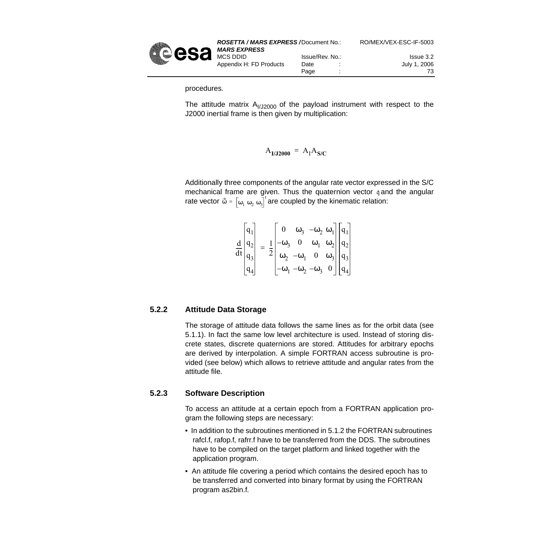|                          | <b>ROSETTA / MARS EXPRESS / Document No.:</b> |                 |  | RO/MEX/VEX-ESC-IF-5003 |
|--------------------------|-----------------------------------------------|-----------------|--|------------------------|
| <b>SESS</b> MARS EXPRESS |                                               | Issue/Rev. No.: |  | Issue 3.2              |
|                          | Appendix H: FD Products                       | Date            |  | July 1, 2006           |
|                          |                                               | Page            |  |                        |

procedures.

The attitude matrix  $A<sub>1/12000</sub>$  of the payload instrument with respect to the J2000 inertial frame is then given by multiplication:

$$
A_{I/J2000} = A_I A_{S/C}
$$

Additionally three components of the angular rate vector expressed in the S/C mechanical frame are given. Thus the quaternion vector  $\mathfrak q$  and the angular rate vector  $\vec{\omega} = \begin{bmatrix} \omega_1 & \omega_2 & \omega_3 \end{bmatrix}^t$  are coupled by the kinematic relation:

$$
\frac{d}{dt} \begin{bmatrix} q_1 \\ q_2 \\ q_3 \\ q_4 \end{bmatrix} = \frac{1}{2} \begin{bmatrix} 0 & \omega_3 & -\omega_2 & \omega_1 \\ -\omega_3 & 0 & \omega_1 & \omega_2 \\ \omega_2 & -\omega_1 & 0 & \omega_3 \\ -\omega_1 & -\omega_2 & -\omega_3 & 0 \end{bmatrix} \begin{bmatrix} q_1 \\ q_2 \\ q_3 \\ q_4 \end{bmatrix}
$$

### **5.2.2 Attitude Data Storage**

The storage of attitude data follows the same lines as for the orbit data (see [5.1.1](#page-67-0)). In fact the same low level architecture is used. Instead of storing discrete states, discrete quaternions are stored. Attitudes for arbitrary epochs are derived by interpolation. A simple FORTRAN access subroutine is provided (see below) which allows to retrieve attitude and angular rates from the attitude file.

### **5.2.3 Software Description**

To access an attitude at a certain epoch from a FORTRAN application program the following steps are necessary:

- In addition to the subroutines mentioned in [5.1.2](#page-68-0) the FORTRAN subroutines rafcl.f, rafop.f, rafrr.f have to be transferred from the DDS. The subroutines have to be compiled on the target platform and linked together with the application program.
- An attitude file covering a period which contains the desired epoch has to be transferred and converted into binary format by using the FORTRAN program as2bin.f.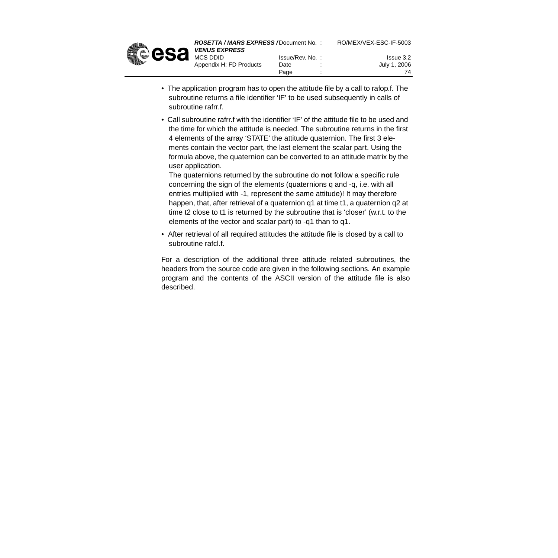

- The application program has to open the attitude file by a call to rafop.f. The subroutine returns a file identifier 'IF' to be used subsequently in calls of subroutine rafrr.f.
- Call subroutine rafrr.f with the identifier 'IF' of the attitude file to be used and the time for which the attitude is needed. The subroutine returns in the first 4 elements of the array 'STATE' the attitude quaternion. The first 3 elements contain the vector part, the last element the scalar part. Using the formula above, the quaternion can be converted to an attitude matrix by the user application.

The quaternions returned by the subroutine do **not** follow a specific rule concerning the sign of the elements (quaternions q and -q, i.e. with all entries multiplied with -1, represent the same attitude)! It may therefore happen, that, after retrieval of a quaternion q1 at time t1, a quaternion q2 at time t2 close to t1 is returned by the subroutine that is 'closer' (w.r.t. to the elements of the vector and scalar part) to -q1 than to q1.

• After retrieval of all required attitudes the attitude file is closed by a call to subroutine rafcl.f.

For a description of the additional three attitude related subroutines, the headers from the source code are given in the following sections. An example program and the contents of the ASCII version of the attitude file is also described.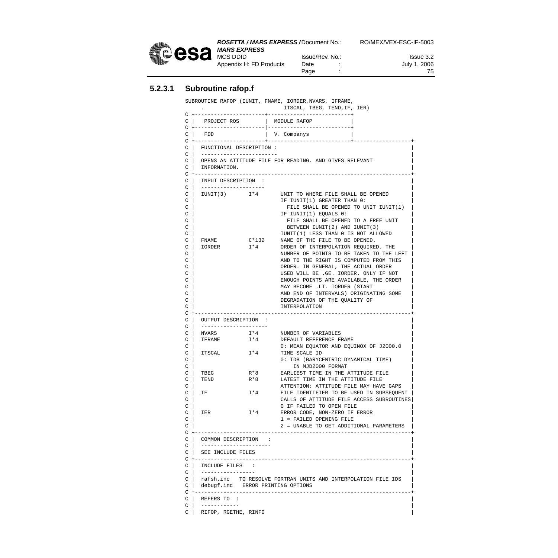

**MARS EXPRESS**

MCS DDID Issue/Rev. No.: Issue 3.2 Appendix H: FD Products Date : July 1, 2006 Page : 75

# **5.2.3.1 Subroutine rafop.f**

|                                                          |                                                                                                                                                                                                                                                                                                                                                                                                                                                           |                  | SUBROUTINE RAFOP (IUNIT, FNAME, IORDER, NVARS, IFRAME,<br>ITSCAL, TBEG, TEND, IF, IER)                                                                                                                                   |  |  |  |  |
|----------------------------------------------------------|-----------------------------------------------------------------------------------------------------------------------------------------------------------------------------------------------------------------------------------------------------------------------------------------------------------------------------------------------------------------------------------------------------------------------------------------------------------|------------------|--------------------------------------------------------------------------------------------------------------------------------------------------------------------------------------------------------------------------|--|--|--|--|
| $C + -$<br>С<br>$C + -$                                  | PROJECT ROS                                                                                                                                                                                                                                                                                                                                                                                                                                               |                  | MODULE RAFOP<br>------------                                                                                                                                                                                             |  |  |  |  |
| С                                                        | FDD<br>$C$ +------                                                                                                                                                                                                                                                                                                                                                                                                                                        |                  | V. Companys                                                                                                                                                                                                              |  |  |  |  |
| $\mathsf{C}$  <br>C                                      | FUNCTIONAL DESCRIPTION:                                                                                                                                                                                                                                                                                                                                                                                                                                   |                  |                                                                                                                                                                                                                          |  |  |  |  |
| С<br>$\mathsf{C}$  <br>$C +$                             | OPENS AN ATTITUDE FILE FOR READING. AND GIVES RELEVANT<br>INFORMATION.                                                                                                                                                                                                                                                                                                                                                                                    |                  |                                                                                                                                                                                                                          |  |  |  |  |
| C<br>$\mathbf{C}$                                        | INPUT DESCRIPTION<br>----------------                                                                                                                                                                                                                                                                                                                                                                                                                     |                  |                                                                                                                                                                                                                          |  |  |  |  |
| С<br>C<br>C<br>С<br>C<br>C<br>C                          | UNIT TO WHERE FILE SHALL BE OPENED<br>$I^*4$<br>IUNIT(3)<br>IF IUNIT(1) GREATER THAN 0:<br>FILE SHALL BE OPENED TO UNIT IUNIT(1)<br>IF IUNIT(1) EQUALS 0:<br>FILE SHALL BE OPENED TO A FREE UNIT<br>BETWEEN IUNIT(2) AND IUNIT(3)<br>IUNIT(1) LESS THAN 0 IS NOT ALLOWED                                                                                                                                                                                  |                  |                                                                                                                                                                                                                          |  |  |  |  |
| C<br>С<br>C<br>C<br>C<br>С<br>C<br>C<br>C<br>C<br>C<br>C | C*132<br>NAME OF THE FILE TO BE OPENED.<br>FNAME<br>$I^*4$<br>ORDER OF INTERPOLATION REQUIRED. THE<br>IORDER<br>NUMBER OF POINTS TO BE TAKEN TO THE LEFT<br>AND TO THE RIGHT IS COMPUTED FROM THIS<br>ORDER. IN GENERAL, THE ACTUAL ORDER<br>USED WILL BE .GE. IORDER. ONLY IF NOT<br>ENOUGH POINTS ARE AVAILABLE, THE ORDER<br>MAY BECOME .LT. IORDER (START<br>AND END OF INTERVALS) ORIGINATING SOME<br>DEGRADATION OF THE QUALITY OF<br>INTERPOLATION |                  |                                                                                                                                                                                                                          |  |  |  |  |
| С<br>С                                                   | OUTPUT DESCRIPTION :                                                                                                                                                                                                                                                                                                                                                                                                                                      |                  |                                                                                                                                                                                                                          |  |  |  |  |
| С<br>C<br>С                                              | NVARS<br>IFRAME                                                                                                                                                                                                                                                                                                                                                                                                                                           | $I^*4$<br>$I^*4$ | NUMBER OF VARIABLES<br>DEFAULT REFERENCE FRAME<br>0: MEAN EQUATOR AND EQUINOX OF J2000.0                                                                                                                                 |  |  |  |  |
| С<br>C<br>C                                              | ITSCAL                                                                                                                                                                                                                                                                                                                                                                                                                                                    | I*4              | TIME SCALE ID<br>0: TDB (BARYCENTRIC DYNAMICAL TIME)<br>IN MJD2000 FORMAT                                                                                                                                                |  |  |  |  |
| С<br>C<br>C                                              | TBEG<br>TEND                                                                                                                                                                                                                                                                                                                                                                                                                                              | $R*8$<br>$R*8$   | EARLIEST TIME IN THE ATTITUDE FILE<br>LATEST TIME IN THE ATTITUDE FILE<br>ATTENTION: ATTITUDE FILE MAY HAVE GAPS                                                                                                         |  |  |  |  |
| $\vert$ $\vert$<br>С<br>C<br>$\mathsf{C}$  <br>С<br>C    | $I*4$<br>ΙF<br>$I*4$<br>IER                                                                                                                                                                                                                                                                                                                                                                                                                               |                  | FILE IDENTIFIER TO BE USED IN SUBSEQUENT<br>CALLS OF ATTITUDE FILE ACCESS SUBROUTINES<br>0 IF FAILED TO OPEN FILE<br>ERROR CODE, NON-ZERO IF ERROR<br>1 = FAILED OPENING FILE<br>2 = UNABLE TO GET ADDITIONAL PARAMETERS |  |  |  |  |
| $C +$<br>$\mathsf{C}$                                    | COMMON DESCRIPTION :                                                                                                                                                                                                                                                                                                                                                                                                                                      |                  |                                                                                                                                                                                                                          |  |  |  |  |
| C  <br>$\mathbb{C}$<br>$C +$                             | SEE INCLUDE FILES                                                                                                                                                                                                                                                                                                                                                                                                                                         |                  |                                                                                                                                                                                                                          |  |  |  |  |
| $C \mid$<br>$\mathsf{C}$                                 | INCLUDE FILES<br>_________________                                                                                                                                                                                                                                                                                                                                                                                                                        |                  |                                                                                                                                                                                                                          |  |  |  |  |
| C  <br>$\mathsf{C}$                                      |                                                                                                                                                                                                                                                                                                                                                                                                                                                           |                  | rafsh.inc TO RESOLVE FORTRAN UNITS AND INTERPOLATION FILE IDS<br>debugf.inc ERROR PRINTING OPTIONS                                                                                                                       |  |  |  |  |
| $C + -$<br>$C \mid$                                      | REFERS TO :<br>------------                                                                                                                                                                                                                                                                                                                                                                                                                               |                  |                                                                                                                                                                                                                          |  |  |  |  |
| $\mathsf{C}$  <br>$\mathsf{C}$  <br>RIFOP, RGETHE, RINFO |                                                                                                                                                                                                                                                                                                                                                                                                                                                           |                  |                                                                                                                                                                                                                          |  |  |  |  |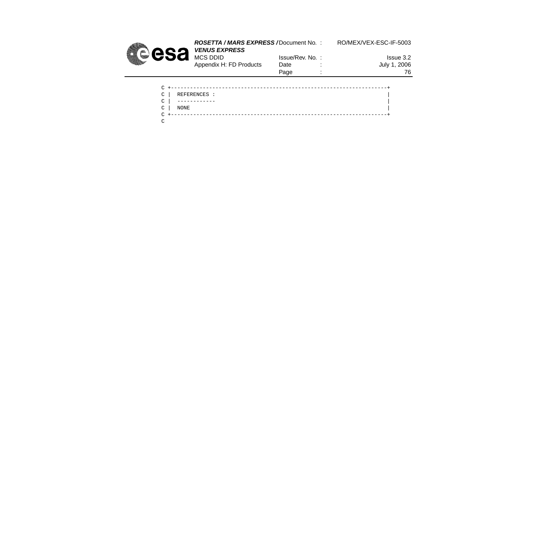**ROSETTA / MARS EXPRESS /** Document No. : RO/MEX/VEX-ESC-IF-5003 **Ces VENUS EXPRESS**  $\overline{\mathbf{C}}$ MCS DDID Issue/Rev. No. : Issue 3.2 Appendix H: FD Products Date : July 1, 2006 Page : 76

| $\mathcal{C}$ | REFERENCES : |  |
|---------------|--------------|--|
| $\sim$        |              |  |
| $\mathsf{C}$  | NONE         |  |
|               |              |  |
|               |              |  |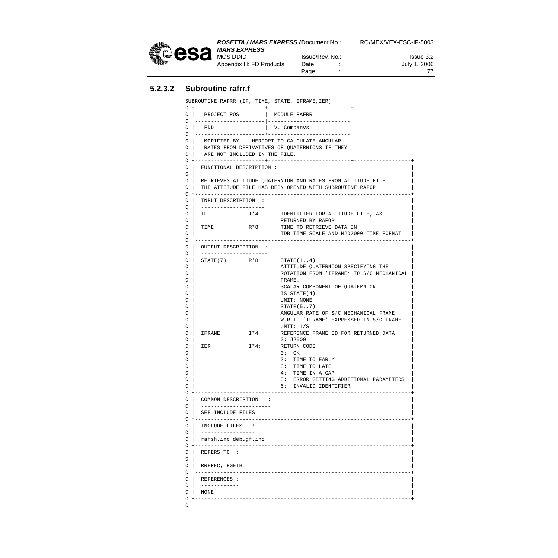

**MARS EXPRESS**

MCS DDID Issue/Rev. No.: Issue 3.2 Appendix H: FD Products Date : July 1, 2006 Page : 77

## **5.2.3.2 Subroutine rafrr.f**

|                                                     |                                                                                                                                                       |        | SUBROUTINE RAFRR (IF, TIME, STATE, IFRAME, IER)                                                                                                                                                                                                                               |  |  |
|-----------------------------------------------------|-------------------------------------------------------------------------------------------------------------------------------------------------------|--------|-------------------------------------------------------------------------------------------------------------------------------------------------------------------------------------------------------------------------------------------------------------------------------|--|--|
| $C +$<br>C I                                        | PROJECT ROS                                                                                                                                           |        | MODULE RAFRR<br>. _ _ _ _ _ _ _ _ _ .                                                                                                                                                                                                                                         |  |  |
| $C + -$<br>$C$  <br>$C + - -$                       | FDD                                                                                                                                                   |        | V. Companys                                                                                                                                                                                                                                                                   |  |  |
| С<br>$C$  <br>$\mathsf{C}$  <br>$C +$               | .<br>- - - - - - - -<br>MODIFIED BY U. HERFORT TO CALCULATE ANGULAR<br>RATES FROM DERIVATIVES OF QUATERNIONS IF THEY<br>ARE NOT INCLUDED IN THE FILE. |        |                                                                                                                                                                                                                                                                               |  |  |
| $C$  <br>C                                          | FUNCTIONAL DESCRIPTION :<br>_________________________                                                                                                 |        |                                                                                                                                                                                                                                                                               |  |  |
| С<br>С<br>С                                         |                                                                                                                                                       |        | RETRIEVES ATTITUDE QUATERNION AND RATES FROM ATTITUDE FILE.<br>THE ATTITUDE FILE HAS BEEN OPENED WITH SUBROUTINE RAFOP                                                                                                                                                        |  |  |
| С                                                   | INPUT DESCRIPTION :                                                                                                                                   |        |                                                                                                                                                                                                                                                                               |  |  |
| С<br>C<br>С                                         | IF.                                                                                                                                                   | $I^*4$ | IDENTIFIER FOR ATTITUDE FILE, AS<br>RETURNED BY RAFOP                                                                                                                                                                                                                         |  |  |
| С<br>C                                              | TIME                                                                                                                                                  | R*8    | TIME TO RETRIEVE DATA IN<br>TDB TIME SCALE AND MJD2000 TIME FORMAT                                                                                                                                                                                                            |  |  |
| C<br>С                                              | OUTPUT DESCRIPTION                                                                                                                                    |        |                                                                                                                                                                                                                                                                               |  |  |
| C<br>С<br>С<br>С<br>С<br>С<br>С<br>С<br>С<br>С<br>С | ---------------<br>$STATE(7)$ $R*8$                                                                                                                   |        | STATE(1. .4):<br>ATTITUDE QUATERNION SPECIFYING THE<br>ROTATION FROM 'IFRAME' TO S/C MECHANICAL<br>FRAME.<br>SCALAR COMPONENT OF QUATERNION<br>IS $STATE(4)$ .<br>UNIT: NONE<br>STATE(57):<br>ANGULAR RATE OF S/C MECHANICAL FRAME<br>W.R.T. 'IFRAME' EXPRESSED IN S/C FRAME. |  |  |
| С<br>С                                              | IFRAME                                                                                                                                                | $I^*4$ | UNIT: $1/S$<br>REFERENCE FRAME ID FOR RETURNED DATA                                                                                                                                                                                                                           |  |  |
| С<br>С<br>С<br>С<br>С<br>С<br>C<br>C                | IER                                                                                                                                                   | $I*4:$ | 0: J2000<br>RETURN CODE.<br>$0:$ OK<br>2: TIME TO EARLY<br>3:<br>TIME TO LATE<br>4:<br>TIME IN A GAP<br>5:<br>ERROR GETTING ADDITIONAL PARAMETERS<br>6:<br>INVALID IDENTIFIER                                                                                                 |  |  |
| С<br>$\mathbf C$                                    | COMMON DESCRIPTION                                                                                                                                    |        | ----------------                                                                                                                                                                                                                                                              |  |  |
| C<br>C                                              | SEE INCLUDE FILES                                                                                                                                     |        |                                                                                                                                                                                                                                                                               |  |  |
| С<br>С<br>С                                         | INCLUDE FILES<br>_________________<br>rafsh.inc debugf.inc                                                                                            |        |                                                                                                                                                                                                                                                                               |  |  |
| $C + -$<br>C<br>С<br>С                              | REFERS TO :<br>------------<br>RREREC, RGETBL                                                                                                         |        |                                                                                                                                                                                                                                                                               |  |  |
| C<br>С<br>С<br>C<br>C<br>C                          | -------<br>REFERENCES :<br>------------<br>NONE                                                                                                       |        |                                                                                                                                                                                                                                                                               |  |  |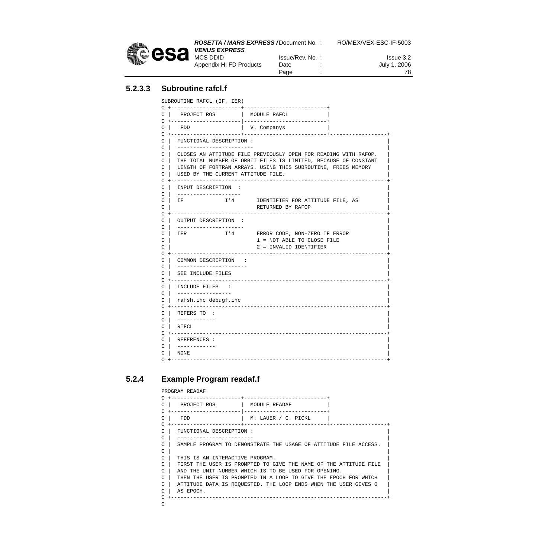

**ROSETTA / MARS EXPRESS /** Document No. : RO/MEX/VEX-ESC-IF-5003 **VENUS EXPRESS** Appendix H: FD Products Date :

|              |  | Issue 3.2 |  |
|--------------|--|-----------|--|
| July 1, 2006 |  |           |  |
|              |  | 78        |  |

### **5.2.3.3 Subroutine rafcl.f**

SUBROUTINE RAFCL (IF, IER)

| C                     |                                    |                                                                                                                                                                                                     |  |
|-----------------------|------------------------------------|-----------------------------------------------------------------------------------------------------------------------------------------------------------------------------------------------------|--|
| C                     | PROJECT ROS                        | MODULE RAFCL                                                                                                                                                                                        |  |
| С<br>С                | FDD                                | V. Companys                                                                                                                                                                                         |  |
| C<br>С                | FUNCTIONAL DESCRIPTION :           |                                                                                                                                                                                                     |  |
| С<br>C<br>C<br>С<br>C | USED BY THE CURRENT ATTITUDE FILE. | CLOSES AN ATTITUDE FILE PREVIOUSLY OPEN FOR READING WITH RAFOP.<br>THE TOTAL NUMBER OF ORBIT FILES IS LIMITED, BECAUSE OF CONSTANT<br>LENGTH OF FORTRAN ARRAYS. USING THIS SUBROUTINE, FREES MEMORY |  |
| С<br>С                | INPUT DESCRIPTION :                |                                                                                                                                                                                                     |  |
| С<br>C                | $I^*4$<br>IF.                      | IDENTIFIER FOR ATTITUDE FILE, AS<br>RETURNED BY RAFOP                                                                                                                                               |  |
| C<br>С<br>С           | OUTPUT DESCRIPTION                 |                                                                                                                                                                                                     |  |
| С<br>С<br>C<br>C      | $I^*4$<br>IER                      | ERROR CODE, NON-ZERO IF ERROR<br>1 = NOT ABLE TO CLOSE FILE<br>2 = INVALID IDENTIFIER                                                                                                               |  |
| C<br>С                | COMMON DESCRIPTION                 |                                                                                                                                                                                                     |  |
| С<br>C                | SEE INCLUDE FILES                  |                                                                                                                                                                                                     |  |
| C<br>С                | INCLUDE FILES :                    |                                                                                                                                                                                                     |  |
| С<br>С                | rafsh.inc debugf.inc               |                                                                                                                                                                                                     |  |
| C<br>C                | REFERS TO :<br>$- - - - - - -$     |                                                                                                                                                                                                     |  |
| C<br>C                | RIFCL                              |                                                                                                                                                                                                     |  |
| С<br>С                | REFERENCES :<br>-------------      |                                                                                                                                                                                                     |  |
| С                     | NONE                               |                                                                                                                                                                                                     |  |

## **5.2.4 Example Program readaf.f**

#### PROGRAM READAF

C +----------------------+--------------------------+ C | PROJECT ROS | MODULE READAF | C +----------------------|--------------------------+ | M. LAUER / G. PICKL | C +----------------------+--------------------------+------------------+ C | FUNCTIONAL DESCRIPTION : C | -------------------------C | SAMPLE PROGRAM TO DEMONSTRATE THE USAGE OF ATTITUDE FILE ACCESS. |  $\mathsf{C}$  | C | THIS IS AN INTERACTIVE PROGRAM. C | FIRST THE USER IS PROMPTED TO GIVE THE NAME OF THE ATTITUDE FILE | C | AND THE UNIT NUMBER WHICH IS TO BE USED FOR OPENING. | C | THEN THE USER IS PROMPTED IN A LOOP TO GIVE THE EPOCH FOR WHICH | C | ATTITUDE DATA IS REQUESTED. THE LOOP ENDS WHEN THE USER GIVES 0 |  $C$  | AS EPOCH. C +--------------------------------------------------------------------+ C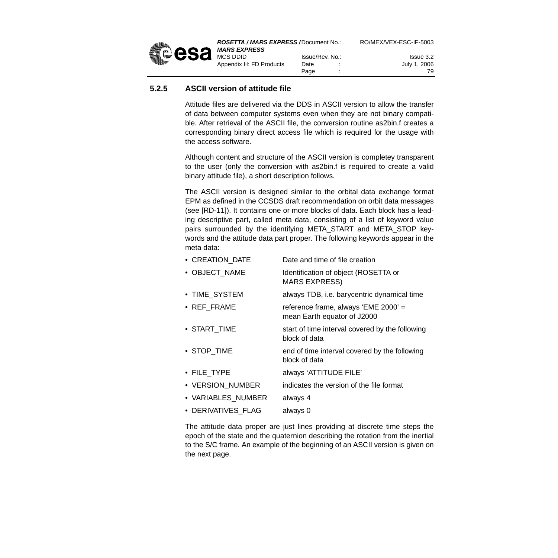

**MARS EXPRESS** MCS DDID **ISSUE/Rev. No.:** ISSUE ISSUE 3.2 Appendix H: FD Products Date : July 1, 2006 Page : 2009 : 2009 : 2009 : 2009 : 2009 : 2009 : 2009 : 2009 : 2009 : 2009 : 2009 : 2009 : 2009 : 2009 : 2009 : 2009 : 2009 : 2009 : 2009 : 2009 : 2009 : 2009 : 2009 : 2009 : 2009 : 2009 : 2009 : 2009 : 2009 : 2009 : 2009

## **5.2.5 ASCII version of attitude file**

Attitude files are delivered via the DDS in ASCII version to allow the transfer of data between computer systems even when they are not binary compatible. After retrieval of the ASCII file, the conversion routine as2bin.f creates a corresponding binary direct access file which is required for the usage with the access software.

Although content and structure of the ASCII version is completey transparent to the user (only the conversion with as2bin.f is required to create a valid binary attitude file), a short description follows.

The ASCII version is designed similar to the orbital data exchange format EPM as defined in the CCSDS draft recommendation on orbit data messages (see [RD-11]). It contains one or more blocks of data. Each block has a leading descriptive part, called meta data, consisting of a list of keyword value pairs surrounded by the identifying META\_START and META\_STOP keywords and the attitude data part proper. The following keywords appear in the meta data:

| • CREATION DATE    | Date and time of file creation                                      |
|--------------------|---------------------------------------------------------------------|
| • OBJECT_NAME      | Identification of object (ROSETTA or<br><b>MARS EXPRESS)</b>        |
| • TIME SYSTEM      | always TDB, i.e. barycentric dynamical time                         |
| • REF_FRAME        | reference frame, always 'EME 2000' =<br>mean Earth equator of J2000 |
| • START TIME       | start of time interval covered by the following<br>block of data    |
| • STOP_TIME        | end of time interval covered by the following<br>block of data      |
| • FILE TYPE        | always 'ATTITUDE FILE'                                              |
| • VERSION NUMBER   | indicates the version of the file format                            |
| • VARIABLES_NUMBER | always 4                                                            |
| • DERIVATIVES FLAG | always 0                                                            |

The attitude data proper are just lines providing at discrete time steps the epoch of the state and the quaternion describing the rotation from the inertial to the S/C frame. An example of the beginning of an ASCII version is given on the next page.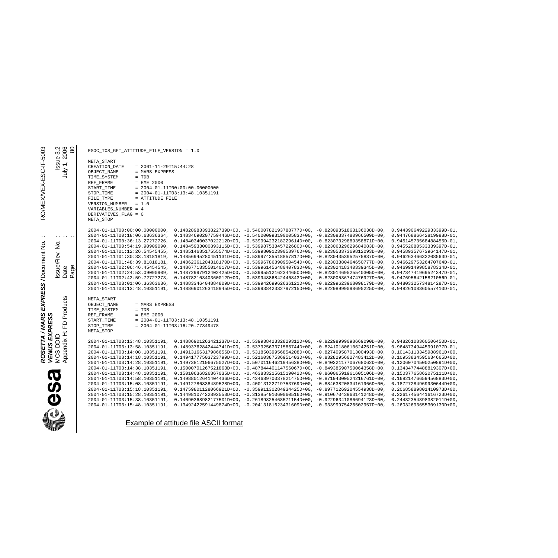| le 3.2<br>2006<br>80                                                                                           | ESOC_TOS_GFI_ATTITUDE_FILE_VERSION = 1.0                                                                                                                                                                                                                                                                                                                                                                                                                                                                                                                                                                                                                                                                                                                                                                                                                                                                                                                                                                                                                                                                                                                                                                                                                                                                                                                                                                                                                                                                                                            |                                                                                                                                                                                                                                                                                                                                                              |
|----------------------------------------------------------------------------------------------------------------|-----------------------------------------------------------------------------------------------------------------------------------------------------------------------------------------------------------------------------------------------------------------------------------------------------------------------------------------------------------------------------------------------------------------------------------------------------------------------------------------------------------------------------------------------------------------------------------------------------------------------------------------------------------------------------------------------------------------------------------------------------------------------------------------------------------------------------------------------------------------------------------------------------------------------------------------------------------------------------------------------------------------------------------------------------------------------------------------------------------------------------------------------------------------------------------------------------------------------------------------------------------------------------------------------------------------------------------------------------------------------------------------------------------------------------------------------------------------------------------------------------------------------------------------------------|--------------------------------------------------------------------------------------------------------------------------------------------------------------------------------------------------------------------------------------------------------------------------------------------------------------------------------------------------------------|
| RO/MEX/VEX-ESC-IF-5003<br>$\frac{1}{2}$<br>$\frac{1}{2}$<br>ylnr                                               | META START<br>CREATION_DATE<br>$= 2001 - 11 - 29T15:44:28$<br>OBJECT NAME<br>= MARS EXPRESS<br>TIME_SYSTEM<br>$= TDB$<br>REF_FRAME<br>$=$ EME 2000<br>START TIME<br>$= 2004 - 01 - 11T00:00:00.00000000$<br>$= 2004 - 01 - 11T03:13:48.10351191$<br>STOP_TIME<br>FILE_TYPE<br>= ATTITUDE FILE<br>VERSION NUMBER<br>$= 1.0$<br>VARIABLES_NUMBER = 4<br>DERIVATIVES FLAG = 0<br>META_STOP                                                                                                                                                                                                                                                                                                                                                                                                                                                                                                                                                                                                                                                                                                                                                                                                                                                                                                                                                                                                                                                                                                                                                             |                                                                                                                                                                                                                                                                                                                                                              |
| $\ddot{\phantom{1}}$<br>ssue/Rev. No.<br>ROSETTA / MARS EXPRESS /Document No.<br>VENUS EXPRESS<br>Date<br>Page | $0.14828983393822739D+00, -0.54000782193788777D+00, -0.82309351863136038D+00,$<br>$2004 - 01 - 11T00:00:00.000000000$<br>$0.14834690207759446D+00, -0.54000099319000583D+00, -0.82308337480966509D+00,$<br>2004-01-11T00:18:06.63636364,<br>2004-01-11T00:36:13.27272726,<br>$0.14840340037022212D+00, -0.53999423218229614D+00, -0.82307329889358871D+00,$<br>$0.14845933000893116D+00, -0.53998753845722680D+00, -0.82306329629684083D+00,$<br>2004-01-11T00:54:19.90909090,<br>$0.14851468517555574D+00, -0.53998091239058976D+00, -0.82305337369812093D+00,$<br>2004-01-11T01:12:26.54545455,<br>$0.14856945280451131D+00, -0.53997435518857817D+00, -0.82304353952575837D+00,$<br>2004-01-11T01:30:33.18181819,<br>2004-01-11T01:48:39.81818181,<br>$0.14862361204318170D+00, -0.53996786890950454D+00, -0.82303380464650777D+00,$<br>$0.14867713355014017D+00, -0.53996145648040783D+00, -0.82302418340339345D+00,$<br>2004-01-11T02:06:46.45454545,<br>2004-01-11T02:24:53.09090909,<br>$0.14872997912402425D+00, -0.53995512162344650D+00, -0.82301469525540305D+00,$<br>$0.14878210340360012D+00\,,\,\, -0.53994886842446843D+00\,,\,\, -0.82300536747476927D+00\,,$<br>2004-01-11T02:42:59.72727273,<br>2004-01-11T03:01:06.36363636,<br>$0.14883346404884809D+00, -0.53994269962636121D+00, -0.82299623968098179D+00,$<br>2004-01-11T03:13:48.10351191,<br>$0.14886901263418945D+00, -0.53993842332797215D+00, -0.82298999098695225D+00,$                                                                                                | 0.94439064922933399D-01<br>0.94476886642819988D-01<br>0.94514573568488455D-01<br>0.94552080533339397D-01<br>0.94589357673964147D-01<br>0.94626346632208563D-01<br>0.94662975326470764D-01<br>0.94699149985878334D-01<br>0.94734741969524347D-01<br>0.94769564215821056D-01,<br>0.94803325734814287D-01,<br>0.94826108360557410D-01,                          |
| Products<br>묘<br>Ë                                                                                             | META START<br>OBJECT_NAME<br>= MARS EXPRESS<br>$= TDB$<br>TIME_SYSTEM<br>REF_FRAME<br>$=$ EME 2000<br>START_TIME<br>$= 2004 - 01 - 11T03:13:48.10351191$<br>STOP_TIME<br>$= 2004 - 01 - 11T03:16:20.77349478$<br>META STOP                                                                                                                                                                                                                                                                                                                                                                                                                                                                                                                                                                                                                                                                                                                                                                                                                                                                                                                                                                                                                                                                                                                                                                                                                                                                                                                          |                                                                                                                                                                                                                                                                                                                                                              |
| aras:<br>Appendix<br>Š<br>$\boldsymbol{\sigma}$<br><b>99</b>                                                   | $0.14886901263421237D+00, -0.53993842332829312D+00, -0.82298999098669090D+00,$<br>2004-01-11T03:13:48.10351191,<br>2004-01-11T03:13:58.10351191,<br>$0.14893762842444741D+00, -0.53792563371586744D+00, -0.82410180610624251D+00,$<br>$0.14913166317986656D+00, -0.53185039956854208D+00, -0.82740958701300493D+00,$<br>2004-01-11T03:14:08.10351191,<br>$0.14941777503723799D+00, -0.52160387536951403D+00, -0.83282956027483412D+00,$<br>2004-01-11T03:14:18.10351191,<br>$0.14973812106675027D+00, -0.50701164621945638D+00, -0.84022117706768062D+00,$<br>2004-01-11T03:14:28.10351191,<br>$0.15000701267521863D+00, -0.48784440114756067D+00, -0.84938590750064358D+00,$<br>2004-01-11T03:14:38.10351191,<br>2004-01-11T03:14:48.10351191,<br>$0.15010636826867035D+00, -0.46383321561519042D+00, -0.86006591961605106D+00,$<br>2004-01-11T03:14:58.10351191,<br>$0.14988012641404436D+00, -0.43468970037821475D+00, -0.87194300524216761D+00,$<br>$0.14912786838489528D+00, -0.40013122719753769D+00, -0.88463820834161966D+00,$<br>2004-01-11T03:15:08.10351191,<br>$0.14759801128066921D+00, -0.35991130284934425D+00, -0.89771269204554938D+00,$<br>2004-01-11T03:15:18.10351191,<br>$0.14498107422892553D+00, -0.31385491060060516D+00, -0.91067043963141248D+00,$<br>2004-01-11T03:15:28.10351191,<br>$0.14090368982177501D+00, -0.26189825468571154D+00, -0.92296341086694123D+00,$<br>2004-01-11T03:15:38.10351191,<br>$0.13492422591449874D+00, -0.20413181623431609D+00, -0.93399975426502957D+00,$<br>2004-01-11T03:15:48.10351191, | 0.94826108360506450D-01<br>0.96487349445991077D-01<br>0.10143113345988961D+00<br>0.10953834595634665D+00<br>0.12060704500250891D+00<br>0.13434774488819307D+00<br>0.15037765862075111D+00<br>0.16821476659456883D+00<br>0.18727284969930644D+00<br>0.20685889801410973D+00<br>0.22617456441616723D+00<br>0.24432354898382011D+00<br>0.26032693655309130D+00, |
| <b>19</b>                                                                                                      | Example of attitude file ASCII format                                                                                                                                                                                                                                                                                                                                                                                                                                                                                                                                                                                                                                                                                                                                                                                                                                                                                                                                                                                                                                                                                                                                                                                                                                                                                                                                                                                                                                                                                                               |                                                                                                                                                                                                                                                                                                                                                              |

RO/MEX/VEX-ESC-IF-5003

**ROSETTA / MARS EXPRESS /** Document No. : RO/MEX/VEX-ESC-IF-5003 **ROSETTA / MARS EXPRESS /**Document No. :<br>VENUS EXPRESS<br>MCS DODI **VENUS EXPRESS**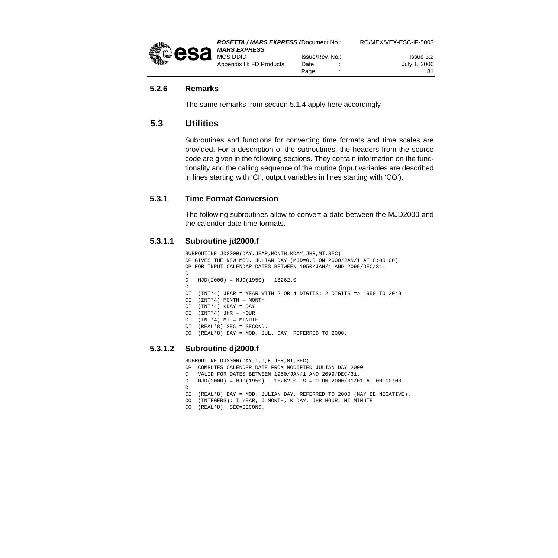| <b>ESSE MARS EXPRESS</b> | <b>ROSETTA / MARS EXPRESS / Document No.:</b> | RO/MEX/VEX-ESC-IF-5003 |              |
|--------------------------|-----------------------------------------------|------------------------|--------------|
|                          |                                               | Issue/Rev. No.:        | Issue 3.2    |
|                          | Appendix H: FD Products                       | Date                   | July 1, 2006 |
|                          |                                               | Page                   |              |

## **5.2.6 Remarks**

Í

The same remarks from section [5.1.4](#page-75-0) apply here accordingly.

## **5.3 Utilities**

Subroutines and functions for converting time formats and time scales are provided. For a description of the subroutines, the headers from the source code are given in the following sections. They contain information on the functionality and the calling sequence of the routine (input variables are described in lines starting with 'CI', output variables in lines starting with 'CO').

## **5.3.1 Time Format Conversion**

The following subroutines allow to convert a date between the MJD2000 and the calender date time formats.

## **5.3.1.1 Subroutine jd2000.f**

```
SUBROUTINE JD2000(DAY,JEAR,MONTH,KDAY,JHR,MI,SEC)
CP GIVES THE NEW MOD. JULIAN DAY (MJD=0.0 ON 2000/JAN/1 AT 0:00:00)
CP FOR INPUT CALENDAR DATES BETWEEN 1950/JAN/1 AND 2099/DEC/31.
\mathcal{C}C MJD(2000) = MJD(1950) - 18262.0
\GammaCI (INT*4) JEAR = YEAR WITH 2 OR 4 DIGITS; 2 DIGITS => 1950 TO 2049
CI (INT*4) MONTH = MONTH
CI (INT*4) KDAY = DAY
CI (INT*4) JHR = HOUR
CI (INT*4) MI = MINUTE
CI (REAL*8) SEC = SECOND.
CO (REAL*8) DAY = MOD. JUL. DAY, REFERRED TO 2000.
```
## **5.3.1.2 Subroutine dj2000.f**

```
SUBROUTINE DJ2000(DAY,I,J,K,JHR,MI,SEC)
CP COMPUTES CALENDER DATE FROM MODIFIED JULIAN DAY 2000
C VALID FOR DATES BETWEEN 1950/JAN/1 AND 2099/DEC/31.
C MJD(2000) = MJD(1950) - 18262.0 IS = 0 ON 2000/01/01 AT 00:00:00.
\mathcal{C}CI (REAL*8) DAY = MOD. JULIAN DAY, REFERRED TO 2000 (MAY BE NEGATIVE).
CO (INTEGERS): I=YEAR, J=MONTH, K=DAY, JHR=HOUR, MI=MINUTE
CO (REAL*8): SEC=SECOND.
```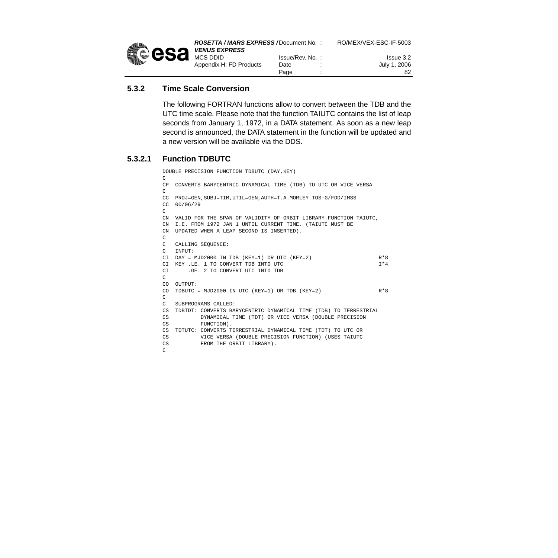|    | <b>ROSETTA / MARS EXPRESS / Document No. :</b> |                 | RO/MEX/VEX-ESC-IF-5003 |
|----|------------------------------------------------|-----------------|------------------------|
| CΩ | <b>VENUS EXPRESS</b>                           |                 |                        |
| 5d | MCS DDID                                       | Issue/Rev. No.: | Issue 3.2              |
|    | Appendix H: FD Products                        | Date            | July 1, 2006           |
|    |                                                | Page            | 82                     |

## **5.3.2 Time Scale Conversion**

The following FORTRAN functions allow to convert between the TDB and the UTC time scale. Please note that the function TAIUTC contains the list of leap seconds from January 1, 1972, in a DATA statement. As soon as a new leap second is announced, the DATA statement in the function will be updated and a new version will be available via the DDS.

## **5.3.2.1 Function TDBUTC**

```
DOUBLE PRECISION FUNCTION TDBUTC (DAY,KEY)
\mathcal{C}CP CONVERTS BARYCENTRIC DYNAMICAL TIME (TDB) TO UTC OR VICE VERSA
C
CC PROJ=GEN,SUBJ=TIM,UTIL=GEN,AUTH=T.A.MORLEY TOS-G/FDD/IMSS
CC 00/06/29
C
CN VALID FOR THE SPAN OF VALIDITY OF ORBIT LIBRARY FUNCTION TAIUTC,
CN I.E. FROM 1972 JAN 1 UNTIL CURRENT TIME. (TAIUTC MUST BE
CN UPDATED WHEN A LEAP SECOND IS INSERTED).
\capC CALLING SEQUENCE:
C INPUT:
CI DAY = MJD2000 IN TDB (KEY=1) OR UTC (KEY=2) R*8CI KEY .LE. 1 TO CONVERT TDB INTO UTC I^*4CI .GE. 2 TO CONVERT UTC INTO TDB
\mathcal{C}CO OUTPUT:
CO TDBUTC = MJD2000 IN UTC (KEY=1) OR TDB (KEY=2) R*8\capC SUBPROGRAMS CALLED:
CS TDBTDT: CONVERTS BARYCENTRIC DYNAMICAL TIME (TDB) TO TERRESTRIAL
CS DYNAMICAL TIME (TDT) OR VICE VERSA (DOUBLE PRECISION
CS FUNCTION).
CS TDTUTC: CONVERTS TERRESTRIAL DYNAMICAL TIME (TDT) TO UTC OR
CS VICE VERSA (DOUBLE PRECISION FUNCTION) (USES TAIUTC
CS FROM THE ORBIT LIBRARY).
C
```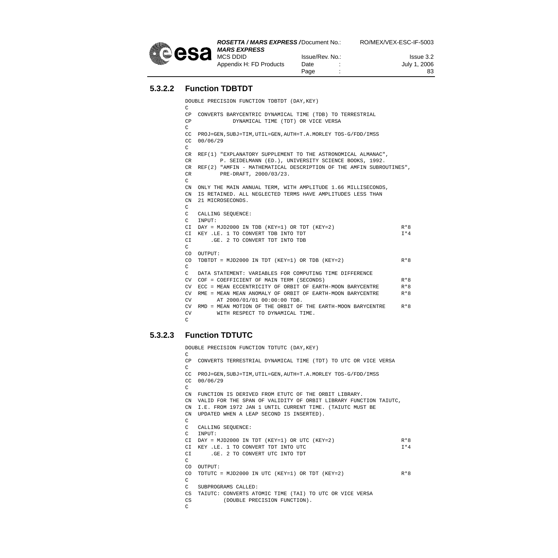

## **5.3.2.2 Function TDBTDT**

```
DOUBLE PRECISION FUNCTION TDBTDT (DAY,KEY)
\GammaCP CONVERTS BARYCENTRIC DYNAMICAL TIME (TDB) TO TERRESTRIAL
CP DYNAMICAL TIME (TDT) OR VICE VERSA
\mathcal{C}CC PROJ=GEN,SUBJ=TIM,UTIL=GEN,AUTH=T.A.MORLEY TOS-G/FDD/IMSS
CC 00/06/29
C
CR REF(1) "EXPLANATORY SUPPLEMENT TO THE ASTRONOMICAL ALMANAC",
CR P. SEIDELMANN (ED.), UNIVERSITY SCIENCE BOOKS, 1992.
CR REF(2) "AMFIN - MATHEMATICAL DESCRIPTION OF THE AMFIN SUBROUTINES",
CR PRE-DRAFT, 2000/03/23.
\mathbf CCN ONLY THE MAIN ANNUAL TERM, WITH AMPLITUDE 1.66 MILLISECONDS,
CN IS RETAINED. ALL NEGLECTED TERMS HAVE AMPLITUDES LESS THAN
CN 21 MICROSECONDS.
C
C CALLING SEQUENCE:
C INPUT:
CI DAY = MJD2000 IN TDB (KEY=1) OR TDT (KEY=2) R * 8CI KEY.LE. 1 TO CONVERT TDB INTO TDT I \mathbb{I}^*4CI .GE. 2 TO CONVERT TDT INTO TDB
\mathcal{C}CO OUTPUT:
CO TDBTDT = MJD2000 IN TDT (KEY=1) OR TDB (KEY=2) R*8\mathcal{C}C DATA STATEMENT: VARIABLES FOR COMPUTING TIME DIFFERENCE
CV COF = COEFFICIENT OF MAIN TERM (SECONDS) R*8
CV ECC = MEAN ECCENTRICITY OF ORBIT OF EARTH-MOON BARYCENTRE R*8
CV RME = MEAN MEAN ANOMALY OF ORBIT OF EARTH-MOON BARYCENTRE R * 8CV AT 2000/01/01 00:00:00 TDB.
CV RMD = MEAN MOTION OF THE ORBIT OF THE EARTH-MOON BARYCENTRE R * 8CV WITH RESPECT TO DYNAMICAL TIME.
\Gamma
```
## **5.3.2.3 Function TDTUTC**

```
DOUBLE PRECISION FUNCTION TDTUTC (DAY, KEY)
\mathcal{C}CP CONVERTS TERRESTRIAL DYNAMICAL TIME (TDT) TO UTC OR VICE VERSA
\mathsf{C}CC PROJ=GEN,SUBJ=TIM,UTIL=GEN,AUTH=T.A.MORLEY TOS-G/FDD/IMSS
CC 00/06/29
\mathcal{C}CN FUNCTION IS DERIVED FROM ETUTC OF THE ORBIT LIBRARY.
CN VALID FOR THE SPAN OF VALIDITY OF ORBIT LIBRARY FUNCTION TAIUTC,
CN I.E. FROM 1972 JAN 1 UNTIL CURRENT TIME. (TAIUTC MUST BE
CN UPDATED WHEN A LEAP SECOND IS INSERTED).
\mathcal{C}C CALLING SEQUENCE:
C INPUT:
CI DAY = MJD2000 IN TDT (KEY=1) OR UTC (KEY=2) R*8CI KEY .LE. 1 TO CONVERT TDT INTO UTC I^*4CI .GE. 2 TO CONVERT UTC INTO TDT
\capCO OUTPUT:
CO TDTUTC = MD2000 IN UTC (KEY=1) OR TDT (KEY=2) R * 8\mathcal{C}C SUBPROGRAMS CALLED:
CS TAIUTC: CONVERTS ATOMIC TIME (TAI) TO UTC OR VICE VERSA
CS (DOUBLE PRECISION FUNCTION).
\mathsf C
```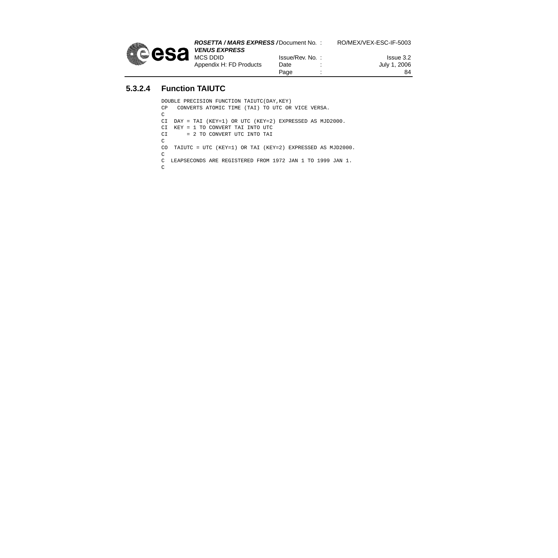

## **5.3.2.4 Function TAIUTC**

Ç

DOUBLE PRECISION FUNCTION TAIUTC(DAY,KEY) CP CONVERTS ATOMIC TIME (TAI) TO UTC OR VICE VERSA.  $\mathtt{C}$ CI DAY = TAI (KEY=1) OR UTC (KEY=2) EXPRESSED AS MJD2000. CI KEY = 1 TO CONVERT TAI INTO UTC CI = 2 TO CONVERT UTC INTO TAI  $\mathsf{C}$ CO TAIUTC = UTC (KEY=1) OR TAI (KEY=2) EXPRESSED AS MJD2000.  $\mathsf{C}$ C LEAPSECONDS ARE REGISTERED FROM 1972 JAN 1 TO 1999 JAN 1.  $\,$  C  $\,$